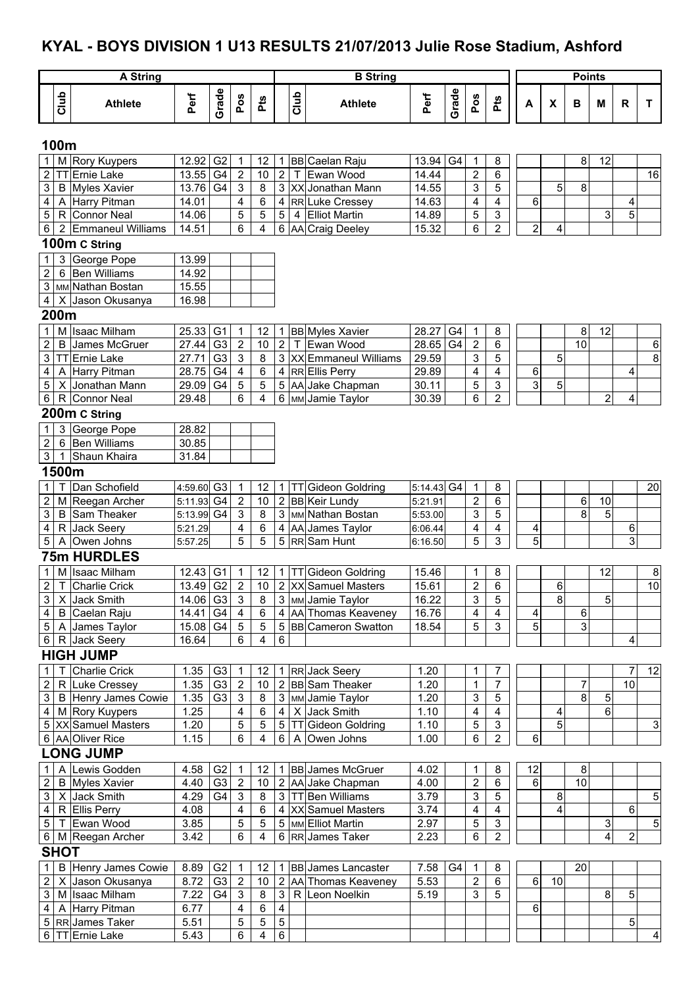# **KYAL - BOYS DIVISION 1 U13 RESULTS 21/07/2013 Julie Rose Stadium, Ashford**

|                                |             | <b>A</b> String                    |                        |                        |                                           |                     |                     |      | <b>B</b> String                               |                |       |                              |                     |        |                           | <b>Points</b>   |                |                |                |
|--------------------------------|-------------|------------------------------------|------------------------|------------------------|-------------------------------------------|---------------------|---------------------|------|-----------------------------------------------|----------------|-------|------------------------------|---------------------|--------|---------------------------|-----------------|----------------|----------------|----------------|
|                                | Club        | <b>Athlete</b>                     | Perf                   | Grade                  | Pos                                       | Pts                 |                     | Club | <b>Athlete</b>                                | Perf           | Grade | Pos                          | <b>Pts</b>          | A      | $\boldsymbol{\mathsf{x}}$ | в               | M              | R              | T.             |
|                                | 100m        |                                    |                        |                        |                                           |                     |                     |      |                                               |                |       |                              |                     |        |                           |                 |                |                |                |
|                                |             | M Rory Kuypers                     | 12.92 G2               |                        | $\mathbf{1}$                              | 12                  | 1                   |      | BB Caelan Raju                                | 13.94          | G4    | $\mathbf 1$                  | 8                   |        |                           | $\bf 8$         | 12             |                |                |
| $\boldsymbol{2}$               |             | TT Ernie Lake                      | 13.55 G4               |                        | $\overline{2}$                            | 10                  | $\overline{2}$      |      | T Ewan Wood                                   | 14.44          |       | $\overline{2}$               | 6                   |        |                           |                 |                |                | 16             |
| $\ensuremath{\mathsf{3}}$      |             | <b>B</b> Myles Xavier              | 13.76 G4               |                        | $\sqrt{3}$                                | $\overline{8}$      |                     |      | 3 XX Jonathan Mann                            | 14.55          |       | $\ensuremath{\mathsf{3}}$    | 5                   |        | 5                         | 8               |                |                |                |
| 4                              |             | A Harry Pitman                     | 14.01                  |                        | $\overline{\mathbf{4}}$                   | $\,6$               | 4                   |      | RR Luke Cressey                               | 14.63          |       | $\overline{\mathbf{4}}$      | 4                   | 6      |                           |                 |                | 4              |                |
| 5                              |             | R Connor Neal                      | 14.06                  |                        | 5                                         | 5                   | 5                   |      | 4 Elliot Martin                               | 14.89          |       | 5                            | 3                   |        |                           |                 | 3              | 5              |                |
| $\,6\,$                        |             | 2 Emmaneul Williams                | 14.51                  |                        | 6                                         | 4                   |                     |      | 6 AA Craig Deeley                             | 15.32          |       | 6                            | $\overline{c}$      | 2      | $\overline{4}$            |                 |                |                |                |
|                                |             | 100m C String                      |                        |                        |                                           |                     |                     |      |                                               |                |       |                              |                     |        |                           |                 |                |                |                |
| 1                              |             | 3 George Pope                      | 13.99                  |                        |                                           |                     |                     |      |                                               |                |       |                              |                     |        |                           |                 |                |                |                |
| $\overline{2}$                 |             | 6 Ben Williams                     | 14.92                  |                        |                                           |                     |                     |      |                                               |                |       |                              |                     |        |                           |                 |                |                |                |
| $\mathbf{3}$                   |             | MM Nathan Bostan                   | 15.55                  |                        |                                           |                     |                     |      |                                               |                |       |                              |                     |        |                           |                 |                |                |                |
| $\overline{4}$                 |             | X Jason Okusanya                   | 16.98                  |                        |                                           |                     |                     |      |                                               |                |       |                              |                     |        |                           |                 |                |                |                |
|                                | 200m        |                                    |                        |                        |                                           |                     |                     |      |                                               |                |       |                              |                     |        |                           |                 |                |                |                |
| $\mathbf{1}$                   |             | M Isaac Milham                     | 25.33 G1               |                        | $\mathbf{1}$                              | 12                  | 1                   |      | <b>BB</b> Myles Xavier                        | 28.27          | G4    | 1                            | 8                   |        |                           | $\bf 8$         | 12             |                |                |
| 2                              |             | <b>B</b> James McGruer             | $27.44$ G <sub>3</sub> |                        | $\sqrt{2}$                                | 10                  | $\mathbf{2}$        |      | T Ewan Wood                                   | 28.65          | G4    | $\overline{2}$               | 6                   |        |                           | $\overline{10}$ |                |                | $\,6$          |
| 3                              |             | TTErnie Lake                       | 27.71                  | $\overline{\text{G3}}$ | $\mathsf 3$                               | 8                   |                     |      | 3   XX Emmaneul Williams                      | 29.59          |       | $\sqrt{3}$                   | 5                   |        | 5                         |                 |                |                | 8              |
| 4<br>$\sqrt{5}$                |             | A Harry Pitman<br>X Jonathan Mann  | 28.75 G4<br>29.09 G4   |                        | $\overline{\mathbf{4}}$<br>$\overline{5}$ | 6<br>$\overline{5}$ |                     |      | 4 RR Ellis Perry<br>5 AA Jake Chapman         | 29.89<br>30.11 |       | $\overline{\mathbf{4}}$<br>5 | 4<br>3              | 6<br>3 | 5                         |                 |                | 4              |                |
| 6                              |             | R Connor Neal                      | 29.48                  |                        | 6                                         | 4                   |                     |      | 6 MM Jamie Taylor                             | 30.39          |       | 6                            | 2                   |        |                           |                 | $\overline{2}$ | 4              |                |
|                                |             | 200m C String                      |                        |                        |                                           |                     |                     |      |                                               |                |       |                              |                     |        |                           |                 |                |                |                |
|                                |             | 3 George Pope                      | 28.82                  |                        |                                           |                     |                     |      |                                               |                |       |                              |                     |        |                           |                 |                |                |                |
| $\mathbf{1}$<br>$\overline{2}$ |             | 6 Ben Williams                     | 30.85                  |                        |                                           |                     |                     |      |                                               |                |       |                              |                     |        |                           |                 |                |                |                |
| $\mathbf{3}$                   |             | 1 Shaun Khaira                     | 31.84                  |                        |                                           |                     |                     |      |                                               |                |       |                              |                     |        |                           |                 |                |                |                |
|                                | 1500m       |                                    |                        |                        |                                           |                     |                     |      |                                               |                |       |                              |                     |        |                           |                 |                |                |                |
| 1                              | т           | Dan Schofield                      | 4:59.60 G3             |                        | $\overline{1}$                            | 12                  |                     |      | <b>TT</b> Gideon Goldring                     | 5:14.43 G4     |       | 1                            | 8                   |        |                           |                 |                |                | 20             |
| $\sqrt{2}$                     |             | M Reegan Archer                    | 5:11.93 G4             |                        | $\overline{2}$                            | 10                  | 1<br>$\overline{c}$ |      | BB Keir Lundy                                 | 5:21.91        |       | $\boldsymbol{2}$             | 6                   |        |                           | 6               | 10             |                |                |
| $\ensuremath{\mathsf{3}}$      |             | B Sam Theaker                      | 5:13.99 G4             |                        | $\sqrt{3}$                                | $\bf 8$             | 3                   |      | MM Nathan Bostan                              | 5:53.00        |       | 3                            | 5                   |        |                           | 8               | 5              |                |                |
| $\overline{\mathbf{4}}$        |             | R Jack Seery                       | 5:21.29                |                        | 4                                         | 6                   | 4                   |      | AA James Taylor                               | 6:06.44        |       | 4                            | 4                   | 4      |                           |                 |                | 6              |                |
| 5                              |             | A Owen Johns                       | 5:57.25                |                        | 5                                         | 5                   | 5                   |      | RRSam Hunt                                    | 6:16.50        |       | 5                            | 3                   | 5      |                           |                 |                | 3              |                |
|                                |             | <b>75m HURDLES</b>                 |                        |                        |                                           |                     |                     |      |                                               |                |       |                              |                     |        |                           |                 |                |                |                |
| $\mathbf{1}$                   |             | M Isaac Milham                     | $12.43$ G1             |                        | 1                                         | 12                  | $\mathbf{1}$        |      | TT Gideon Goldring                            | 15.46          |       |                              | 8                   |        |                           |                 | 12             |                | 8              |
| $\overline{2}$                 |             | T Charlie Crick                    | 13.49 G2               |                        | $\overline{2}$                            | 10                  |                     |      | 2 XX Samuel Masters                           | 15.61          |       | $\overline{c}$               | $\overline{6}$      |        | 6                         |                 |                |                | 10             |
| $\mathbf{3}$                   |             | X Jack Smith                       | 14.06 G3               |                        | $\mathbf{3}$                              | 8                   |                     |      | 3   MM Jamie Taylor                           | 16.22          |       | $\mathfrak{Z}$               | 5                   |        | 8                         |                 | 5              |                |                |
| 4 <sup>1</sup>                 |             | B Caelan Raju                      | 14.41 G4               |                        | $\overline{4}$                            | 6                   |                     |      | 4 AA Thomas Keaveney                          | 16.76          |       | 4                            | 4                   | 4      |                           | 6               |                |                |                |
|                                |             | 5   A   James Taylor               | 15.08  G4              |                        | $5\phantom{.0}$                           | 5                   |                     |      | 5 BB Cameron Swatton                          | 18.54          |       | 5                            | 3                   | 5      |                           | 3               |                |                |                |
| 6 <sup>1</sup>                 |             | R Jack Seery                       | 16.64                  |                        | 6                                         | 4                   | 6                   |      |                                               |                |       |                              |                     |        |                           |                 |                | 4              |                |
|                                |             | <b>HIGH JUMP</b>                   |                        |                        |                                           |                     |                     |      |                                               |                |       |                              |                     |        |                           |                 |                |                |                |
| 1                              |             | <b>Charlie Crick</b>               | 1.35                   | G3                     | $\overline{1}$                            | 12                  |                     |      | RR Jack Seery                                 | 1.20           |       | 1                            | 7                   |        |                           |                 |                | 7              | 12             |
| $\sqrt{2}$                     |             | R Luke Cressey                     | 1.35                   | GS                     | $\overline{2}$                            | 10                  | 2                   |      | BB Sam Theaker                                | 1.20           |       | 1                            | $\overline{7}$      |        |                           | 7               |                | 10             |                |
| $\mathfrak{S}$                 |             | B Henry James Cowie                | 1.35                   | G <sub>3</sub>         | $\mathbf{3}$                              | 8                   | 3                   |      | MM Jamie Taylor                               | 1.20           |       | 3                            | 5                   |        |                           | 8               | 5              |                |                |
| 4 <sup>1</sup>                 |             | M Rory Kuypers                     | 1.25                   |                        | $\overline{\mathbf{4}}$                   | $\,6$               | 4                   |      | X Jack Smith                                  | 1.10           |       | 4                            | $\overline{4}$      |        | 4                         |                 | 6              |                |                |
|                                |             | 5 XX Samuel Masters                | 1.20                   |                        | 5                                         | 5                   | 5 <sup>1</sup>      |      | TT Gideon Goldring                            | 1.10           |       | 5                            | $\sqrt{3}$          |        | 5                         |                 |                |                | $\overline{3}$ |
|                                |             | 6 AA Oliver Rice                   | 1.15                   |                        | 6                                         | 4                   | 6                   | A    | Owen Johns                                    | 1.00           |       | 6                            | $\overline{2}$      | 6      |                           |                 |                |                |                |
|                                |             | <b>LONG JUMP</b>                   |                        |                        |                                           |                     |                     |      |                                               |                |       |                              |                     |        |                           |                 |                |                |                |
| 1                              |             | A Lewis Godden                     | 4.58                   | G <sub>2</sub>         | $\overline{1}$                            | 12                  |                     |      | <b>BB</b> James McGruer                       | 4.02           |       | 1                            | 8                   | 12     |                           | 8               |                |                |                |
| $\overline{c}$                 |             | <b>B</b> Myles Xavier              | 4.40                   | G <sub>3</sub>         | $\overline{2}$                            | 10                  |                     |      | 2 AA Jake Chapman                             | 4.00           |       | $\sqrt{2}$                   | 6                   | 6      |                           | 10              |                |                |                |
| $\ensuremath{\mathsf{3}}$      |             | X Jack Smith                       | 4.29                   | G <sub>4</sub>         | $\mathbf{3}$                              | 8                   |                     |      | 3   TT Ben Williams                           | 3.79           |       | 3                            | 5                   |        | 8                         |                 |                |                | 5              |
| $\overline{\mathbf{4}}$        |             | R Ellis Perry<br>T Ewan Wood       | 4.08                   |                        | $\overline{\mathbf{4}}$                   | $\,6$<br>5          |                     |      | 4   XX Samuel Masters<br>5   мм Elliot Martin | 3.74<br>2.97   |       | 4<br>5                       | $\overline{4}$<br>3 |        | 4                         |                 |                | 6              | $\overline{5}$ |
| 5<br>6                         |             | M Reegan Archer                    | 3.85<br>3.42           |                        | 5<br>6                                    | 4                   |                     |      | 6 RR James Taker                              | 2.23           |       | 6                            | $\overline{c}$      |        |                           |                 | 3<br>4         | $\overline{c}$ |                |
|                                | <b>SHOT</b> |                                    |                        |                        |                                           |                     |                     |      |                                               |                |       |                              |                     |        |                           |                 |                |                |                |
|                                |             |                                    |                        |                        |                                           |                     |                     |      |                                               |                |       |                              |                     |        |                           |                 |                |                |                |
| 1                              |             | B Henry James Cowie                | 8.89<br>8.72           | G <sub>2</sub>         | $\overline{1}$                            | 12                  |                     |      | <b>BB</b> James Lancaster                     | 7.58<br>5.53   | G4    | 1<br>$\sqrt{2}$              | 8<br>6              | 6      |                           | 20              |                |                |                |
| $\overline{c}$<br>$\mathbf{3}$ |             | X Jason Okusanya<br>M Isaac Milham | 7.22                   | G3<br>G4               | $\overline{2}$<br>$\mathbf{3}$            | 10<br>8             | $\mathbf{2}$<br>3   |      | AA Thomas Keaveney<br>R Leon Noelkin          | 5.19           |       | $\mathbf{3}$                 | 5                   |        | 10                        |                 | 8              | 5              |                |
|                                |             | 4 A Harry Pitman                   | 6.77                   |                        | 4                                         | $\,6\,$             | 4                   |      |                                               |                |       |                              |                     | 6      |                           |                 |                |                |                |
|                                |             | 5 RR James Taker                   | 5.51                   |                        | $\sqrt{5}$                                | $\overline{5}$      | 5                   |      |                                               |                |       |                              |                     |        |                           |                 |                | 5              |                |
|                                |             | 6 TT Ernie Lake                    | 5.43                   |                        | 6                                         | 4                   | 6                   |      |                                               |                |       |                              |                     |        |                           |                 |                |                | 4              |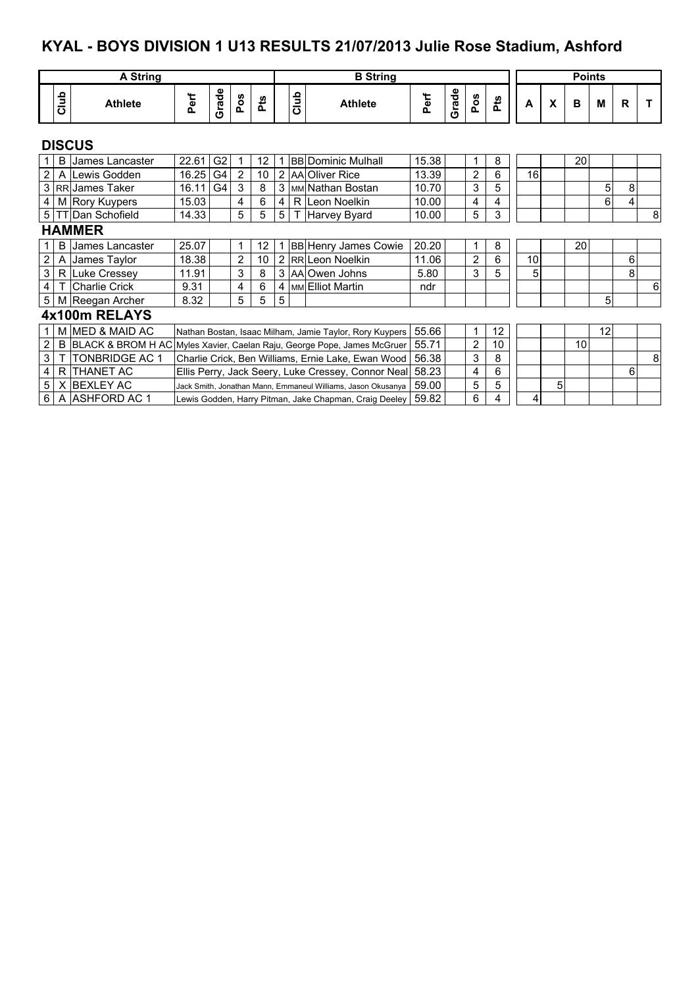## **KYAL - BOYS DIVISION 1 U13 RESULTS 21/07/2013 Julie Rose Stadium, Ashford**

|                |      | <b>A String</b>           |       |                                                                           |     |    |   |      | <b>B</b> String                                              |       |       |                |    |    |   | <b>Points</b>   |    |             |   |
|----------------|------|---------------------------|-------|---------------------------------------------------------------------------|-----|----|---|------|--------------------------------------------------------------|-------|-------|----------------|----|----|---|-----------------|----|-------------|---|
|                | Club | <b>Athlete</b>            | Perf  | Grade                                                                     | Pos | å  |   | Club | <b>Athlete</b>                                               | Perf  | Grade | Pos            | å  | A  | X | B               | M  | $\mathbf R$ | т |
|                |      | <b>DISCUS</b>             |       |                                                                           |     |    |   |      |                                                              |       |       |                |    |    |   |                 |    |             |   |
| 1 I            |      | <b>B</b> IJames Lancaster | 22.61 | G <sub>2</sub>                                                            | 1   | 12 |   |      | <b>BB Dominic Mulhall</b>                                    | 15.38 |       | 1              | 8  |    |   | 20              |    |             |   |
| 2 <sub>1</sub> |      | A Lewis Godden            | 16.25 | G4                                                                        | 2   | 10 |   |      | 2 AA Oliver Rice                                             | 13.39 |       | $\overline{2}$ | 6  | 16 |   |                 |    |             |   |
|                |      | 3 RR James Taker          | 16.11 | G4                                                                        | 3   | 8  |   |      | 3   MM Nathan Bostan                                         | 10.70 |       | 3              | 5  |    |   |                 | 5  | 8           |   |
|                |      | 4 M Rory Kuypers          | 15.03 |                                                                           | 4   | 6  | 4 |      | R Leon Noelkin                                               | 10.00 |       | 4              | 4  |    |   |                 | 6  | 4           |   |
|                |      | 5   TT Dan Schofield      | 14.33 |                                                                           | 5   | 5  | 5 |      | T Harvey Byard                                               | 10.00 |       | 5              | 3  |    |   |                 |    |             | 8 |
|                |      | <b>HAMMER</b>             |       |                                                                           |     |    |   |      |                                                              |       |       |                |    |    |   |                 |    |             |   |
| 1.             | B    | IJames Lancaster          | 25.07 |                                                                           | 1   | 12 |   |      | <b>BB Henry James Cowie</b>                                  | 20.20 |       | 1              | 8  |    |   | <b>20</b>       |    |             |   |
| $\overline{2}$ |      | A James Taylor            | 18.38 | $\overline{2}$<br>10<br>$\overline{2}$                                    |     |    |   |      | RR Leon Noelkin                                              | 11.06 |       | $\overline{2}$ | 6  | 10 |   |                 |    | 6           |   |
| 3 <sup>1</sup> |      | R Luke Cressey            | 11.91 |                                                                           | 3   | 8  |   |      | 3 AA Owen Johns                                              | 5.80  |       | 3              | 5  | 5  |   |                 |    | 8           |   |
| $\overline{4}$ |      | Charlie Crick             | 9.31  |                                                                           | 4   | 6  | 4 |      | MM Elliot Martin                                             | ndr   |       |                |    |    |   |                 |    |             | 6 |
|                |      | 5 M Reegan Archer         | 8.32  |                                                                           | 5   | 5  | 5 |      |                                                              |       |       |                |    |    |   |                 | 5  |             |   |
|                |      | 4x100m RELAYS             |       |                                                                           |     |    |   |      |                                                              |       |       |                |    |    |   |                 |    |             |   |
| 1 <sup>1</sup> |      | M MED & MAID AC           |       |                                                                           |     |    |   |      | Nathan Bostan, Isaac Milham, Jamie Taylor, Rory Kuypers      | 55.66 |       | $\mathbf 1$    | 12 |    |   |                 | 12 |             |   |
| 2              |      |                           |       | B BLACK & BROM H AC Myles Xavier, Caelan Raju, George Pope, James McGruer |     |    |   |      |                                                              | 55.71 |       | $\overline{2}$ | 10 |    |   | 10 <sup>1</sup> |    |             |   |
| 3 <sup>1</sup> |      | <b>TONBRIDGE AC 1</b>     |       | Charlie Crick, Ben Williams, Ernie Lake, Ewan Wood                        |     |    |   |      |                                                              | 56.38 |       | 3              | 8  |    |   |                 |    |             | 8 |
| $\overline{4}$ |      | R THANET AC               |       | Ellis Perry, Jack Seery, Luke Cressey, Connor Neal                        |     |    |   |      |                                                              | 58.23 |       | 4              | 6  |    |   |                 |    | 6           |   |
|                |      | 5   X BEXLEY AC           |       |                                                                           |     |    |   |      | Jack Smith, Jonathan Mann, Emmaneul Williams, Jason Okusanya | 59.00 |       | 5              | 5  |    | 5 |                 |    |             |   |
|                |      | 6 A ASHFORD AC 1          |       |                                                                           |     |    |   |      | Lewis Godden, Harry Pitman, Jake Chapman, Craig Deeley       | 59.82 |       | 6              | 4  | 4  |   |                 |    |             |   |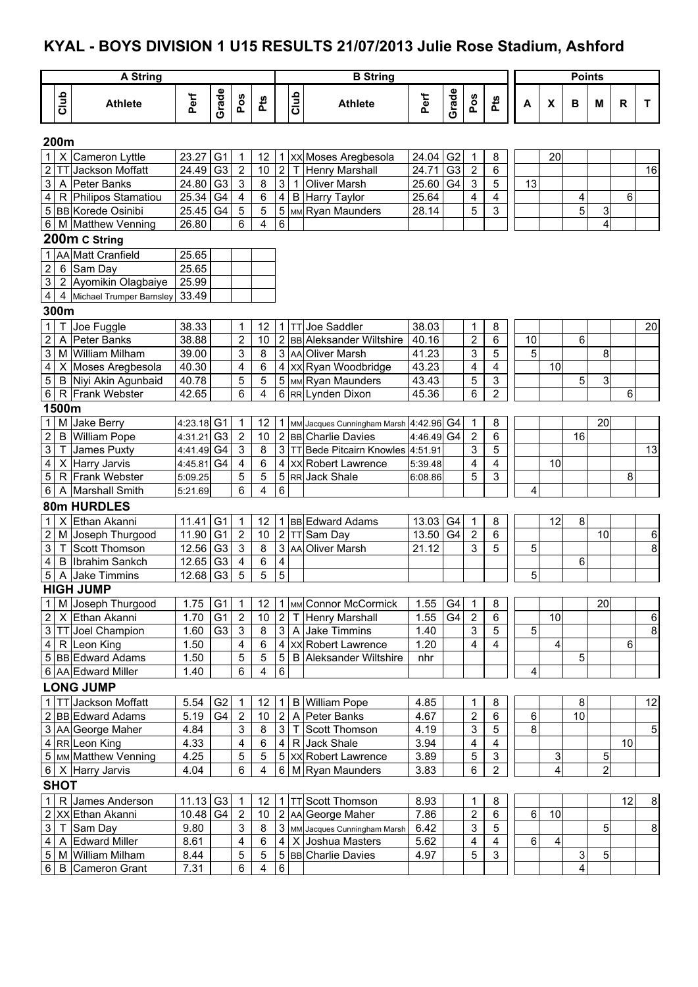# **KYAL - BOYS DIVISION 1 U15 RESULTS 21/07/2013 Julie Rose Stadium, Ashford**

|                         |                | A String                                    |                |                                  |                           |                |                         |              | <b>B</b> String                                |                |                |                               |                         |         |    | <b>Points</b>  |                |    |        |
|-------------------------|----------------|---------------------------------------------|----------------|----------------------------------|---------------------------|----------------|-------------------------|--------------|------------------------------------------------|----------------|----------------|-------------------------------|-------------------------|---------|----|----------------|----------------|----|--------|
|                         | Club           | <b>Athlete</b>                              | Perf           | Grade                            | Pos                       | <b>Pts</b>     |                         | Club         | <b>Athlete</b>                                 | Perf           | Grade          | Pos                           | <b>Pts</b>              | A       | X  | в              | M              | R  | T.     |
|                         | 200m           |                                             |                |                                  |                           |                |                         |              |                                                |                |                |                               |                         |         |    |                |                |    |        |
| $\mathbf{1}$            | X              | Cameron Lyttle                              | 23.27          | G <sub>1</sub>                   | 1                         | 12             |                         |              | 1   XX Moses Aregbesola                        | 24.04          | G <sub>2</sub> | $\mathbf 1$                   | 8                       |         | 20 |                |                |    |        |
| $\mathbf 2$             | TI             | Jackson Moffatt                             | 24.49          | G <sub>3</sub>                   | $\overline{2}$            | 10             | $\overline{c}$          | $\mathsf{T}$ | <b>Henry Marshall</b>                          | 24.71          | G <sub>3</sub> | $\overline{2}$                | 6                       |         |    |                |                |    | 16     |
| 3                       | A              | Peter Banks                                 | 24.80          | G <sub>3</sub>                   | 3                         | 8              | $\mathfrak{S}$          | $\mathbf{1}$ | <b>Oliver Marsh</b>                            | 25.60          | G <sub>4</sub> | $\sqrt{3}$                    | 5                       | 13      |    |                |                |    |        |
| 4                       |                | R Philipos Stamatiou                        | 25.34          | G4                               | 4                         | 6              | $\overline{\mathbf{4}}$ |              | B Harry Taylor                                 | 25.64          |                | 4                             | 4                       |         |    | 4              |                | 6  |        |
| 5                       |                | <b>BB</b> Korede Osinibi                    | 25.45          | G4                               | 5                         | 5              | 5                       |              | MM Ryan Maunders                               | 28.14          |                | 5                             | $\overline{3}$          |         |    | $\overline{5}$ | 3              |    |        |
| 6                       |                | M Matthew Venning                           | 26.80          |                                  | 6                         | 4              | 6                       |              |                                                |                |                |                               |                         |         |    |                | $\overline{4}$ |    |        |
|                         |                | 200m C String                               |                |                                  |                           |                |                         |              |                                                |                |                |                               |                         |         |    |                |                |    |        |
| 1                       |                | AA Matt Cranfield                           | 25.65          |                                  |                           |                |                         |              |                                                |                |                |                               |                         |         |    |                |                |    |        |
| $\overline{2}$          | $6\phantom{a}$ | Sam Day                                     | 25.65          |                                  |                           |                |                         |              |                                                |                |                |                               |                         |         |    |                |                |    |        |
| $\mathfrak{S}$          |                | 2 Ayomikin Olagbaiye                        | 25.99          |                                  |                           |                |                         |              |                                                |                |                |                               |                         |         |    |                |                |    |        |
| $\overline{\mathbf{4}}$ | 4              | Michael Trumper Barnsley                    | 33.49          |                                  |                           |                |                         |              |                                                |                |                |                               |                         |         |    |                |                |    |        |
|                         | 300m           |                                             |                |                                  |                           |                |                         |              |                                                |                |                |                               |                         |         |    |                |                |    |        |
| $\mathbf{1}$            |                | Joe Fuggle                                  | 38.33          |                                  | 1                         | 12             |                         |              | 1 TT Joe Saddler                               | 38.03          |                | 1                             | 8                       |         |    |                |                |    | 20     |
| $\boldsymbol{2}$        | Α              | lPeter Banks                                | 38.88          |                                  | $\overline{\mathbf{c}}$   | 10             |                         |              | 2 BB Aleksander Wiltshire<br>3 AA Oliver Marsh | 40.16<br>41.23 |                | $\mathbf 2$                   | 6<br>5                  | 10<br>5 |    | 6              |                |    |        |
| 3<br>4                  | M              | <b>William Milham</b><br>X Moses Aregbesola | 39.00<br>40.30 |                                  | 3<br>4                    | 8<br>6         |                         |              | 4   xx   Ryan Woodbridge                       | 43.23          |                | 3<br>4                        | $\overline{\mathbf{4}}$ |         | 10 |                | 8              |    |        |
| $\mathbf 5$             |                | B Niyi Akin Agunbaid                        | 40.78          |                                  | 5                         | 5              |                         |              | 5 MM Ryan Maunders                             | 43.43          |                | 5                             | 3                       |         |    | 5              | 3              |    |        |
| $\sqrt{6}$              | $\mathsf{R}$   | <b>Frank Webster</b>                        | 42.65          |                                  | 6                         | 4              | 6                       |              | RR Lynden Dixon                                | 45.36          |                | 6                             | $\overline{2}$          |         |    |                |                | 6  |        |
|                         | 1500m          |                                             |                |                                  |                           |                |                         |              |                                                |                |                |                               |                         |         |    |                |                |    |        |
| 1                       | M              | Jake Berry                                  | 4:23.18 G1     |                                  | 1                         | 12             |                         |              | 1   MM Jacques Cunningham Marsh   4:42.96   G4 |                |                | $\mathbf{1}$                  | 8                       |         |    |                | 20             |    |        |
| $\overline{\mathbf{c}}$ | B              | <b>William Pope</b>                         | 4:31.21        | G <sub>3</sub>                   | $\boldsymbol{2}$          | 10             |                         |              | 2 BB Charlie Davies                            | 4:46.49 G4     |                | $\overline{\mathbf{c}}$       | 6                       |         |    | 16             |                |    |        |
| 3                       |                | James Puxty                                 | 4:41.49 G4     |                                  | 3                         | 8              | 3                       |              | <b>TT Bede Pitcairn Knowles</b>                | 4:51.91        |                | 3                             | 5                       |         |    |                |                |    | 13     |
| 4                       | X              | <b>Harry Jarvis</b>                         | 4:45.81        | G4                               | 4                         | 6              | 4                       |              | <b>XX</b> Robert Lawrence                      | 5:39.48        |                | 4                             | 4                       |         | 10 |                |                |    |        |
| 5                       | R              | Frank Webster                               | 5:09.25        |                                  | 5                         | $\sqrt{5}$     | 5                       |              | RR Jack Shale                                  | 6:08.86        |                | 5                             | $\mathbf{3}$            |         |    |                |                | 8  |        |
| 6                       | A              | Marshall Smith                              | 5:21.69        |                                  | 6                         | $\overline{4}$ | 6                       |              |                                                |                |                |                               |                         | 4       |    |                |                |    |        |
|                         |                | 80m HURDLES                                 |                |                                  |                           |                |                         |              |                                                |                |                |                               |                         |         |    |                |                |    |        |
| 1                       |                | Ethan Akanni                                | 11.41          | G <sub>1</sub>                   | 1                         | 12             |                         |              | 1 BB Edward Adams                              | 13.03          | G4             | $\mathbf{1}$                  | 8                       |         | 12 | 8              |                |    |        |
| 2                       | M              | Joseph Thurgood                             | 11.90          | G <sub>1</sub>                   | $\boldsymbol{2}$          | 10             | $\overline{a}$          |              | TT Sam Day                                     | 13.50          | G4             | $\overline{2}$                | 6                       |         |    |                | 10             |    | $\,6$  |
| 3                       | Т              | Scott Thomson                               | 12.56          | G <sub>3</sub>                   | 3                         | 8              | 3                       |              | AA Oliver Marsh                                | 21.12          |                | 3                             | 5                       | 5       |    |                |                |    | 8      |
| 4                       | B              | Ibrahim Sankch                              | 12.65          | G <sub>3</sub>                   | 4                         | 6              | 4                       |              |                                                |                |                |                               |                         |         |    | 6              |                |    |        |
| $\mathbf 5$             | A              | Jake Timmins                                | 12.68          | G3                               | 5                         | $\overline{5}$ | 5                       |              |                                                |                |                |                               |                         | 5       |    |                |                |    |        |
|                         |                | <b>HIGH JUMP</b>                            |                |                                  |                           |                |                         |              |                                                |                |                |                               |                         |         |    |                |                |    |        |
| $\mathbf{1}$            |                | M Joseph Thurgood                           | 1.75           | G <sub>1</sub>                   | 1                         | 12             |                         |              | 1   MM Connor McCormick                        | 1.55           | G4             | $\mathbf{1}$                  | 8                       |         |    |                | 20             |    |        |
| $\boldsymbol{2}$        |                | X Ethan Akanni<br><b>TT</b> Joel Champion   | 1.70           | G <sub>1</sub><br>G <sub>3</sub> | $\boldsymbol{2}$          | 10<br>8        | $\overline{c}$          |              | T Henry Marshall                               | 1.55           | G4             | $\overline{c}$<br>$\mathsf 3$ | 6<br>5                  | 5       | 10 |                |                |    | 6<br>8 |
| 3<br>4                  |                | R Leon King                                 | 1.60<br>1.50   |                                  | $\sqrt{3}$<br>4           | $\,6\,$        | 3 <sup>1</sup>          |              | A Jake Timmins<br>4 XX Robert Lawrence         | 1.40<br>1.20   |                | 4                             | $\overline{4}$          |         | 4  |                |                | 6  |        |
|                         |                | 5 BB Edward Adams                           | 1.50           |                                  | 5                         | $\sqrt{5}$     | 5                       |              | <b>B</b> Aleksander Wiltshire                  | nhr            |                |                               |                         |         |    | 5              |                |    |        |
|                         |                | 6 AA Edward Miller                          | 1.40           |                                  | 6                         | 4              | 6                       |              |                                                |                |                |                               |                         | 4       |    |                |                |    |        |
|                         |                | <b>LONG JUMP</b>                            |                |                                  |                           |                |                         |              |                                                |                |                |                               |                         |         |    |                |                |    |        |
| $\mathbf{1}$            |                | TT Jackson Moffatt                          | 5.54           | G <sub>2</sub>                   | 1                         | 12             | 1 I                     |              | <b>B</b> William Pope                          | 4.85           |                | 1                             | 8                       |         |    | 8              |                |    | 12     |
|                         |                | 2 BB Edward Adams                           | 5.19           | G4                               | $\boldsymbol{2}$          | 10             | 2                       |              | A Peter Banks                                  | 4.67           |                | $\sqrt{2}$                    | 6                       | 6       |    | 10             |                |    |        |
| 3                       |                | AA George Maher                             | 4.84           |                                  | $\sqrt{3}$                | 8              | 3 <sup>1</sup>          |              | T Scott Thomson                                | 4.19           |                | 3                             | 5                       | 8       |    |                |                |    | 5      |
| 4                       |                | RR Leon King                                | 4.33           |                                  | 4                         | 6              | 4                       |              | R Jack Shale                                   | 3.94           |                | 4                             | 4                       |         |    |                |                | 10 |        |
|                         |                | 5   MM Matthew Venning                      | 4.25           |                                  | 5                         | $\sqrt{5}$     |                         |              | 5 XX Robert Lawrence                           | 3.89           |                | 5                             | $\mathsf 3$             |         | 3  |                | 5              |    |        |
|                         |                | 6   X   Harry Jarvis                        | 4.04           |                                  | 6                         | 4              |                         |              | 6 M Ryan Maunders                              | 3.83           |                | 6                             | $\overline{2}$          |         | 4  |                | $\overline{2}$ |    |        |
|                         | <b>SHOT</b>    |                                             |                |                                  |                           |                |                         |              |                                                |                |                |                               |                         |         |    |                |                |    |        |
| 1                       | $\mathsf{R}$   | James Anderson                              | 11.13          | G <sub>3</sub>                   | 1                         | 12             |                         |              | 1 TT Scott Thomson                             | 8.93           |                | 1                             | 8                       |         |    |                |                | 12 | 8      |
| $\overline{\mathbf{c}}$ |                | XX Ethan Akanni                             | 10.48          | G4                               | $\boldsymbol{2}$          | 10             |                         |              | 2 AA George Maher                              | 7.86           |                | $\sqrt{2}$                    | $\overline{6}$          | 6       | 10 |                |                |    |        |
| 3                       | Т              | Sam Day                                     | 9.80           |                                  | $\ensuremath{\mathsf{3}}$ | 8              |                         |              | 3 MM Jacques Cunningham Marsh                  | 6.42           |                | $\ensuremath{\mathsf{3}}$     | $\sqrt{5}$              |         |    |                | 5              |    | 8      |
| 4                       | A              | <b>Edward Miller</b>                        | 8.61           |                                  | 4                         | 6              |                         |              | 4 X Joshua Masters                             | 5.62           |                | 4                             | $\overline{\mathbf{4}}$ | 6       | 4  |                |                |    |        |
| 5                       |                | M William Milham                            | 8.44           |                                  | 5                         | 5              |                         |              | 5 BB Charlie Davies                            | 4.97           |                | 5                             | 3                       |         |    | 3              | 5              |    |        |
|                         | 6 B            | Cameron Grant                               | 7.31           |                                  | 6                         | 4              | 6                       |              |                                                |                |                |                               |                         |         |    | 4              |                |    |        |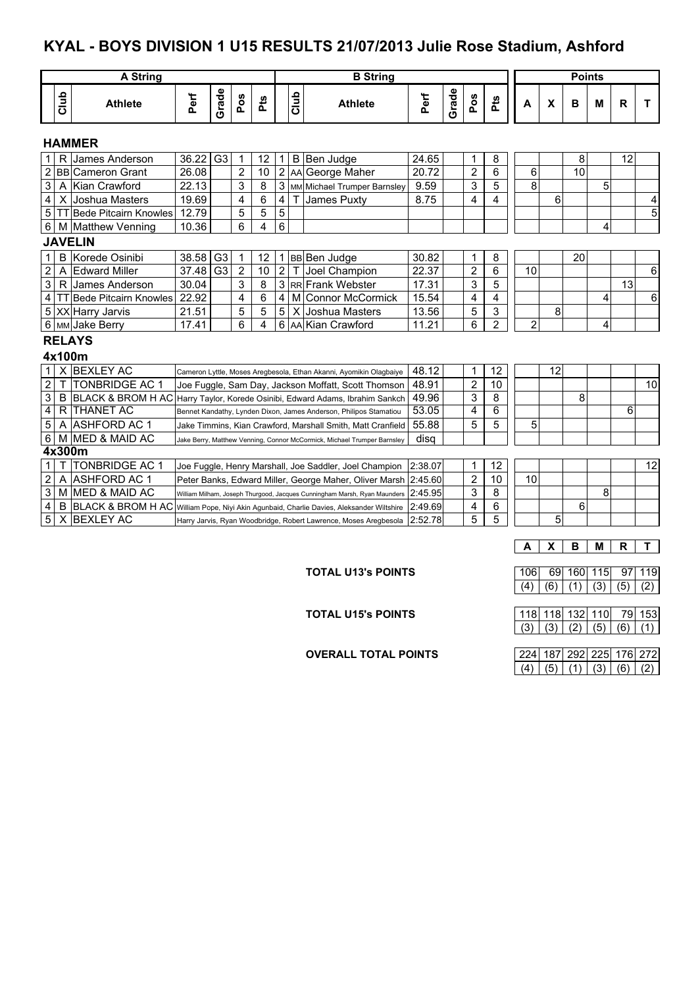#### **KYAL - BOYS DIVISION 1 U15 RESULTS 21/07/2013 Julie Rose Stadium, Ashford**

| <b>A String</b><br><b>B</b> String |                                                                                                              |                                                                                            |       |                |                |     |                         |      |                                                                          |         |       |                |                         |                |    | <b>Points</b> |   |                 |    |
|------------------------------------|--------------------------------------------------------------------------------------------------------------|--------------------------------------------------------------------------------------------|-------|----------------|----------------|-----|-------------------------|------|--------------------------------------------------------------------------|---------|-------|----------------|-------------------------|----------------|----|---------------|---|-----------------|----|
|                                    | Club                                                                                                         | <b>Athlete</b>                                                                             | Perf  | Grade          | Pos            | Pts |                         | Club | <b>Athlete</b>                                                           | Perf    | Grade | Pos            | Pts                     | A              | X  | B             | M | R               | T  |
|                                    |                                                                                                              | <b>HAMMER</b>                                                                              |       |                |                |     |                         |      |                                                                          |         |       |                |                         |                |    |               |   |                 |    |
|                                    | $\mathsf{R}$                                                                                                 | James Anderson                                                                             | 36.22 | G <sub>3</sub> | $\mathbf 1$    | 12  | $\mathbf{1}$            |      | B Ben Judge                                                              | 24.65   |       | 1              | 8                       |                |    | 8             |   | 12              |    |
|                                    |                                                                                                              | 2 BB Cameron Grant                                                                         | 26.08 |                | $\overline{2}$ | 10  | $\overline{2}$          |      | AA George Maher                                                          | 20.72   |       | $\overline{2}$ | 6                       | 6              |    | 10            |   |                 |    |
| 3 <sup>1</sup>                     |                                                                                                              | A Kian Crawford                                                                            | 22.13 |                | 3              | 8   | 3                       |      | MM Michael Trumper Barnsley                                              | 9.59    |       | 3              | 5                       | 8              |    |               | 5 |                 |    |
| 4 <sup>1</sup>                     |                                                                                                              | X Joshua Masters                                                                           | 19.69 |                | 4              | 6   | $\overline{\mathbf{4}}$ |      | James Puxty                                                              | 8.75    |       | 4              | $\overline{\mathbf{4}}$ |                | 6  |               |   |                 | 4  |
|                                    |                                                                                                              | 5   TT Bede Pitcairn Knowles                                                               | 12.79 |                | 5              | 5   | 5                       |      |                                                                          |         |       |                |                         |                |    |               |   |                 | 5  |
|                                    |                                                                                                              | 6   M   Matthew Venning                                                                    | 10.36 |                | 6              | 4   | 6                       |      |                                                                          |         |       |                |                         |                |    |               | 4 |                 |    |
|                                    |                                                                                                              | <b>JAVELIN</b>                                                                             |       |                |                |     |                         |      |                                                                          |         |       |                |                         |                |    |               |   |                 |    |
| 1                                  |                                                                                                              | <b>B</b> Korede Osinibi                                                                    | 38.58 | G <sub>3</sub> | 1              | 12  |                         |      | 1 BB Ben Judge                                                           | 30.82   |       | 1              | 8                       |                |    | 20            |   |                 |    |
| $\overline{2}$                     |                                                                                                              | A Edward Miller                                                                            | 37.48 | G <sub>3</sub> | $\overline{2}$ | 10  | $\overline{2}$          |      | T Joel Champion                                                          | 22.37   |       | 2              | 6                       | 10             |    |               |   |                 | 6  |
| $\overline{3}$                     |                                                                                                              | R James Anderson                                                                           | 30.04 |                | 3              | 8   |                         |      | 3 RR Frank Webster                                                       | 17.31   |       | 3              | 5                       |                |    |               |   | $\overline{13}$ |    |
|                                    |                                                                                                              | 4 TT Bede Pitcairn Knowles                                                                 | 22.92 |                | 4              | 6   | 4                       |      | M Connor McCormick                                                       | 15.54   |       | 4              | 4                       |                |    |               | 4 |                 | 6  |
|                                    |                                                                                                              | 5 XX Harry Jarvis                                                                          | 21.51 |                | 5              | 5   | 5                       |      | X IJoshua Masters                                                        | 13.56   |       | 5              | 3                       |                | 8  |               |   |                 |    |
|                                    |                                                                                                              | 6 MM Jake Berry                                                                            | 17.41 |                | 6              | 4   | 6                       |      | <b>IAAIKian Crawford</b>                                                 | 11.21   |       | 6              | $\overline{2}$          | $\overline{2}$ |    |               | 4 |                 |    |
|                                    |                                                                                                              | <b>RELAYS</b>                                                                              |       |                |                |     |                         |      |                                                                          |         |       |                |                         |                |    |               |   |                 |    |
|                                    | 4x100m                                                                                                       |                                                                                            |       |                |                |     |                         |      |                                                                          |         |       |                |                         |                |    |               |   |                 |    |
| 1 <sup>1</sup>                     |                                                                                                              | X BEXLEY AC                                                                                |       |                |                |     |                         |      | Cameron Lyttle, Moses Aregbesola, Ethan Akanni, Ayomikin Olagbaiye       | 48.12   |       | 1              | 12                      |                | 12 |               |   |                 |    |
|                                    | $\overline{2}$<br>Τ<br><b>TONBRIDGE AC 1</b><br>48.91<br>Joe Fuggle, Sam Day, Jackson Moffatt, Scott Thomson |                                                                                            |       |                |                |     |                         |      |                                                                          |         |       |                | 10                      |                |    |               |   |                 | 10 |
| 3                                  |                                                                                                              | B BLACK & BROM H AC                                                                        |       |                |                |     |                         |      | Harry Taylor, Korede Osinibi, Edward Adams, Ibrahim Sankch               | 49.96   |       | 3              | 8                       |                |    | 8             |   |                 |    |
| 4                                  |                                                                                                              | R THANET AC                                                                                |       |                |                |     |                         |      | Bennet Kandathy, Lynden Dixon, James Anderson, Philipos Stamatiou        | 53.05   |       | 4              | $\overline{6}$          |                |    |               |   | 6               |    |
| 5                                  | A                                                                                                            | <b>ASHFORD AC 1</b>                                                                        |       |                |                |     |                         |      | Jake Timmins. Kian Crawford. Marshall Smith. Matt Cranfield              | 55.88   |       | 5              | 5                       | 5              |    |               |   |                 |    |
| 6                                  |                                                                                                              | M MED & MAID AC                                                                            |       |                |                |     |                         |      | Jake Berry, Matthew Venning, Connor McCormick, Michael Trumper Barnsley  | disa    |       |                |                         |                |    |               |   |                 |    |
|                                    | 4x300m                                                                                                       |                                                                                            |       |                |                |     |                         |      |                                                                          |         |       |                |                         |                |    |               |   |                 |    |
| 1                                  |                                                                                                              | <b>TONBRIDGE AC 1</b>                                                                      |       |                |                |     |                         |      | Joe Fuggle, Henry Marshall, Joe Saddler, Joel Champion                   | 2:38.07 |       | 1              | 12                      |                |    |               |   |                 | 12 |
| $\mathbf{2}$                       |                                                                                                              | A ASHFORD AC 1                                                                             |       |                |                |     |                         |      | Peter Banks, Edward Miller, George Maher, Oliver Marsh                   | 2:45.60 |       | 2              | 10                      | 10             |    |               |   |                 |    |
| 3                                  |                                                                                                              | M MED & MAID AC                                                                            |       |                |                |     |                         |      | William Milham, Joseph Thurgood, Jacques Cunningham Marsh, Ryan Maunders | 2:45.95 |       | 3              | 8                       |                |    |               | 8 |                 |    |
| 4                                  |                                                                                                              | B BLACK & BROM H AC William Pope, Niyi Akin Agunbaid, Charlie Davies, Aleksander Wiltshire |       |                |                |     |                         |      |                                                                          | 2:49.69 |       | 4              | 6                       |                |    | 6             |   |                 |    |
| 5                                  | X                                                                                                            | <b>BEXLEY AC</b>                                                                           |       |                |                |     |                         |      | Harry Jarvis, Ryan Woodbridge, Robert Lawrence, Moses Aregbesola         | 2:52.78 |       | 5              | 5                       |                | 5  |               |   |                 |    |
|                                    |                                                                                                              |                                                                                            |       |                |                |     |                         |      |                                                                          |         |       |                |                         |                |    |               |   |                 |    |
|                                    |                                                                                                              |                                                                                            |       |                |                |     |                         |      |                                                                          |         |       |                |                         | A              | X  | в             | M | R               | т  |

**TOTAL U13's POINTS** 106 69 160 115 97 119  $(4) (6) (1) (3) (5) (2)$ 

| <b>TOTAL U15's POINTS</b> |  | 118   118   132   110   79   153 |  |
|---------------------------|--|----------------------------------|--|
|                           |  |                                  |  |

**OVERALL TOTAL POINTS** 

|  |  | 224   187   292   225   176   272 |  |
|--|--|-----------------------------------|--|
|  |  | (4)   (5)   (1)   (3)   (6)   (2) |  |

 $(3)$   $(3)$   $(2)$   $(5)$   $(6)$   $(1)$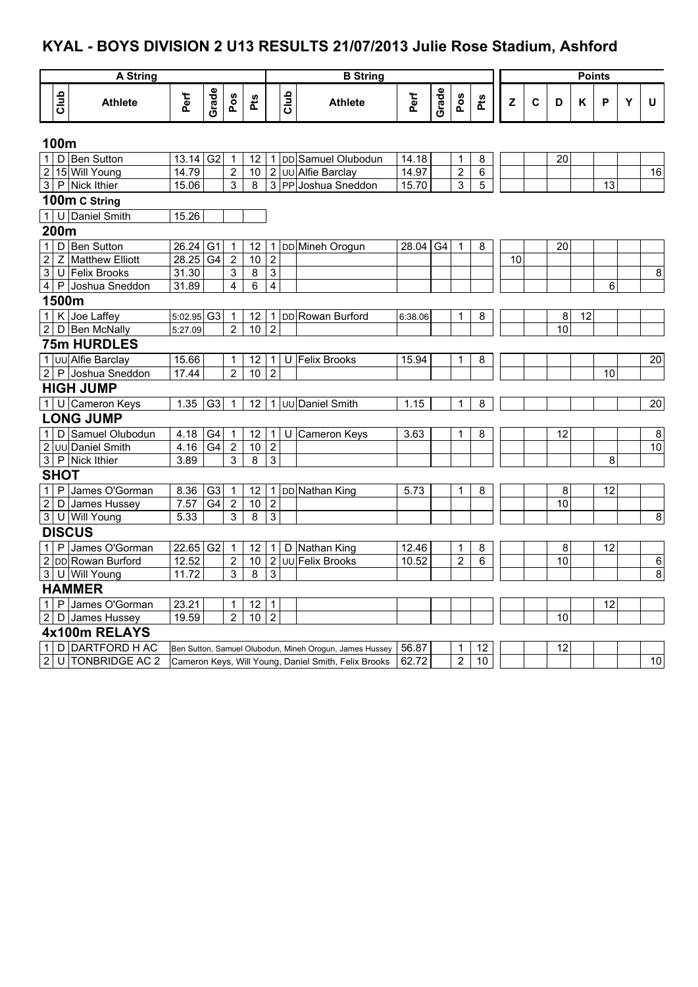# **KYAL - BOYS DIVISION 2 U13 RESULTS 21/07/2013 Julie Rose Stadium, Ashford**

|                          |             | <b>A</b> String     |                        | <b>B</b> String        |                  |                   |                  |      |                                                         |          |       |                |     |    |             |                 | <b>Points</b> |    |   |                 |
|--------------------------|-------------|---------------------|------------------------|------------------------|------------------|-------------------|------------------|------|---------------------------------------------------------|----------|-------|----------------|-----|----|-------------|-----------------|---------------|----|---|-----------------|
|                          | Club        | <b>Athlete</b>      | Perf                   | Grade                  | Pos              | Pts               |                  | Club | <b>Athlete</b>                                          | Perf     | Grade | Pos            | Pts | Z  | $\mathbf c$ | D               | Κ             | P  | Υ | U               |
|                          |             |                     |                        |                        |                  |                   |                  |      |                                                         |          |       |                |     |    |             |                 |               |    |   |                 |
|                          |             |                     |                        |                        |                  |                   |                  |      |                                                         |          |       |                |     |    |             |                 |               |    |   |                 |
|                          | 100m        |                     |                        |                        |                  |                   |                  |      |                                                         |          |       |                |     |    |             |                 |               |    |   |                 |
| $\overline{\phantom{a}}$ |             | D Ben Sutton        | $13.14$ G <sub>2</sub> |                        | 1                | 12                | $\mathbf{1}$     |      | DD Samuel Olubodun                                      | 14.18    |       | 1              | 8   |    |             | 20              |               |    |   |                 |
|                          |             | 2 15 Will Young     | 14.79                  |                        | $\overline{2}$   | 10                |                  |      | 2 UU Alfie Barclay                                      | 14.97    |       | $\overline{c}$ | 6   |    |             |                 |               |    |   | $\overline{16}$ |
|                          |             | 3 P Nick Ithier     | 15.06                  |                        | 3                | 8                 |                  |      | 3 PP Joshua Sneddon                                     | 15.70    |       | 3              | 5   |    |             |                 |               | 13 |   |                 |
|                          |             | 100m C String       |                        |                        |                  |                   |                  |      |                                                         |          |       |                |     |    |             |                 |               |    |   |                 |
|                          |             | 1 U Daniel Smith    | 15.26                  |                        |                  |                   |                  |      |                                                         |          |       |                |     |    |             |                 |               |    |   |                 |
|                          | 200m        |                     |                        |                        |                  |                   |                  |      |                                                         |          |       |                |     |    |             |                 |               |    |   |                 |
|                          |             | 1 D Ben Sutton      | 26.24 G1               |                        | 1                | 12                | 1                |      | DD Mineh Orogun                                         | 28.04 G4 |       | $\mathbf{1}$   | 8   |    |             | 20              |               |    |   |                 |
| $\overline{2}$           |             | Z Matthew Elliott   | 28.25                  | G4                     | $\overline{2}$   | 10                | $\overline{2}$   |      |                                                         |          |       |                |     | 10 |             |                 |               |    |   |                 |
|                          |             | 3 U Felix Brooks    | 31.30                  |                        | 3                | $\overline{8}$    | $\overline{3}$   |      |                                                         |          |       |                |     |    |             |                 |               |    |   | $\overline{8}$  |
|                          |             | 4 P Joshua Sneddon  | 31.89                  |                        | $\overline{4}$   | 6                 | $\overline{4}$   |      |                                                         |          |       |                |     |    |             |                 |               | 6  |   |                 |
|                          |             | 1500m               |                        |                        |                  |                   |                  |      |                                                         |          |       |                |     |    |             |                 |               |    |   |                 |
|                          |             | 1 K Joe Laffey      | 5:02.95 G3             |                        | 1                | 12                | 1                |      | DD Rowan Burford                                        | 6:38.06  |       | 1              | 8   |    |             | 8               | 12            |    |   |                 |
|                          |             | 2 D Ben McNally     | 5:27.09                |                        | $\overline{2}$   | 10                | $\overline{2}$   |      |                                                         |          |       |                |     |    |             | 10              |               |    |   |                 |
|                          |             | <b>75m HURDLES</b>  |                        |                        |                  |                   |                  |      |                                                         |          |       |                |     |    |             |                 |               |    |   |                 |
|                          |             | 1 JUU Alfie Barclay | 15.66                  |                        | 1                | 12                | $\mathbf{1}$     | U    | <b>Felix Brooks</b>                                     | 15.94    |       | $\mathbf{1}$   | 8   |    |             |                 |               |    |   | 20              |
|                          |             | 2 P Joshua Sneddon  | 17.44                  |                        | $\overline{2}$   | 10                | $\overline{2}$   |      |                                                         |          |       |                |     |    |             |                 |               | 10 |   |                 |
|                          |             | <b>HIGH JUMP</b>    |                        |                        |                  |                   |                  |      |                                                         |          |       |                |     |    |             |                 |               |    |   |                 |
|                          |             | 1 U Cameron Keys    | 1.35                   | G <sub>3</sub>         | $\mathbf{1}$     | 12 <sup>2</sup>   | $\mathbf{1}$     |      | <b>JUU</b> Daniel Smith                                 | 1.15     |       | $\mathbf{1}$   | 8   |    |             |                 |               |    |   | 20              |
|                          |             | <b>LONG JUMP</b>    |                        |                        |                  |                   |                  |      |                                                         |          |       |                |     |    |             |                 |               |    |   |                 |
|                          |             | 1 D Samuel Olubodun | 4.18                   | G4                     | 1                | 12                | $\mathbf{1}$     | U    | Cameron Keys                                            | 3.63     |       | 1              | 8   |    |             | 12              |               |    |   | $\bf 8$         |
|                          |             | 2 UU Daniel Smith   | 4.16                   | G4                     | $\overline{2}$   | 10                | $\overline{2}$   |      |                                                         |          |       |                |     |    |             |                 |               |    |   | 10              |
|                          |             | 3 P Nick Ithier     | 3.89                   |                        | 3                | 8                 | $\overline{3}$   |      |                                                         |          |       |                |     |    |             |                 |               | 8  |   |                 |
|                          | <b>SHOT</b> |                     |                        |                        |                  |                   |                  |      |                                                         |          |       |                |     |    |             |                 |               |    |   |                 |
| $\mathbf{1}$             |             | P James O'Gorman    | 8.36                   | G <sub>3</sub>         | 1                | 12                | $\mathbf{1}$     |      | DD Nathan King                                          | 5.73     |       | 1              | 8   |    |             | 8               |               | 12 |   |                 |
|                          |             | 2 D James Hussey    | 7.57                   | G4                     | $\boldsymbol{2}$ | $10\,$            | $\boldsymbol{2}$ |      |                                                         |          |       |                |     |    |             | 10              |               |    |   |                 |
|                          |             | 3 U Will Young      | 5.33                   |                        | 3                | $\bf 8$           | $\overline{3}$   |      |                                                         |          |       |                |     |    |             |                 |               |    |   | $\bf 8$         |
|                          |             | <b>DISCUS</b>       |                        |                        |                  |                   |                  |      |                                                         |          |       |                |     |    |             |                 |               |    |   |                 |
|                          |             | 1 P James O'Gorman  | 22.65 G2               |                        | 1                | $12 \overline{ }$ | $\mathbf 1$      | D    | Nathan King                                             | 12.46    |       | 1              | 8   |    |             | 8               |               | 12 |   |                 |
|                          |             | 2 DD Rowan Burford  | $\overline{12.52}$     |                        | $\mathbf 2$      | 10                |                  |      | 2 UU Felix Brooks                                       | 10.52    |       | $\overline{c}$ | 6   |    |             | $\overline{10}$ |               |    |   | $\overline{6}$  |
|                          |             | 3 U Will Young      | 11.72                  | 3<br>3<br>8            |                  |                   |                  |      |                                                         |          |       |                |     |    |             |                 |               |    |   | $\infty$        |
|                          |             | <b>HAMMER</b>       |                        |                        |                  |                   |                  |      |                                                         |          |       |                |     |    |             |                 |               |    |   |                 |
|                          |             | 1 P James O'Gorman  | 23.21                  | 12<br>1<br>$\mathbf 1$ |                  |                   |                  |      |                                                         |          |       |                |     |    |             |                 |               | 12 |   |                 |
|                          |             | 2 D James Hussey    | 19.59                  |                        | $\overline{2}$   | 10                | $\overline{2}$   |      |                                                         |          |       |                |     |    |             | 10              |               |    |   |                 |
|                          |             | 4x100m RELAYS       |                        |                        |                  |                   |                  |      |                                                         |          |       |                |     |    |             |                 |               |    |   |                 |
|                          |             | 1 D DARTFORD H AC   |                        |                        |                  |                   |                  |      | Ben Sutton, Samuel Olubodun, Mineh Orogun, James Hussey | 56.87    |       | 1              | 12  |    |             | 12              |               |    |   |                 |
| $\overline{2}$           |             | U TONBRIDGE AC 2    |                        |                        |                  |                   |                  |      | Cameron Keys, Will Young, Daniel Smith, Felix Brooks    | 62.72    |       | $\overline{2}$ | 10  |    |             |                 |               |    |   | 10              |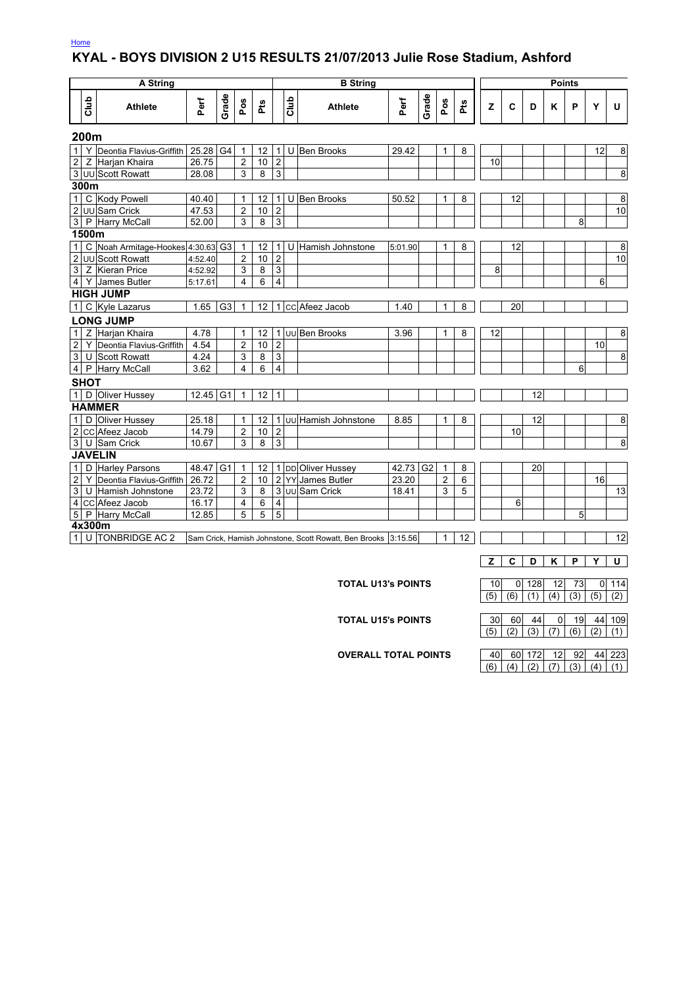#### Home

#### **KYAL - BOYS DIVISION 2 U15 RESULTS 21/07/2013 Julie Rose Stadium, Ashford**

| <b>A String</b><br><b>B</b> String |                                                                                                         |                    |                |                         |    |                |                |                           |         |                |                |   |    |                               |     | <b>Points</b> |    |                |                 |
|------------------------------------|---------------------------------------------------------------------------------------------------------|--------------------|----------------|-------------------------|----|----------------|----------------|---------------------------|---------|----------------|----------------|---|----|-------------------------------|-----|---------------|----|----------------|-----------------|
| dub                                | <b>Athlete</b>                                                                                          | Perf               | Grade          | Pos                     | Ρť |                | Club           | <b>Athlete</b>            | Perf    | Grade          | Pos            | æ | z  | $\mathbf c$                   | D   | ĸ             | P  | Y              | U               |
| 200m                               |                                                                                                         |                    |                |                         |    |                |                |                           |         |                |                |   |    |                               |     |               |    |                |                 |
| 1 <sup>1</sup>                     | Y Deontia Flavius-Griffith 25.28 G4                                                                     |                    |                | $\mathbf{1}$            | 12 |                |                | 1 U Ben Brooks            | 29.42   |                | $\mathbf{1}$   | 8 |    |                               |     |               |    | 12             | 8               |
| 2 <sub>l</sub>                     | Z Harjan Khaira                                                                                         | 26.75              |                | $\overline{c}$          | 10 | $\overline{2}$ |                |                           |         |                |                |   | 10 |                               |     |               |    |                |                 |
|                                    | 3 UU Scott Rowatt                                                                                       | 28.08              |                | 3                       | 8  | $\overline{3}$ |                |                           |         |                |                |   |    |                               |     |               |    |                | $\bf8$          |
| 300m                               |                                                                                                         |                    |                |                         |    |                |                |                           |         |                |                |   |    |                               |     |               |    |                |                 |
| 1                                  | C Kody Powell                                                                                           | 40.40              |                | $\mathbf{1}$            | 12 |                |                | 1 U Ben Brooks            | 50.52   |                | 1              | 8 |    | 12                            |     |               |    |                | 8               |
|                                    | 2 UU Sam Crick                                                                                          | 47.53              |                | $\overline{2}$          | 10 | $\overline{2}$ |                |                           |         |                |                |   |    |                               |     |               |    |                | 10              |
|                                    | 3 P Harry McCall                                                                                        | $\overline{52.00}$ |                | 3                       | 8  | $\overline{3}$ |                |                           |         |                |                |   |    |                               |     |               | 8  |                |                 |
| 1500m                              |                                                                                                         |                    |                |                         |    |                |                |                           |         |                |                |   |    |                               |     |               |    |                |                 |
| 1                                  | C Noah Armitage-Hookes 4:30.63 G3                                                                       |                    |                | $\mathbf{1}$            | 12 |                | 1 <sup>U</sup> | Hamish Johnstone          | 5:01.90 |                | 1              | 8 |    | 12                            |     |               |    |                | 8               |
|                                    | 2 UU Scott Rowatt                                                                                       | 4:52.40            |                | $\overline{2}$          | 10 | $\overline{2}$ |                |                           |         |                |                |   |    |                               |     |               |    |                | 10              |
|                                    | 3 Z Kieran Price                                                                                        | 4:52.92            |                | 3                       | 8  | $\overline{3}$ |                |                           |         |                |                |   | 8  |                               |     |               |    |                |                 |
|                                    | 4 Y James Butler                                                                                        | 5:17.61            |                | $\overline{\mathbf{4}}$ | 6  | $\overline{4}$ |                |                           |         |                |                |   |    |                               |     |               |    | 6              |                 |
|                                    | <b>HIGH JUMP</b>                                                                                        |                    |                |                         |    |                |                |                           |         |                |                |   |    |                               |     |               |    |                |                 |
| 1                                  | C Kyle Lazarus                                                                                          | 1.65               | G <sub>3</sub> | $\mathbf{1}$            | 12 |                |                | 1 cc Afeez Jacob          | 1.40    |                | 1              | 8 |    | 20                            |     |               |    |                |                 |
|                                    | <b>LONG JUMP</b>                                                                                        |                    |                |                         |    |                |                |                           |         |                |                |   |    |                               |     |               |    |                |                 |
| 1 <sup>1</sup>                     | Z Harjan Khaira                                                                                         | 4.78               |                | 1                       | 12 |                |                | 1 Jul Ben Brooks          | 3.96    |                | $\mathbf{1}$   | 8 | 12 |                               |     |               |    |                | 8               |
| $\overline{2}$                     | Y Deontia Flavius-Griffith                                                                              | 4.54               |                | $\overline{2}$          | 10 | $\overline{2}$ |                |                           |         |                |                |   |    |                               |     |               |    | 10             |                 |
| 3 <sup>1</sup>                     | U Scott Rowatt                                                                                          | 4.24               |                | 3                       | 8  | $\overline{3}$ |                |                           |         |                |                |   |    |                               |     |               |    |                | 8               |
| 4 <sup>1</sup>                     | P Harry McCall                                                                                          | 3.62               |                | 4                       | 6  | $\overline{4}$ |                |                           |         |                |                |   |    |                               |     |               | 6  |                |                 |
| <b>SHOT</b>                        |                                                                                                         |                    |                |                         |    |                |                |                           |         |                |                |   |    |                               |     |               |    |                |                 |
|                                    | 1 D Oliver Hussey<br>12.45 G1<br>12<br>$\mathbf{1}$<br>$\mathbf{1}$                                     |                    |                |                         |    |                |                |                           |         |                |                |   |    |                               | 12  |               |    |                |                 |
|                                    | <b>HAMMER</b>                                                                                           |                    |                |                         |    |                |                |                           |         |                |                |   |    |                               |     |               |    |                |                 |
| 1                                  | D Oliver Hussey                                                                                         | 25.18              |                | $\mathbf{1}$            | 12 |                |                | 1 JUU Hamish Johnstone    | 8.85    |                | 1              | 8 |    |                               | 12  |               |    |                | 8               |
|                                    | 2 CC Afeez Jacob                                                                                        | 14.79              |                | $\overline{2}$          | 10 | $\overline{2}$ |                |                           |         |                |                |   |    | 10                            |     |               |    |                |                 |
|                                    | 3 U Sam Crick                                                                                           | 10.67              |                | 3                       | 8  | $\mathbf{3}$   |                |                           |         |                |                |   |    |                               |     |               |    |                | 8               |
| <b>JAVELIN</b>                     |                                                                                                         |                    |                |                         |    |                |                |                           |         |                |                |   |    |                               |     |               |    |                |                 |
| 1                                  | D Harley Parsons                                                                                        | 48.47 G1           |                | 1                       | 12 |                |                | 1 DD Oliver Hussey        | 42.73   | G <sub>2</sub> | $\mathbf{1}$   | 8 |    |                               | 20  |               |    |                |                 |
| $\overline{2}$                     | Y Deontia Flavius-Griffith                                                                              | 26.72              |                | $\overline{2}$          | 10 |                |                | 2 YY James Butler         | 23.20   |                | $\overline{2}$ | 6 |    |                               |     |               |    | 16             |                 |
|                                    | 3 U Hamish Johnstone                                                                                    | 23.72              |                | 3                       | 8  |                |                | 3 UU Sam Crick            | 18.41   |                | 3              | 5 |    |                               |     |               |    |                | $\overline{13}$ |
|                                    | 4 CC Afeez Jacob                                                                                        | 16.17              |                | 4                       | 6  | $\overline{4}$ |                |                           |         |                |                |   |    | 6                             |     |               |    |                |                 |
|                                    | 5 P Harry McCall                                                                                        | 12.85              |                | 5                       | 5  | 5              |                |                           |         |                |                |   |    |                               |     |               | 5  |                |                 |
| 4x300m                             |                                                                                                         |                    |                |                         |    |                |                |                           |         |                |                |   |    |                               |     |               |    |                |                 |
| 1 <sup>1</sup>                     | U TONBRIDGE AC 2<br>$\mathbf{1}$<br>12<br>Sam Crick, Hamish Johnstone, Scott Rowatt, Ben Brooks 3:15.56 |                    |                |                         |    |                |                |                           |         |                |                |   |    |                               |     |               |    |                | 12              |
|                                    |                                                                                                         |                    |                |                         |    |                |                |                           |         |                |                |   |    | C                             | D   | Κ             | P  | Y              | U               |
|                                    |                                                                                                         |                    |                |                         |    |                |                |                           |         |                |                |   |    |                               |     |               |    |                |                 |
|                                    |                                                                                                         |                    |                |                         |    |                |                | <b>TOTAL U13's POINTS</b> |         |                |                |   | 10 | 0                             | 128 | 12            | 73 | $\overline{0}$ | 114             |
|                                    |                                                                                                         |                    |                |                         |    |                |                |                           |         |                |                |   |    | $(5)$ $(6)$ $(1)$ $(4)$ $(4)$ |     |               |    | $(3)$ $(5)$    | (2)             |

 $(5)$   $(6)$   $(1)$   $(4)$   $(3)$   $(5)$   $(2)$ **TOTAL U15's POINTS** 30 60 44 0 19 44 109

 $(5)$   $(2)$   $(3)$   $(7)$   $(6)$   $(2)$   $(1)$ 

**OVERALL TOTAL POINTS** | 40 60 172 12 92 44 223  $(6)$   $(4)$   $(2)$   $(7)$   $(3)$   $(4)$   $(1)$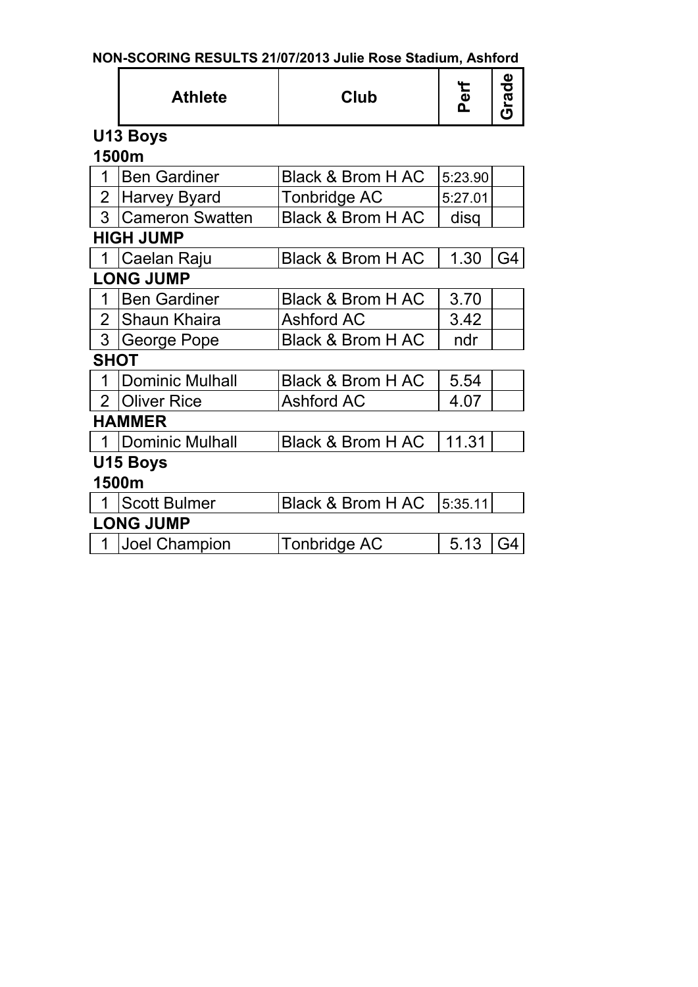| NON-SCORING RESULTS 21/07/2013 Julie Rose Stadium, Ashford |  |
|------------------------------------------------------------|--|
|------------------------------------------------------------|--|

|                | <b>Athlete</b>         | <b>Club</b>                  | Perf    | Grade |
|----------------|------------------------|------------------------------|---------|-------|
|                | U13 Boys               |                              |         |       |
|                | 1500m                  |                              |         |       |
| 1              | <b>Ben Gardiner</b>    | <b>Black &amp; Brom H AC</b> | 5:23.90 |       |
| $\overline{2}$ | <b>Harvey Byard</b>    | <b>Tonbridge AC</b>          | 5:27.01 |       |
| 3              | <b>Cameron Swatten</b> | <b>Black &amp; Brom H AC</b> | disq    |       |
|                | <b>HIGH JUMP</b>       |                              |         |       |
|                | Caelan Raju            | <b>Black &amp; Brom H AC</b> | 1.30    | G4    |
|                | <b>LONG JUMP</b>       |                              |         |       |
| 1              | <b>Ben Gardiner</b>    | <b>Black &amp; Brom H AC</b> | 3.70    |       |
| $\overline{2}$ | <b>Shaun Khaira</b>    | <b>Ashford AC</b>            | 3.42    |       |
| 3              | George Pope            | <b>Black &amp; Brom H AC</b> | ndr     |       |
| <b>SHOT</b>    |                        |                              |         |       |
|                | <b>Dominic Mulhall</b> | <b>Black &amp; Brom H AC</b> | 5.54    |       |
| $\overline{2}$ | <b>Oliver Rice</b>     | <b>Ashford AC</b>            | 4.07    |       |
|                | <b>HAMMER</b>          |                              |         |       |
|                | <b>Dominic Mulhall</b> | <b>Black &amp; Brom H AC</b> | 11.31   |       |
|                | U15 Boys               |                              |         |       |
|                | 1500m                  |                              |         |       |
|                | <b>Scott Bulmer</b>    | <b>Black &amp; Brom H AC</b> | 5:35.11 |       |
|                | <b>LONG JUMP</b>       |                              |         |       |
| 1              | <b>Joel Champion</b>   | Tonbridge AC                 | 5.13    | G4    |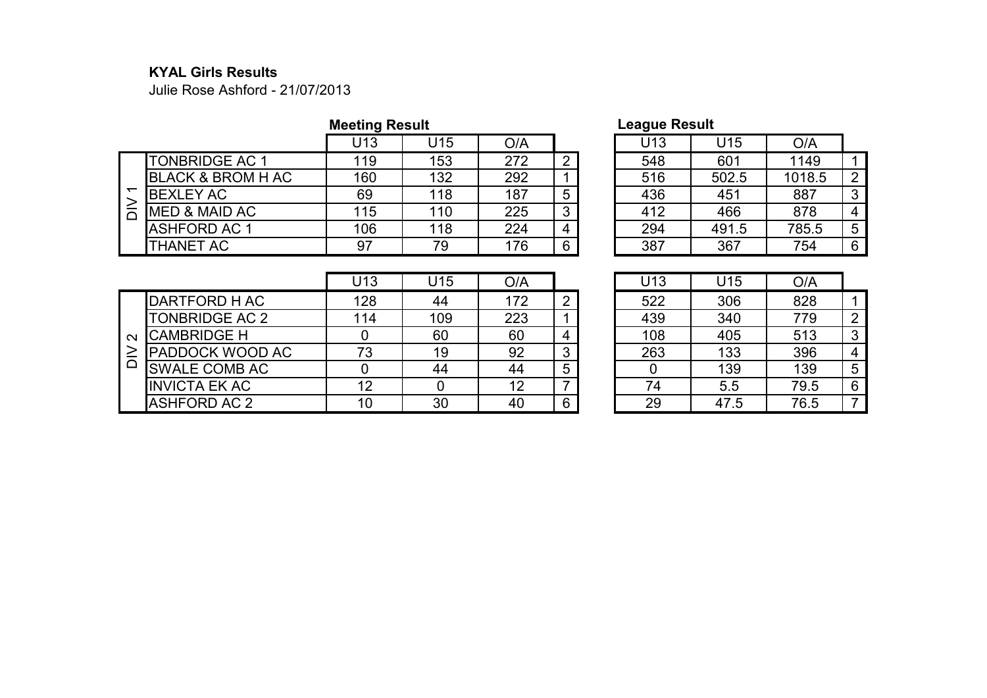#### **KYAL Girls Results**

Julie Rose Ashford - 21/07/2013

|                              | <b>Meeting Result</b> |     |     |   | League Result   |       |        |    |
|------------------------------|-----------------------|-----|-----|---|-----------------|-------|--------|----|
|                              | U13                   | U15 | O/A |   | U <sub>13</sub> | U15   | O/A    |    |
| <b>TONBRIDGE AC 1</b>        | 119                   | 153 | 272 | ົ | 548             | 601   | 1149   |    |
| <b>BLACK &amp; BROM H AC</b> | 160                   | 132 | 292 |   | 516             | 502.5 | 1018.5 | 2  |
| <b>BEXLEY AC</b>             | 69                    | 118 | 187 | 5 | 436             | 451   | 887    | 3  |
| <b>MED &amp; MAID AC</b>     | 115                   | 110 | 225 | 3 | 412             | 466   | 878    | -4 |
| <b>ASHFORD AC 1</b>          | 106                   | 118 | 224 |   | 294             | 491.5 | 785.5  | 5  |
| THANET AC                    | 97                    | 79  | 176 | 6 | 387             | 367   | 754    | 6  |

## **League Result**

| U13 | U15   | O/A    |   |
|-----|-------|--------|---|
| 548 | 601   | 1149   |   |
| 516 | 502.5 | 1018.5 | 2 |
| 436 | 451   | 887    | 3 |
| 412 | 466   | 878    |   |
| 294 | 491.5 | 785.5  | 5 |
| 387 | 367   | 754    | 6 |

|                   |                       | U13 | J15 | O/A |   | U13 | U15  | O/A  |   |
|-------------------|-----------------------|-----|-----|-----|---|-----|------|------|---|
|                   | DARTFORD H AC         | 128 | 44  | 172 |   | 522 | 306  | 828  |   |
|                   | <b>TONBRIDGE AC 2</b> | 114 | 109 | 223 |   | 439 | 340  | 779  | 2 |
| $\mathbf{\Omega}$ | <b>CAMBRIDGE H</b>    |     | 60  | 60  |   | 108 | 405  | 513  | 3 |
|                   | PADDOCK WOOD AC       | 73  | 19  | 92  |   | 263 | 133  | 396  | 4 |
| ≏                 | <b>SWALE COMB AC</b>  |     | 44  | 44  | 5 |     | 139  | 139  | 5 |
|                   | <b>INVICTA EK AC</b>  | 12  |     | 12  |   | 74  | 5.5  | 79.5 | 6 |
|                   | <b>ASHFORD AC 2</b>   | 10  | 30  | 40  | 6 | 29  | 47.5 | 76.5 | ⇁ |

| U13 | U15  | O/A  |   |
|-----|------|------|---|
| 522 | 306  | 828  |   |
| 439 | 340  | 779  | 2 |
| 108 | 405  | 513  | 3 |
| 263 | 133  | 396  | 4 |
|     | 139  | 139  | 5 |
| 74  | 5.5  | 79.5 | 6 |
| 29  | 47.5 | 76.5 |   |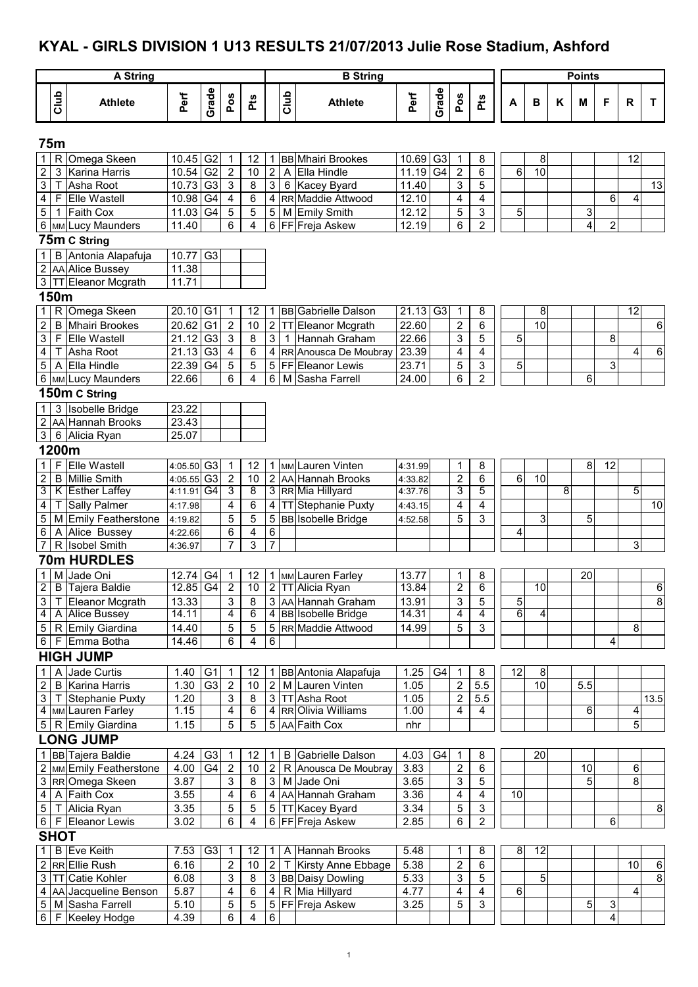# **KYAL - GIRLS DIVISION 1 U13 RESULTS 21/07/2013 Julie Rose Stadium, Ashford**

|                         |              | <b>A String</b>                            |                        |                 |                           |                |                         |      | <b>B</b> String                            |                        |                |                         |                           |    |                 |   | <b>Points</b> |                         |                 |                |
|-------------------------|--------------|--------------------------------------------|------------------------|-----------------|---------------------------|----------------|-------------------------|------|--------------------------------------------|------------------------|----------------|-------------------------|---------------------------|----|-----------------|---|---------------|-------------------------|-----------------|----------------|
|                         |              |                                            |                        |                 |                           |                |                         |      |                                            |                        |                |                         |                           |    |                 |   |               |                         |                 |                |
|                         | Club         | <b>Athlete</b>                             | Perf                   | Grade           | Pos                       | Pts            |                         | Club | <b>Athlete</b>                             | Perf                   | Grade          | Pos                     | Pts                       | А  | B               | Κ | M             | F                       | R               | T.             |
|                         | 75m          |                                            |                        |                 |                           |                |                         |      |                                            |                        |                |                         |                           |    |                 |   |               |                         |                 |                |
| $\mathbf{1}$            | R            | Omega Skeen                                | 10.45 G2               |                 | 1                         | 12             | $\mathbf{1}$            |      | <b>BB</b> Mhairi Brookes                   | 10.69                  | G <sub>3</sub> | $\overline{1}$          | 8                         |    | 8               |   |               |                         | 12              |                |
| 2                       | 3            | Karina Harris                              | 10.54 G2               |                 | $\sqrt{2}$                | 10             | $\overline{2}$          |      | A Ella Hindle                              | 11.19                  | G <sub>4</sub> | $\overline{\mathbf{c}}$ | 6                         | 6  | 10              |   |               |                         |                 |                |
| 3                       | т            | Asha Root                                  | 10.73                  | G <sub>3</sub>  | $\ensuremath{\mathsf{3}}$ | 8              | $\mathbf{3}$            |      | 6 Kacey Byard                              | 11.40                  |                | 3                       | 5                         |    |                 |   |               |                         |                 | 13             |
| 4                       | F            | <b>Elle Wastell</b>                        | 10.98 G4               |                 | $\overline{4}$            | 6              | $\overline{\mathbf{4}}$ |      | RR Maddie Attwood                          | 12.10                  |                | $\overline{\mathbf{4}}$ | $\overline{\mathbf{4}}$   |    |                 |   |               | 6                       | $\overline{4}$  |                |
| 5                       | $\mathbf{1}$ | <b>Faith Cox</b>                           | 11.03 G4               |                 | 5                         | $\overline{5}$ | 5 <sub>5</sub>          |      | M Emily Smith                              | 12.12                  |                | 5                       | 3                         | 5  |                 |   | 3             |                         |                 |                |
|                         |              | 6 MM Lucy Maunders                         | 11.40                  |                 | 6                         | 4              | 6                       |      | FF Freja Askew                             | 12.19                  |                | 6                       | $\overline{2}$            |    |                 |   | 4             | $\overline{\mathbf{c}}$ |                 |                |
|                         |              | 75m C String                               |                        |                 |                           |                |                         |      |                                            |                        |                |                         |                           |    |                 |   |               |                         |                 |                |
| 1                       | B            | Antonia Alapafuja<br>2   AA   Alice Bussey | 10.77 G3<br>11.38      |                 |                           |                |                         |      |                                            |                        |                |                         |                           |    |                 |   |               |                         |                 |                |
|                         |              | 3   TT Eleanor Mcgrath                     | 11.71                  |                 |                           |                |                         |      |                                            |                        |                |                         |                           |    |                 |   |               |                         |                 |                |
|                         | 150m         |                                            |                        |                 |                           |                |                         |      |                                            |                        |                |                         |                           |    |                 |   |               |                         |                 |                |
| $1 \mid$                |              | R Omega Skeen                              | $20.10$ G1             |                 | 1                         | 12             | 1 <sup>1</sup>          |      | <b>BB</b> Gabrielle Dalson                 | $21.13$ G <sub>3</sub> |                | $\mathbf{1}$            | 8                         |    | 8               |   |               |                         | $\overline{12}$ |                |
| $\overline{2}$          | B            | Mhairi Brookes                             | 20.62 G1               |                 | $\mathbf 2$               | 10             | $\overline{c}$          |      | TT Eleanor Mcgrath                         | 22.60                  |                | $\boldsymbol{2}$        | 6                         |    | $\overline{10}$ |   |               |                         |                 | 6              |
| $\mathbf{3}$            | F            | Elle Wastell                               | $21.12$ G <sub>3</sub> |                 | $\sqrt{3}$                | 8              | $\mathbf{3}$            |      | 1 Hannah Graham                            | 22.66                  |                | 3                       | 5                         | 5  |                 |   |               | 8                       |                 |                |
| $\overline{\mathbf{4}}$ | Т            | Asha Root                                  | 21.13                  | G <sub>3</sub>  | $\overline{\mathbf{4}}$   | $\overline{6}$ | $\overline{\mathbf{4}}$ |      | RR Anousca De Moubray                      | 23.39                  |                | 4                       | $\overline{\mathbf{4}}$   |    |                 |   |               |                         | 4               | $\overline{6}$ |
| $\,$ 5 $\,$             |              | A Ella Hindle                              | 22.39 G4               |                 | 5                         | 5              |                         |      | 5 FF Eleanor Lewis                         | 23.71                  |                | 5                       | 3                         | 5  |                 |   |               | 3                       |                 |                |
|                         |              | 6 MM Lucy Maunders                         | 22.66                  |                 | 6                         | 4              | 6                       |      | M Sasha Farrell                            | 24.00                  |                | 6                       | $\overline{c}$            |    |                 |   | 6             |                         |                 |                |
|                         |              | 150m C String                              |                        |                 |                           |                |                         |      |                                            |                        |                |                         |                           |    |                 |   |               |                         |                 |                |
| 1                       |              | 3 Isobelle Bridge                          | 23.22                  |                 |                           |                |                         |      |                                            |                        |                |                         |                           |    |                 |   |               |                         |                 |                |
|                         |              | 2 AA Hannah Brooks                         | 23.43                  |                 |                           |                |                         |      |                                            |                        |                |                         |                           |    |                 |   |               |                         |                 |                |
|                         |              | 3 6 Alicia Ryan                            | 25.07                  |                 |                           |                |                         |      |                                            |                        |                |                         |                           |    |                 |   |               |                         |                 |                |
|                         | 1200m        |                                            |                        |                 |                           |                |                         |      |                                            |                        |                |                         |                           |    |                 |   |               |                         |                 |                |
| $\mathbf{1}$            | F            | <b>Elle Wastell</b>                        | 4:05.50 G3             |                 | 1                         | 12             |                         |      | 1   MM Lauren Vinten                       | 4:31.99                |                | 1                       | 8                         |    |                 |   | 8             | 12                      |                 |                |
| $\overline{c}$          | B            | Millie Smith                               | 4:05.55 G3             |                 | $\overline{\mathbf{c}}$   | 10             |                         |      | 2 AA Hannah Brooks                         | 4:33.82                |                | $\overline{\mathbf{c}}$ | $\,6$                     | 6  | 10              |   |               |                         |                 |                |
| 3                       |              | K Esther Laffey                            | 4:11.91 G4             |                 | 3                         | 8              |                         |      | 3 RR Mia Hillyard                          | 4:37.76                |                | 3                       | 5                         |    |                 | 8 |               |                         | 5               |                |
| $\overline{\mathbf{4}}$ | т            | <b>Sally Palmer</b>                        | 4:17.98                |                 | 4                         | 6              | $\overline{4}$          |      | TT Stephanie Puxty                         | 4:43.15                |                | 4                       | 4                         |    |                 |   |               |                         |                 | 10             |
| 5                       |              | M Emily Featherstone                       | 4:19.82                |                 | 5                         | 5              |                         |      | 5 BB Isobelle Bridge                       | 4:52.58                |                | 5                       | 3                         |    | 3               |   | 5             |                         |                 |                |
| 6                       |              | A Alice Bussey                             | 4:22.66                |                 | 6<br>7                    | 4              | 6                       |      |                                            |                        |                |                         |                           | 4  |                 |   |               |                         |                 |                |
| $\overline{7}$          |              | R Isobel Smith<br><b>70m HURDLES</b>       | 4:36.97                |                 |                           | 3              | $\overline{7}$          |      |                                            |                        |                |                         |                           |    |                 |   |               |                         | 3               |                |
|                         |              |                                            |                        |                 |                           |                |                         |      |                                            |                        |                |                         |                           |    |                 |   |               |                         |                 |                |
| 1 <sup>1</sup>          |              | M Jade Oni<br>2   B   Tajera Baldie        | 12.74 G4<br>12.85 G4   |                 | 1<br>$\overline{2}$       | 12<br>10       |                         |      | 1 MM Lauren Farley<br>2 TT Alicia Ryan     | 13.77<br>13.84         |                | 1<br>2                  | 8<br>6                    |    | 10              |   | 20            |                         |                 | 6              |
| 3 <sup>1</sup>          |              | T Eleanor Mcgrath                          | 13.33                  |                 | 3                         | 8              |                         |      | 3 AA Hannah Graham                         | 13.91                  |                | 3                       | 5                         | 5  |                 |   |               |                         |                 | 8              |
|                         |              | 4 A Alice Bussey                           | 14.11                  |                 | 4                         | 6              |                         |      | 4 BB Isobelle Bridge                       | 14.31                  |                | 4                       | 4                         | 6  | 4               |   |               |                         |                 |                |
|                         |              | 5   R Emily Giardina                       | 14.40                  |                 | 5                         | 5              |                         |      | 5 RR Maddie Attwood                        | 14.99                  |                | 5                       | $\mathfrak{S}$            |    |                 |   |               |                         | 8               |                |
|                         |              | 6 F Emma Botha                             | 14.46                  |                 | 6                         | 4              | 6                       |      |                                            |                        |                |                         |                           |    |                 |   |               | 4                       |                 |                |
|                         |              | <b>HIGH JUMP</b>                           |                        |                 |                           |                |                         |      |                                            |                        |                |                         |                           |    |                 |   |               |                         |                 |                |
| $1 \mid$                | A            | Jade Curtis                                | $1.40$ G1              |                 | $\mathbf{1}$              | 12             |                         |      | 1 BB Antonia Alapafuja                     | 1.25                   | G4             | $\mathbf{1}$            | 8                         | 12 | 8               |   |               |                         |                 |                |
| 2 <sup>1</sup>          |              | <b>B</b> Karina Harris                     | 1.30                   | G <sub>3</sub>  | $\overline{2}$            | 10             | 2                       |      | M Lauren Vinten                            | 1.05                   |                | $\overline{2}$          | 5.5                       |    | 10              |   | 5.5           |                         |                 |                |
|                         |              | 3   T Stephanie Puxty                      | 1.20                   |                 | 3                         | 8              | 3 <sup>1</sup>          |      | TT Asha Root                               | 1.05                   |                | $\boldsymbol{2}$        | $5.5\,$                   |    |                 |   |               |                         |                 | 13.5           |
|                         |              | 4 MM Lauren Farley                         | 1.15                   |                 | 4                         | 6              |                         |      | 4 RROlivia Williams                        | 1.00                   |                | 4                       | $\overline{4}$            |    |                 |   | 6             |                         | 4               |                |
|                         |              | 5   R Emily Giardina                       | 1.15                   |                 | 5                         | 5              |                         |      | 5 AA Faith Cox                             | nhr                    |                |                         |                           |    |                 |   |               |                         | 5               |                |
|                         |              | <b>LONG JUMP</b>                           |                        |                 |                           |                |                         |      |                                            |                        |                |                         |                           |    |                 |   |               |                         |                 |                |
|                         |              | 1 BB Tajera Baldie                         | 4.24                   | G <sub>3</sub>  | 1                         | 12             | $\mathbf{1}$            |      | <b>B</b> Gabrielle Dalson                  | 4.03                   | G4             | -1                      | 8                         |    | 20              |   |               |                         |                 |                |
|                         |              | 2   MM Emily Featherstone                  | 4.00                   | $\overline{G4}$ | $\sqrt{2}$                | 10             | $\mathbf{2}$            |      | R Anousca De Moubray                       | 3.83                   |                | $\overline{2}$          | 6                         |    |                 |   | 10            |                         | 6               |                |
|                         |              | 3 RROmega Skeen                            | 3.87                   |                 | 3                         | 8              | 3 <sup>1</sup>          |      | M Jade Oni                                 | 3.65                   |                | 3                       | 5                         |    |                 |   | 5             |                         | 8               |                |
| 4 <sup>1</sup>          |              | A Faith Cox                                | 3.55                   |                 | 4                         | 6              |                         |      | 4 AA Hannah Graham                         | 3.36                   |                | 4                       | 4                         | 10 |                 |   |               |                         |                 |                |
|                         |              | 5   T Alicia Ryan                          | 3.35                   |                 | 5                         | 5              |                         |      | 5 TT Kacey Byard                           | 3.34                   |                | 5                       | $\ensuremath{\mathsf{3}}$ |    |                 |   |               |                         |                 | 8              |
|                         |              | 6   F Eleanor Lewis                        | 3.02                   |                 | 6                         | 4              |                         |      | 6 FF Freja Askew                           | 2.85                   |                | 6                       | $\overline{2}$            |    |                 |   |               | $\,6$                   |                 |                |
|                         | <b>SHOT</b>  |                                            |                        |                 |                           |                |                         |      |                                            |                        |                |                         |                           |    |                 |   |               |                         |                 |                |
| $1 \mid$                |              | <b>B</b> Eve Keith                         | 7.53                   | G <sub>3</sub>  | 1                         | 12             | $\mathbf 1$             |      | A Hannah Brooks                            | 5.48                   |                | 1                       | 8                         | 8  | 12              |   |               |                         |                 |                |
|                         |              | 2 RR Ellie Rush<br>3 TT Catie Kohler       | 6.16<br>6.08           |                 | $\overline{c}$<br>3       | 10<br>8        | $\overline{2}$          |      | T Kirsty Anne Ebbage<br>3 BB Daisy Dowling | 5.38<br>5.33           |                | $\overline{c}$<br>3     | 6<br>5                    |    | 5               |   |               |                         | 10              | $\,6$<br>8     |
|                         |              | 4 AA Jacqueline Benson                     | 5.87                   |                 | 4                         | 6              | 4 <sup>1</sup>          |      | R Mia Hillyard                             | 4.77                   |                | 4                       | 4                         | 6  |                 |   |               |                         | 4               |                |
|                         |              | 5 M Sasha Farrell                          | 5.10                   |                 | 5                         | 5              |                         |      | 5 FF Freja Askew                           | 3.25                   |                | 5                       | $\overline{3}$            |    |                 |   | 5             | 3                       |                 |                |
|                         |              | 6   F   Keeley Hodge                       | 4.39                   |                 | 6                         | 4              | 6                       |      |                                            |                        |                |                         |                           |    |                 |   |               | $\overline{4}$          |                 |                |
|                         |              |                                            |                        |                 |                           |                |                         |      |                                            |                        |                |                         |                           |    |                 |   |               |                         |                 |                |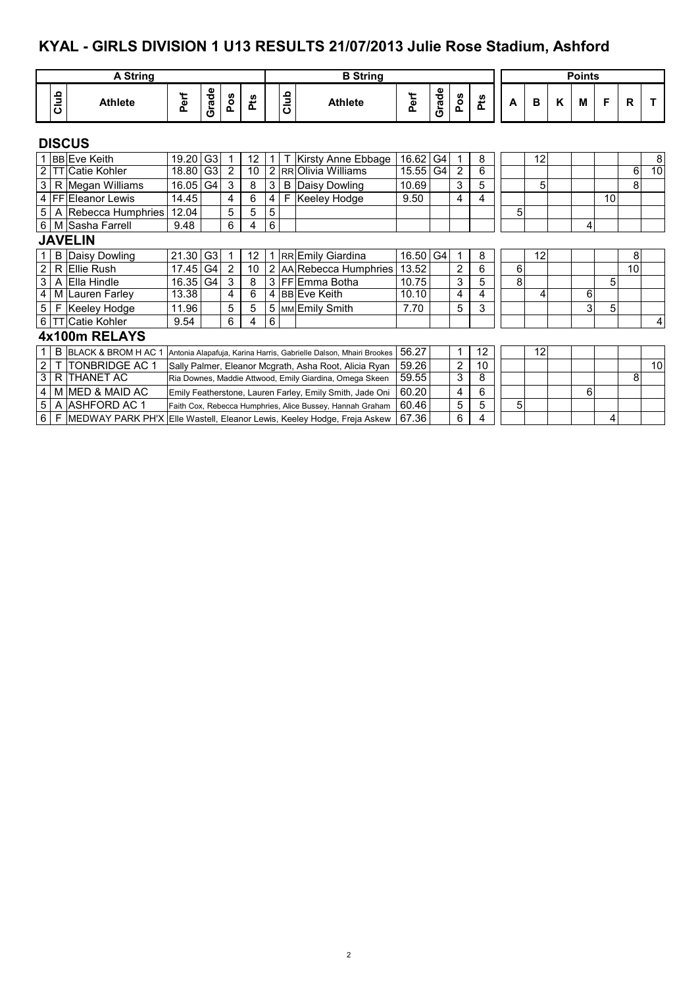#### **KYAL - GIRLS DIVISION 1 U13 RESULTS 21/07/2013 Julie Rose Stadium, Ashford**

|                |      | <b>A String</b>                  |          |                |     |                 |             |      | <b>B</b> String                                                    |          |                |                |     |   |    |   | <b>Points</b> |    |             |                |
|----------------|------|----------------------------------|----------|----------------|-----|-----------------|-------------|------|--------------------------------------------------------------------|----------|----------------|----------------|-----|---|----|---|---------------|----|-------------|----------------|
|                | Club | <b>Athlete</b>                   | Perf     | Grade          | Pos | Pts             |             | Club | <b>Athlete</b>                                                     | Perf     | Grade          | Pos            | Pts | А | B  | K | M             | F  | $\mathbf R$ |                |
|                |      | <b>DISCUS</b>                    |          |                |     |                 |             |      |                                                                    |          |                |                |     |   |    |   |               |    |             |                |
|                |      | 1 BB Eve Keith                   | 19.20    | G <sub>3</sub> | 1   | 12              | $\mathbf 1$ |      | Kirsty Anne Ebbage                                                 | 16.62    | G <sub>4</sub> | 1              | 8   |   | 12 |   |               |    |             | 8 <sup>1</sup> |
|                |      | <b>TT</b> Catie Kohler           | 18.80    | G3             | 2   | 10              |             |      | 2 RR Olivia Williams                                               | 15.55    | G4             | 2              | 6   |   |    |   |               |    | 6           | 10             |
| 3              |      | R Megan Williams                 | 16.05 G4 |                | 3   | 8               | 3           |      | <b>B</b> Daisy Dowling                                             | 10.69    |                | 3              | 5   |   | 5  |   |               |    | 8           |                |
|                |      | 4   FF   Eleanor Lewis           | 14.45    |                | 4   | 6               | 4           | F    | Keeley Hodge                                                       | 9.50     |                | 4              | 4   |   |    |   |               | 10 |             |                |
| 5 <sup>5</sup> |      | A Rebecca Humphries              | 12.04    |                | 5   | 5               | 5           |      |                                                                    |          |                |                |     | 5 |    |   |               |    |             |                |
|                |      | 6 M Sasha Farrell                | 9.48     |                | 6   | 4               | 6           |      |                                                                    |          |                |                |     |   |    |   | 4             |    |             |                |
|                |      | <b>JAVELIN</b>                   |          |                |     |                 |             |      |                                                                    |          |                |                |     |   |    |   |               |    |             |                |
|                |      | <b>B</b> Daisy Dowling           | 21.30    | G <sub>3</sub> | 1   | 12 <sup>2</sup> |             |      | 1 RR Emily Giardina                                                | 16.50 G4 |                | 1              | 8   |   | 12 |   |               |    | 8           |                |
| $\overline{2}$ |      | R Ellie Rush                     | 17.45    | G <sub>4</sub> | 2   | 10              |             |      | 2 AA Rebecca Humphries                                             | 13.52    |                | $\overline{2}$ | 6   | 6 |    |   |               |    | 10          |                |
| 3              |      | A Ella Hindle                    | 16.35    | G <sub>4</sub> | 3   | 8               |             |      | 3 FFIEmma Botha                                                    | 10.75    |                | 3              | 5   | 8 |    |   |               | 5  |             |                |
| $\overline{4}$ |      | M Lauren Farley                  | 13.38    |                | 4   | 6               |             |      | 4 BB Eve Keith                                                     | 10.10    |                | 4              | 4   |   | 4  |   | 6             |    |             |                |
| 5              | F    | Keeley Hodge                     | 11.96    |                | 5   | 5               |             |      | 5   MM Emily Smith                                                 | 7.70     |                | 5              | 3   |   |    |   | 3             | 5  |             |                |
|                |      | 6 TT Catie Kohler                | 9.54     |                | 6   | 4               | 6           |      |                                                                    |          |                |                |     |   |    |   |               |    |             | 4              |
|                |      | 4x100m RELAYS                    |          |                |     |                 |             |      |                                                                    |          |                |                |     |   |    |   |               |    |             |                |
|                |      | <b>B BLACK &amp; BROM H AC 1</b> |          |                |     |                 |             |      | Antonia Alapafuja, Karina Harris, Gabrielle Dalson, Mhairi Brookes | 56.27    |                | 1              | 12  |   | 12 |   |               |    |             |                |
| $\overline{2}$ |      | <b>ITONBRIDGE AC 1</b>           |          |                |     |                 |             |      | Sally Palmer, Eleanor Mcgrath, Asha Root, Alicia Ryan              | 59.26    |                | $\overline{2}$ | 10  |   |    |   |               |    |             | 10             |
| 3              |      | R <b>THANET AC</b>               |          |                |     |                 |             |      | Ria Downes, Maddie Attwood, Emily Giardina, Omega Skeen            | 59.55    |                | 3              | 8   |   |    |   |               |    | 8           |                |
|                |      | 4   M MED & MAID AC              |          |                |     |                 |             |      | Emily Featherstone, Lauren Farley, Emily Smith, Jade Oni           | 60.20    |                | 4              | 6   |   |    |   | 6             |    |             |                |

 $5$  | A |ASHFORD AC 1  $-$  Faith Cox, Rebecca Humphries, Alice Bussey, Hannah Graham | 60.46  $-$  | 5 | 5 | | 5 | 5

 $6$  | <code>F</code> |MEDWAY PARK PH'X |Elle Wastell, Eleanor Lewis, Keeley Hodge, Freja Askew |  $67.36$  |  $\,$  |  $\,$  |  $\,$  |  $\,$  |  $\,$  |  $\,$  |  $\,$  |  $\,$  |  $\,$  |  $\,$  |  $\,$  |  $\,$  |  $\,$  |  $\,$  |  $\,$  |  $\,$  |  $\,$  |  $\,$  |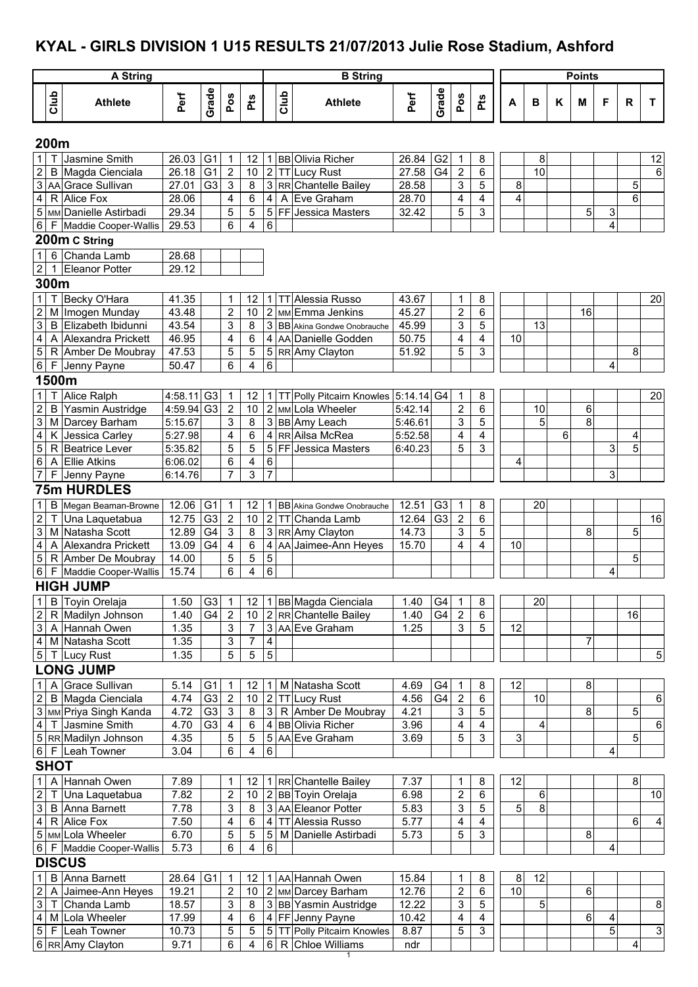## **KYAL - GIRLS DIVISION 1 U15 RESULTS 21/07/2013 Julie Rose Stadium, Ashford**

| Grade<br>Grade<br>Club<br>Club<br>Perf<br>Perf<br>Pos<br>Pos<br>Pts<br>Pts<br><b>Athlete</b><br><b>Athlete</b><br>Κ<br>F<br>R<br>A<br>B<br>M<br>T.<br>200m<br>$\mathbf{1}$<br>Jasmine Smith<br>26.03<br>G <sub>1</sub><br>G <sub>2</sub><br>Т<br>12<br>1 BB Olivia Richer<br>26.84<br>8<br>8<br>12<br>1<br>1<br>$\overline{2}$<br>$\overline{2}$<br>2 TT Lucy Rust<br>10<br>Magda Cienciala<br>26.18<br>G <sub>1</sub><br>10<br>27.58<br>G4<br>$\boldsymbol{2}$<br>6<br>B<br>6<br>$\overline{3}$<br>G <sub>3</sub><br>3<br>8<br>3<br>8<br>5<br>AA Grace Sullivan<br>27.01<br>3 RR Chantelle Bailey<br>28.58<br>5<br>$\overline{\mathbf{4}}$<br>R Alice Fox<br>28.06<br>6<br>$\overline{4}$<br>4<br>A<br>Eve Graham<br>28.70<br>4<br>4<br>6<br>4<br>5<br>5<br>5<br>3<br>MM Danielle Astirbadi<br>29.34<br>5 FF Jessica Masters<br>5<br>3<br>5<br>32.42<br>6<br>4<br>6<br>6<br>29.53<br>4<br>Maddie Cooper-Wallis<br>F<br>200m C String<br>6 Chanda Lamb<br>$\mathbf{1}$<br>28.68<br>$\mathbf{2}$<br>1 Eleanor Potter<br>29.12<br>300m<br>$\overline{1}$<br>Becky O'Hara<br>$\mathsf{T}$<br>41.35<br>$\mathbf 1$<br>12<br>1 TT Alessia Russo<br>43.67<br>8<br>20<br>1<br>$\overline{2}$<br>$\overline{2}$<br>2 MM Emma Jenkins<br>2<br>16<br>M Imogen Munday<br>43.48<br>45.27<br>10<br>6<br>$\overline{3}$<br>3<br>3<br>5<br>13<br>B Elizabeth Ibidunni<br>43.54<br>8<br>3 BB Akina Gondwe Onobrauche<br>45.99<br>$\overline{\mathbf{4}}$<br>4<br>6<br>50.75<br>4<br>4<br>10<br>A Alexandra Prickett<br>46.95<br>4 AA Danielle Godden<br>5<br>5<br>5<br>3<br>47.53<br>5 RR Amy Clayton<br>8<br>$\sqrt{5}$<br>R Amber De Moubray<br>51.92<br>$6\vert$<br>4<br>6<br>6<br>F Jenny Payne<br>50.47<br>4<br>1500m<br>$\mathbf{1}$<br>Alice Ralph<br>$4:58.11$ G3<br>1   TT Polly Pitcairn Knowles   5:14.14   G4<br>20<br>12<br>1<br>8<br>$\mathbf 1$<br>$\mathbf 2$<br>$\boldsymbol{2}$<br>Yasmin Austridge<br>$4:59.94$ G <sub>3</sub><br>$\overline{2}$<br>6<br>6<br>B<br>2 MM Lola Wheeler<br>5:42.14<br>10<br>10<br>$\overline{5}$<br>8<br>$\overline{3}$<br>3<br>3<br>5<br>Darcey Barham<br>5:15.67<br>8<br>3 BB Amy Leach<br>M<br>5:46.61<br>$\overline{\mathbf{4}}$<br>6<br>4<br>4<br>6<br>K Jessica Carley<br>4<br>4 RR Ailsa McRea<br>5:27.98<br>5:52.58<br>4<br>5<br>$\overline{5}$<br>5<br>5 FF Jessica Masters<br>5<br>3<br>5<br>3<br>R Beatrice Lever<br>5:35.82<br>6:40.23<br>$\,6\,$<br>6<br>4<br>$\,6\,$<br>A Ellie Atkins<br>6:06.02<br>4<br>3<br>$\overline{7}$<br>$\boldsymbol{7}$<br>7<br>3<br>F Jenny Payne<br>6:14.76<br><b>75m HURDLES</b><br>$\mathbf{1}$<br>$\sf B$<br>12.06<br>G <sub>3</sub><br>20<br>Megan Beaman-Browne<br>G1<br>12.51<br>8<br>1<br>12<br><b>BB</b> Akina Gondwe Onobrauche<br>1<br>1 I<br>2 TT Chanda Lamb<br>$\boldsymbol{2}$<br>$\boldsymbol{2}$<br>6<br>12.75<br>G <sub>3</sub><br>10<br>12.64<br>$\boldsymbol{2}$<br>16<br>$\mathsf{T}$<br>Una Laquetabua<br>G <sub>3</sub><br>$\ensuremath{\mathsf{3}}$<br>G4<br>$\ensuremath{\mathsf{3}}$<br>$\mathsf 3$<br>8<br>5<br>M Natasha Scott<br>12.89<br>8<br>3 RR Amy Clayton<br>14.73<br>5<br>$\overline{\mathbf{4}}$<br>G <sub>4</sub><br>$\overline{\mathbf{4}}$<br>$\,6\,$<br>4 AA Jaimee-Ann Heyes<br>A Alexandra Prickett<br>13.09<br>15.70<br>4<br>4<br>10<br>5<br>$5\,$<br>14.00<br>5<br>5<br>R Amber De Moubray<br>5<br>$\sigma$<br>6<br>4<br>$\overline{6}$<br>15.74<br>Maddie Cooper-Wallis<br>4<br>F.<br><b>HIGH JUMP</b><br>$\mathbf 1$<br>1 BB Magda Cienciala<br>20<br>1.50<br>G <sub>3</sub><br>8<br><b>B</b> Toyin Orelaja<br>$\mathbf 1$<br>12<br>1.40<br>G4<br>$\mathbf 1$<br>$\sqrt{2}$<br>G4<br>2 RR Chantelle Bailey<br>R Madilyn Johnson<br>1.40<br>$\overline{2}$<br>1.40<br>G4<br>$\boldsymbol{2}$<br>16<br>10<br>6<br>$\overline{3}$<br>3<br>3<br>7<br>3 AA Eve Graham<br>5<br>A Hannah Owen<br>1.35<br>1.25<br>12<br>$\overline{\mathbf{4}}$<br>3<br>$\overline{4}$<br>7<br>M Natasha Scott<br>1.35<br>7<br>$\sqrt{5}$<br>5<br>$\sqrt{5}$<br>$5\,$<br>1.35<br>5<br>Lucy Rust<br>$\top$<br><b>LONG JUMP</b><br>$\mathbf{1}$<br><b>Grace Sullivan</b><br>8<br>A<br>5.14<br>G <sub>1</sub><br>1 M Natasha Scott<br>4.69<br>G4<br>12<br>12<br>$\mathbf{1}$<br>8<br>-1<br>$\overline{2}$<br>G <sub>3</sub><br>$\sqrt{2}$<br>B Magda Cienciala<br>4.74<br>2 TT Lucy Rust<br>4.56<br>G4<br>$\sqrt{2}$<br>10<br>$\,6$<br>10<br>6<br>8<br>$\ensuremath{\mathsf{3}}$<br>MM Priya Singh Kanda<br>4.72<br>G <sub>3</sub><br>$\sqrt{3}$<br>3 R Amber De Moubray<br>4.21<br>$\ensuremath{\mathsf{3}}$<br>5<br>5<br>8<br>$\overline{4}$<br>$\overline{\mathbf{4}}$<br>$\,6$<br>Jasmine Smith<br>4.70<br>G <sub>3</sub><br>4<br>6<br>4 BB Olivia Richer<br>3.96<br>4<br>$\mathsf{T}$<br>4<br>3<br>5 RR Madilyn Johnson<br>5<br>5<br>5 AA Eve Graham<br>3.69<br>5<br>3<br>5<br>4.35<br>6<br>4<br>6<br>6 F Leah Towner<br>3.04<br>4<br><b>SHOT</b><br>A Hannah Owen<br>$\mathbf{1}$<br>7.37<br>8<br>7.89<br>1 RR Chantelle Bailey<br>12<br>8<br>1<br>12<br>1<br>$\sqrt{2}$<br>$\boldsymbol{2}$<br>7.82<br>$\overline{c}$<br>6.98<br>6<br>10<br>Una Laquetabua<br>10<br>2 BB Toyin Orelaja<br>6<br>$\mathsf T$<br>8<br>$\mathsf 3$<br>7.78<br>3 AA Eleanor Potter<br>3<br>5<br>3<br>8<br>5.83<br>5<br><b>B</b> Anna Barnett<br>$\overline{4}$<br>7.50<br>6<br>4<br>$\overline{\mathbf{4}}$<br>R Alice Fox<br>4 TT Alessia Russo<br>5.77<br>6<br>4<br>4<br>5 MM Lola Wheeler<br>6.70<br>5<br>5<br>5.73<br>$\sqrt{5}$<br>$\mathfrak{S}$<br>8<br>5 M Danielle Astirbadi<br>5.73<br>4<br>$\,6\,$<br>6<br>$\overline{4}$<br>F Maddie Cooper-Wallis<br>$6 \mid$<br><b>DISCUS</b><br>$\mathbf{1}$<br>B Anna Barnett<br>28.64<br>G <sub>1</sub><br>1 AA Hannah Owen<br>15.84<br>12<br>8<br>8<br>1<br>12<br>1<br>10<br>2 MM Darcey Barham<br>$\boldsymbol{2}$<br>6<br>$\boldsymbol{2}$<br>19.21<br>$\overline{c}$<br>12.76<br>6<br>A Jaimee-Ann Heyes<br>10<br>$\overline{3}$<br>18.57<br>3<br>3 BB Yasmin Austridge<br>12.22<br>3<br>5<br>T Chanda Lamb<br>8<br>5<br>8<br>$\overline{4}$<br>4<br>$\overline{6}$<br>10.42<br>$\overline{4}$<br>6<br>M Lola Wheeler<br>17.99<br>4 FF Jenny Payne<br>$\overline{\mathbf{4}}$<br>4<br>$\overline{5}$<br>$\overline{3}$<br>$\sqrt{5}$<br>8.87<br>5<br>F Leah Towner<br>10.73<br>5<br>5 TT Polly Pitcairn Knowles<br>5<br>$\ensuremath{\mathsf{3}}$<br>6 RR Amy Clayton<br>9.71<br>6<br>4<br>6 R Chloe Williams<br>4<br>ndr |  | <b>A String</b> |  |  |  | <b>B</b> String |  |  |  | <b>Points</b> |  |  |
|---------------------------------------------------------------------------------------------------------------------------------------------------------------------------------------------------------------------------------------------------------------------------------------------------------------------------------------------------------------------------------------------------------------------------------------------------------------------------------------------------------------------------------------------------------------------------------------------------------------------------------------------------------------------------------------------------------------------------------------------------------------------------------------------------------------------------------------------------------------------------------------------------------------------------------------------------------------------------------------------------------------------------------------------------------------------------------------------------------------------------------------------------------------------------------------------------------------------------------------------------------------------------------------------------------------------------------------------------------------------------------------------------------------------------------------------------------------------------------------------------------------------------------------------------------------------------------------------------------------------------------------------------------------------------------------------------------------------------------------------------------------------------------------------------------------------------------------------------------------------------------------------------------------------------------------------------------------------------------------------------------------------------------------------------------------------------------------------------------------------------------------------------------------------------------------------------------------------------------------------------------------------------------------------------------------------------------------------------------------------------------------------------------------------------------------------------------------------------------------------------------------------------------------------------------------------------------------------------------------------------------------------------------------------------------------------------------------------------------------------------------------------------------------------------------------------------------------------------------------------------------------------------------------------------------------------------------------------------------------------------------------------------------------------------------------------------------------------------------------------------------------------------------------------------------------------------------------------------------------------------------------------------------------------------------------------------------------------------------------------------------------------------------------------------------------------------------------------------------------------------------------------------------------------------------------------------------------------------------------------------------------------------------------------------------------------------------------------------------------------------------------------------------------------------------------------------------------------------------------------------------------------------------------------------------------------------------------------------------------------------------------------------------------------------------------------------------------------------------------------------------------------------------------------------------------------------------------------------------------------------------------------------------------------------------------------------------------------------------------------------------------------------------------------------------------------------------------------------------------------------------------------------------------------------------------------------------------------------------------------------------------------------------------------------------------------------------------------------------------------------------------------------------------------------------------------------------------------------------------------------------------------------------------------------------------------------------------------------------------------------------------------------------------------------------------------------------------------------------------------------------------------------------------------------------------------------------------------------------------------------------------------------------------------------------------------------------------------------------------------------------------------------------------------------------------------------------------------------------------------------------------------------------------------------------------------------------------------------------------------------------------------------------------------------------------------------------------------------------------------------------------------------------------------------------------------------------------------------------------------------------------------------------------------------------------------------------------------------------------------------------------------------------------------------------------------------------------------------------------------------------------------------------------------------------------------------------------------------------------------------------------------------------------------------------------------------------------------------------------|--|-----------------|--|--|--|-----------------|--|--|--|---------------|--|--|
|                                                                                                                                                                                                                                                                                                                                                                                                                                                                                                                                                                                                                                                                                                                                                                                                                                                                                                                                                                                                                                                                                                                                                                                                                                                                                                                                                                                                                                                                                                                                                                                                                                                                                                                                                                                                                                                                                                                                                                                                                                                                                                                                                                                                                                                                                                                                                                                                                                                                                                                                                                                                                                                                                                                                                                                                                                                                                                                                                                                                                                                                                                                                                                                                                                                                                                                                                                                                                                                                                                                                                                                                                                                                                                                                                                                                                                                                                                                                                                                                                                                                                                                                                                                                                                                                                                                                                                                                                                                                                                                                                                                                                                                                                                                                                                                                                                                                                                                                                                                                                                                                                                                                                                                                                                                                                                                                                                                                                                                                                                                                                                                                                                                                                                                                                                                                                                                                                                                                                                                                                                                                                                                                                                                                                                                                                                                                                               |  |                 |  |  |  |                 |  |  |  |               |  |  |
|                                                                                                                                                                                                                                                                                                                                                                                                                                                                                                                                                                                                                                                                                                                                                                                                                                                                                                                                                                                                                                                                                                                                                                                                                                                                                                                                                                                                                                                                                                                                                                                                                                                                                                                                                                                                                                                                                                                                                                                                                                                                                                                                                                                                                                                                                                                                                                                                                                                                                                                                                                                                                                                                                                                                                                                                                                                                                                                                                                                                                                                                                                                                                                                                                                                                                                                                                                                                                                                                                                                                                                                                                                                                                                                                                                                                                                                                                                                                                                                                                                                                                                                                                                                                                                                                                                                                                                                                                                                                                                                                                                                                                                                                                                                                                                                                                                                                                                                                                                                                                                                                                                                                                                                                                                                                                                                                                                                                                                                                                                                                                                                                                                                                                                                                                                                                                                                                                                                                                                                                                                                                                                                                                                                                                                                                                                                                                               |  |                 |  |  |  |                 |  |  |  |               |  |  |
|                                                                                                                                                                                                                                                                                                                                                                                                                                                                                                                                                                                                                                                                                                                                                                                                                                                                                                                                                                                                                                                                                                                                                                                                                                                                                                                                                                                                                                                                                                                                                                                                                                                                                                                                                                                                                                                                                                                                                                                                                                                                                                                                                                                                                                                                                                                                                                                                                                                                                                                                                                                                                                                                                                                                                                                                                                                                                                                                                                                                                                                                                                                                                                                                                                                                                                                                                                                                                                                                                                                                                                                                                                                                                                                                                                                                                                                                                                                                                                                                                                                                                                                                                                                                                                                                                                                                                                                                                                                                                                                                                                                                                                                                                                                                                                                                                                                                                                                                                                                                                                                                                                                                                                                                                                                                                                                                                                                                                                                                                                                                                                                                                                                                                                                                                                                                                                                                                                                                                                                                                                                                                                                                                                                                                                                                                                                                                               |  |                 |  |  |  |                 |  |  |  |               |  |  |
|                                                                                                                                                                                                                                                                                                                                                                                                                                                                                                                                                                                                                                                                                                                                                                                                                                                                                                                                                                                                                                                                                                                                                                                                                                                                                                                                                                                                                                                                                                                                                                                                                                                                                                                                                                                                                                                                                                                                                                                                                                                                                                                                                                                                                                                                                                                                                                                                                                                                                                                                                                                                                                                                                                                                                                                                                                                                                                                                                                                                                                                                                                                                                                                                                                                                                                                                                                                                                                                                                                                                                                                                                                                                                                                                                                                                                                                                                                                                                                                                                                                                                                                                                                                                                                                                                                                                                                                                                                                                                                                                                                                                                                                                                                                                                                                                                                                                                                                                                                                                                                                                                                                                                                                                                                                                                                                                                                                                                                                                                                                                                                                                                                                                                                                                                                                                                                                                                                                                                                                                                                                                                                                                                                                                                                                                                                                                                               |  |                 |  |  |  |                 |  |  |  |               |  |  |
|                                                                                                                                                                                                                                                                                                                                                                                                                                                                                                                                                                                                                                                                                                                                                                                                                                                                                                                                                                                                                                                                                                                                                                                                                                                                                                                                                                                                                                                                                                                                                                                                                                                                                                                                                                                                                                                                                                                                                                                                                                                                                                                                                                                                                                                                                                                                                                                                                                                                                                                                                                                                                                                                                                                                                                                                                                                                                                                                                                                                                                                                                                                                                                                                                                                                                                                                                                                                                                                                                                                                                                                                                                                                                                                                                                                                                                                                                                                                                                                                                                                                                                                                                                                                                                                                                                                                                                                                                                                                                                                                                                                                                                                                                                                                                                                                                                                                                                                                                                                                                                                                                                                                                                                                                                                                                                                                                                                                                                                                                                                                                                                                                                                                                                                                                                                                                                                                                                                                                                                                                                                                                                                                                                                                                                                                                                                                                               |  |                 |  |  |  |                 |  |  |  |               |  |  |
|                                                                                                                                                                                                                                                                                                                                                                                                                                                                                                                                                                                                                                                                                                                                                                                                                                                                                                                                                                                                                                                                                                                                                                                                                                                                                                                                                                                                                                                                                                                                                                                                                                                                                                                                                                                                                                                                                                                                                                                                                                                                                                                                                                                                                                                                                                                                                                                                                                                                                                                                                                                                                                                                                                                                                                                                                                                                                                                                                                                                                                                                                                                                                                                                                                                                                                                                                                                                                                                                                                                                                                                                                                                                                                                                                                                                                                                                                                                                                                                                                                                                                                                                                                                                                                                                                                                                                                                                                                                                                                                                                                                                                                                                                                                                                                                                                                                                                                                                                                                                                                                                                                                                                                                                                                                                                                                                                                                                                                                                                                                                                                                                                                                                                                                                                                                                                                                                                                                                                                                                                                                                                                                                                                                                                                                                                                                                                               |  |                 |  |  |  |                 |  |  |  |               |  |  |
|                                                                                                                                                                                                                                                                                                                                                                                                                                                                                                                                                                                                                                                                                                                                                                                                                                                                                                                                                                                                                                                                                                                                                                                                                                                                                                                                                                                                                                                                                                                                                                                                                                                                                                                                                                                                                                                                                                                                                                                                                                                                                                                                                                                                                                                                                                                                                                                                                                                                                                                                                                                                                                                                                                                                                                                                                                                                                                                                                                                                                                                                                                                                                                                                                                                                                                                                                                                                                                                                                                                                                                                                                                                                                                                                                                                                                                                                                                                                                                                                                                                                                                                                                                                                                                                                                                                                                                                                                                                                                                                                                                                                                                                                                                                                                                                                                                                                                                                                                                                                                                                                                                                                                                                                                                                                                                                                                                                                                                                                                                                                                                                                                                                                                                                                                                                                                                                                                                                                                                                                                                                                                                                                                                                                                                                                                                                                                               |  |                 |  |  |  |                 |  |  |  |               |  |  |
|                                                                                                                                                                                                                                                                                                                                                                                                                                                                                                                                                                                                                                                                                                                                                                                                                                                                                                                                                                                                                                                                                                                                                                                                                                                                                                                                                                                                                                                                                                                                                                                                                                                                                                                                                                                                                                                                                                                                                                                                                                                                                                                                                                                                                                                                                                                                                                                                                                                                                                                                                                                                                                                                                                                                                                                                                                                                                                                                                                                                                                                                                                                                                                                                                                                                                                                                                                                                                                                                                                                                                                                                                                                                                                                                                                                                                                                                                                                                                                                                                                                                                                                                                                                                                                                                                                                                                                                                                                                                                                                                                                                                                                                                                                                                                                                                                                                                                                                                                                                                                                                                                                                                                                                                                                                                                                                                                                                                                                                                                                                                                                                                                                                                                                                                                                                                                                                                                                                                                                                                                                                                                                                                                                                                                                                                                                                                                               |  |                 |  |  |  |                 |  |  |  |               |  |  |
|                                                                                                                                                                                                                                                                                                                                                                                                                                                                                                                                                                                                                                                                                                                                                                                                                                                                                                                                                                                                                                                                                                                                                                                                                                                                                                                                                                                                                                                                                                                                                                                                                                                                                                                                                                                                                                                                                                                                                                                                                                                                                                                                                                                                                                                                                                                                                                                                                                                                                                                                                                                                                                                                                                                                                                                                                                                                                                                                                                                                                                                                                                                                                                                                                                                                                                                                                                                                                                                                                                                                                                                                                                                                                                                                                                                                                                                                                                                                                                                                                                                                                                                                                                                                                                                                                                                                                                                                                                                                                                                                                                                                                                                                                                                                                                                                                                                                                                                                                                                                                                                                                                                                                                                                                                                                                                                                                                                                                                                                                                                                                                                                                                                                                                                                                                                                                                                                                                                                                                                                                                                                                                                                                                                                                                                                                                                                                               |  |                 |  |  |  |                 |  |  |  |               |  |  |
|                                                                                                                                                                                                                                                                                                                                                                                                                                                                                                                                                                                                                                                                                                                                                                                                                                                                                                                                                                                                                                                                                                                                                                                                                                                                                                                                                                                                                                                                                                                                                                                                                                                                                                                                                                                                                                                                                                                                                                                                                                                                                                                                                                                                                                                                                                                                                                                                                                                                                                                                                                                                                                                                                                                                                                                                                                                                                                                                                                                                                                                                                                                                                                                                                                                                                                                                                                                                                                                                                                                                                                                                                                                                                                                                                                                                                                                                                                                                                                                                                                                                                                                                                                                                                                                                                                                                                                                                                                                                                                                                                                                                                                                                                                                                                                                                                                                                                                                                                                                                                                                                                                                                                                                                                                                                                                                                                                                                                                                                                                                                                                                                                                                                                                                                                                                                                                                                                                                                                                                                                                                                                                                                                                                                                                                                                                                                                               |  |                 |  |  |  |                 |  |  |  |               |  |  |
|                                                                                                                                                                                                                                                                                                                                                                                                                                                                                                                                                                                                                                                                                                                                                                                                                                                                                                                                                                                                                                                                                                                                                                                                                                                                                                                                                                                                                                                                                                                                                                                                                                                                                                                                                                                                                                                                                                                                                                                                                                                                                                                                                                                                                                                                                                                                                                                                                                                                                                                                                                                                                                                                                                                                                                                                                                                                                                                                                                                                                                                                                                                                                                                                                                                                                                                                                                                                                                                                                                                                                                                                                                                                                                                                                                                                                                                                                                                                                                                                                                                                                                                                                                                                                                                                                                                                                                                                                                                                                                                                                                                                                                                                                                                                                                                                                                                                                                                                                                                                                                                                                                                                                                                                                                                                                                                                                                                                                                                                                                                                                                                                                                                                                                                                                                                                                                                                                                                                                                                                                                                                                                                                                                                                                                                                                                                                                               |  |                 |  |  |  |                 |  |  |  |               |  |  |
|                                                                                                                                                                                                                                                                                                                                                                                                                                                                                                                                                                                                                                                                                                                                                                                                                                                                                                                                                                                                                                                                                                                                                                                                                                                                                                                                                                                                                                                                                                                                                                                                                                                                                                                                                                                                                                                                                                                                                                                                                                                                                                                                                                                                                                                                                                                                                                                                                                                                                                                                                                                                                                                                                                                                                                                                                                                                                                                                                                                                                                                                                                                                                                                                                                                                                                                                                                                                                                                                                                                                                                                                                                                                                                                                                                                                                                                                                                                                                                                                                                                                                                                                                                                                                                                                                                                                                                                                                                                                                                                                                                                                                                                                                                                                                                                                                                                                                                                                                                                                                                                                                                                                                                                                                                                                                                                                                                                                                                                                                                                                                                                                                                                                                                                                                                                                                                                                                                                                                                                                                                                                                                                                                                                                                                                                                                                                                               |  |                 |  |  |  |                 |  |  |  |               |  |  |
|                                                                                                                                                                                                                                                                                                                                                                                                                                                                                                                                                                                                                                                                                                                                                                                                                                                                                                                                                                                                                                                                                                                                                                                                                                                                                                                                                                                                                                                                                                                                                                                                                                                                                                                                                                                                                                                                                                                                                                                                                                                                                                                                                                                                                                                                                                                                                                                                                                                                                                                                                                                                                                                                                                                                                                                                                                                                                                                                                                                                                                                                                                                                                                                                                                                                                                                                                                                                                                                                                                                                                                                                                                                                                                                                                                                                                                                                                                                                                                                                                                                                                                                                                                                                                                                                                                                                                                                                                                                                                                                                                                                                                                                                                                                                                                                                                                                                                                                                                                                                                                                                                                                                                                                                                                                                                                                                                                                                                                                                                                                                                                                                                                                                                                                                                                                                                                                                                                                                                                                                                                                                                                                                                                                                                                                                                                                                                               |  |                 |  |  |  |                 |  |  |  |               |  |  |
|                                                                                                                                                                                                                                                                                                                                                                                                                                                                                                                                                                                                                                                                                                                                                                                                                                                                                                                                                                                                                                                                                                                                                                                                                                                                                                                                                                                                                                                                                                                                                                                                                                                                                                                                                                                                                                                                                                                                                                                                                                                                                                                                                                                                                                                                                                                                                                                                                                                                                                                                                                                                                                                                                                                                                                                                                                                                                                                                                                                                                                                                                                                                                                                                                                                                                                                                                                                                                                                                                                                                                                                                                                                                                                                                                                                                                                                                                                                                                                                                                                                                                                                                                                                                                                                                                                                                                                                                                                                                                                                                                                                                                                                                                                                                                                                                                                                                                                                                                                                                                                                                                                                                                                                                                                                                                                                                                                                                                                                                                                                                                                                                                                                                                                                                                                                                                                                                                                                                                                                                                                                                                                                                                                                                                                                                                                                                                               |  |                 |  |  |  |                 |  |  |  |               |  |  |
|                                                                                                                                                                                                                                                                                                                                                                                                                                                                                                                                                                                                                                                                                                                                                                                                                                                                                                                                                                                                                                                                                                                                                                                                                                                                                                                                                                                                                                                                                                                                                                                                                                                                                                                                                                                                                                                                                                                                                                                                                                                                                                                                                                                                                                                                                                                                                                                                                                                                                                                                                                                                                                                                                                                                                                                                                                                                                                                                                                                                                                                                                                                                                                                                                                                                                                                                                                                                                                                                                                                                                                                                                                                                                                                                                                                                                                                                                                                                                                                                                                                                                                                                                                                                                                                                                                                                                                                                                                                                                                                                                                                                                                                                                                                                                                                                                                                                                                                                                                                                                                                                                                                                                                                                                                                                                                                                                                                                                                                                                                                                                                                                                                                                                                                                                                                                                                                                                                                                                                                                                                                                                                                                                                                                                                                                                                                                                               |  |                 |  |  |  |                 |  |  |  |               |  |  |
|                                                                                                                                                                                                                                                                                                                                                                                                                                                                                                                                                                                                                                                                                                                                                                                                                                                                                                                                                                                                                                                                                                                                                                                                                                                                                                                                                                                                                                                                                                                                                                                                                                                                                                                                                                                                                                                                                                                                                                                                                                                                                                                                                                                                                                                                                                                                                                                                                                                                                                                                                                                                                                                                                                                                                                                                                                                                                                                                                                                                                                                                                                                                                                                                                                                                                                                                                                                                                                                                                                                                                                                                                                                                                                                                                                                                                                                                                                                                                                                                                                                                                                                                                                                                                                                                                                                                                                                                                                                                                                                                                                                                                                                                                                                                                                                                                                                                                                                                                                                                                                                                                                                                                                                                                                                                                                                                                                                                                                                                                                                                                                                                                                                                                                                                                                                                                                                                                                                                                                                                                                                                                                                                                                                                                                                                                                                                                               |  |                 |  |  |  |                 |  |  |  |               |  |  |
|                                                                                                                                                                                                                                                                                                                                                                                                                                                                                                                                                                                                                                                                                                                                                                                                                                                                                                                                                                                                                                                                                                                                                                                                                                                                                                                                                                                                                                                                                                                                                                                                                                                                                                                                                                                                                                                                                                                                                                                                                                                                                                                                                                                                                                                                                                                                                                                                                                                                                                                                                                                                                                                                                                                                                                                                                                                                                                                                                                                                                                                                                                                                                                                                                                                                                                                                                                                                                                                                                                                                                                                                                                                                                                                                                                                                                                                                                                                                                                                                                                                                                                                                                                                                                                                                                                                                                                                                                                                                                                                                                                                                                                                                                                                                                                                                                                                                                                                                                                                                                                                                                                                                                                                                                                                                                                                                                                                                                                                                                                                                                                                                                                                                                                                                                                                                                                                                                                                                                                                                                                                                                                                                                                                                                                                                                                                                                               |  |                 |  |  |  |                 |  |  |  |               |  |  |
|                                                                                                                                                                                                                                                                                                                                                                                                                                                                                                                                                                                                                                                                                                                                                                                                                                                                                                                                                                                                                                                                                                                                                                                                                                                                                                                                                                                                                                                                                                                                                                                                                                                                                                                                                                                                                                                                                                                                                                                                                                                                                                                                                                                                                                                                                                                                                                                                                                                                                                                                                                                                                                                                                                                                                                                                                                                                                                                                                                                                                                                                                                                                                                                                                                                                                                                                                                                                                                                                                                                                                                                                                                                                                                                                                                                                                                                                                                                                                                                                                                                                                                                                                                                                                                                                                                                                                                                                                                                                                                                                                                                                                                                                                                                                                                                                                                                                                                                                                                                                                                                                                                                                                                                                                                                                                                                                                                                                                                                                                                                                                                                                                                                                                                                                                                                                                                                                                                                                                                                                                                                                                                                                                                                                                                                                                                                                                               |  |                 |  |  |  |                 |  |  |  |               |  |  |
|                                                                                                                                                                                                                                                                                                                                                                                                                                                                                                                                                                                                                                                                                                                                                                                                                                                                                                                                                                                                                                                                                                                                                                                                                                                                                                                                                                                                                                                                                                                                                                                                                                                                                                                                                                                                                                                                                                                                                                                                                                                                                                                                                                                                                                                                                                                                                                                                                                                                                                                                                                                                                                                                                                                                                                                                                                                                                                                                                                                                                                                                                                                                                                                                                                                                                                                                                                                                                                                                                                                                                                                                                                                                                                                                                                                                                                                                                                                                                                                                                                                                                                                                                                                                                                                                                                                                                                                                                                                                                                                                                                                                                                                                                                                                                                                                                                                                                                                                                                                                                                                                                                                                                                                                                                                                                                                                                                                                                                                                                                                                                                                                                                                                                                                                                                                                                                                                                                                                                                                                                                                                                                                                                                                                                                                                                                                                                               |  |                 |  |  |  |                 |  |  |  |               |  |  |
|                                                                                                                                                                                                                                                                                                                                                                                                                                                                                                                                                                                                                                                                                                                                                                                                                                                                                                                                                                                                                                                                                                                                                                                                                                                                                                                                                                                                                                                                                                                                                                                                                                                                                                                                                                                                                                                                                                                                                                                                                                                                                                                                                                                                                                                                                                                                                                                                                                                                                                                                                                                                                                                                                                                                                                                                                                                                                                                                                                                                                                                                                                                                                                                                                                                                                                                                                                                                                                                                                                                                                                                                                                                                                                                                                                                                                                                                                                                                                                                                                                                                                                                                                                                                                                                                                                                                                                                                                                                                                                                                                                                                                                                                                                                                                                                                                                                                                                                                                                                                                                                                                                                                                                                                                                                                                                                                                                                                                                                                                                                                                                                                                                                                                                                                                                                                                                                                                                                                                                                                                                                                                                                                                                                                                                                                                                                                                               |  |                 |  |  |  |                 |  |  |  |               |  |  |
|                                                                                                                                                                                                                                                                                                                                                                                                                                                                                                                                                                                                                                                                                                                                                                                                                                                                                                                                                                                                                                                                                                                                                                                                                                                                                                                                                                                                                                                                                                                                                                                                                                                                                                                                                                                                                                                                                                                                                                                                                                                                                                                                                                                                                                                                                                                                                                                                                                                                                                                                                                                                                                                                                                                                                                                                                                                                                                                                                                                                                                                                                                                                                                                                                                                                                                                                                                                                                                                                                                                                                                                                                                                                                                                                                                                                                                                                                                                                                                                                                                                                                                                                                                                                                                                                                                                                                                                                                                                                                                                                                                                                                                                                                                                                                                                                                                                                                                                                                                                                                                                                                                                                                                                                                                                                                                                                                                                                                                                                                                                                                                                                                                                                                                                                                                                                                                                                                                                                                                                                                                                                                                                                                                                                                                                                                                                                                               |  |                 |  |  |  |                 |  |  |  |               |  |  |
|                                                                                                                                                                                                                                                                                                                                                                                                                                                                                                                                                                                                                                                                                                                                                                                                                                                                                                                                                                                                                                                                                                                                                                                                                                                                                                                                                                                                                                                                                                                                                                                                                                                                                                                                                                                                                                                                                                                                                                                                                                                                                                                                                                                                                                                                                                                                                                                                                                                                                                                                                                                                                                                                                                                                                                                                                                                                                                                                                                                                                                                                                                                                                                                                                                                                                                                                                                                                                                                                                                                                                                                                                                                                                                                                                                                                                                                                                                                                                                                                                                                                                                                                                                                                                                                                                                                                                                                                                                                                                                                                                                                                                                                                                                                                                                                                                                                                                                                                                                                                                                                                                                                                                                                                                                                                                                                                                                                                                                                                                                                                                                                                                                                                                                                                                                                                                                                                                                                                                                                                                                                                                                                                                                                                                                                                                                                                                               |  |                 |  |  |  |                 |  |  |  |               |  |  |
|                                                                                                                                                                                                                                                                                                                                                                                                                                                                                                                                                                                                                                                                                                                                                                                                                                                                                                                                                                                                                                                                                                                                                                                                                                                                                                                                                                                                                                                                                                                                                                                                                                                                                                                                                                                                                                                                                                                                                                                                                                                                                                                                                                                                                                                                                                                                                                                                                                                                                                                                                                                                                                                                                                                                                                                                                                                                                                                                                                                                                                                                                                                                                                                                                                                                                                                                                                                                                                                                                                                                                                                                                                                                                                                                                                                                                                                                                                                                                                                                                                                                                                                                                                                                                                                                                                                                                                                                                                                                                                                                                                                                                                                                                                                                                                                                                                                                                                                                                                                                                                                                                                                                                                                                                                                                                                                                                                                                                                                                                                                                                                                                                                                                                                                                                                                                                                                                                                                                                                                                                                                                                                                                                                                                                                                                                                                                                               |  |                 |  |  |  |                 |  |  |  |               |  |  |
|                                                                                                                                                                                                                                                                                                                                                                                                                                                                                                                                                                                                                                                                                                                                                                                                                                                                                                                                                                                                                                                                                                                                                                                                                                                                                                                                                                                                                                                                                                                                                                                                                                                                                                                                                                                                                                                                                                                                                                                                                                                                                                                                                                                                                                                                                                                                                                                                                                                                                                                                                                                                                                                                                                                                                                                                                                                                                                                                                                                                                                                                                                                                                                                                                                                                                                                                                                                                                                                                                                                                                                                                                                                                                                                                                                                                                                                                                                                                                                                                                                                                                                                                                                                                                                                                                                                                                                                                                                                                                                                                                                                                                                                                                                                                                                                                                                                                                                                                                                                                                                                                                                                                                                                                                                                                                                                                                                                                                                                                                                                                                                                                                                                                                                                                                                                                                                                                                                                                                                                                                                                                                                                                                                                                                                                                                                                                                               |  |                 |  |  |  |                 |  |  |  |               |  |  |
|                                                                                                                                                                                                                                                                                                                                                                                                                                                                                                                                                                                                                                                                                                                                                                                                                                                                                                                                                                                                                                                                                                                                                                                                                                                                                                                                                                                                                                                                                                                                                                                                                                                                                                                                                                                                                                                                                                                                                                                                                                                                                                                                                                                                                                                                                                                                                                                                                                                                                                                                                                                                                                                                                                                                                                                                                                                                                                                                                                                                                                                                                                                                                                                                                                                                                                                                                                                                                                                                                                                                                                                                                                                                                                                                                                                                                                                                                                                                                                                                                                                                                                                                                                                                                                                                                                                                                                                                                                                                                                                                                                                                                                                                                                                                                                                                                                                                                                                                                                                                                                                                                                                                                                                                                                                                                                                                                                                                                                                                                                                                                                                                                                                                                                                                                                                                                                                                                                                                                                                                                                                                                                                                                                                                                                                                                                                                                               |  |                 |  |  |  |                 |  |  |  |               |  |  |
|                                                                                                                                                                                                                                                                                                                                                                                                                                                                                                                                                                                                                                                                                                                                                                                                                                                                                                                                                                                                                                                                                                                                                                                                                                                                                                                                                                                                                                                                                                                                                                                                                                                                                                                                                                                                                                                                                                                                                                                                                                                                                                                                                                                                                                                                                                                                                                                                                                                                                                                                                                                                                                                                                                                                                                                                                                                                                                                                                                                                                                                                                                                                                                                                                                                                                                                                                                                                                                                                                                                                                                                                                                                                                                                                                                                                                                                                                                                                                                                                                                                                                                                                                                                                                                                                                                                                                                                                                                                                                                                                                                                                                                                                                                                                                                                                                                                                                                                                                                                                                                                                                                                                                                                                                                                                                                                                                                                                                                                                                                                                                                                                                                                                                                                                                                                                                                                                                                                                                                                                                                                                                                                                                                                                                                                                                                                                                               |  |                 |  |  |  |                 |  |  |  |               |  |  |
|                                                                                                                                                                                                                                                                                                                                                                                                                                                                                                                                                                                                                                                                                                                                                                                                                                                                                                                                                                                                                                                                                                                                                                                                                                                                                                                                                                                                                                                                                                                                                                                                                                                                                                                                                                                                                                                                                                                                                                                                                                                                                                                                                                                                                                                                                                                                                                                                                                                                                                                                                                                                                                                                                                                                                                                                                                                                                                                                                                                                                                                                                                                                                                                                                                                                                                                                                                                                                                                                                                                                                                                                                                                                                                                                                                                                                                                                                                                                                                                                                                                                                                                                                                                                                                                                                                                                                                                                                                                                                                                                                                                                                                                                                                                                                                                                                                                                                                                                                                                                                                                                                                                                                                                                                                                                                                                                                                                                                                                                                                                                                                                                                                                                                                                                                                                                                                                                                                                                                                                                                                                                                                                                                                                                                                                                                                                                                               |  |                 |  |  |  |                 |  |  |  |               |  |  |
|                                                                                                                                                                                                                                                                                                                                                                                                                                                                                                                                                                                                                                                                                                                                                                                                                                                                                                                                                                                                                                                                                                                                                                                                                                                                                                                                                                                                                                                                                                                                                                                                                                                                                                                                                                                                                                                                                                                                                                                                                                                                                                                                                                                                                                                                                                                                                                                                                                                                                                                                                                                                                                                                                                                                                                                                                                                                                                                                                                                                                                                                                                                                                                                                                                                                                                                                                                                                                                                                                                                                                                                                                                                                                                                                                                                                                                                                                                                                                                                                                                                                                                                                                                                                                                                                                                                                                                                                                                                                                                                                                                                                                                                                                                                                                                                                                                                                                                                                                                                                                                                                                                                                                                                                                                                                                                                                                                                                                                                                                                                                                                                                                                                                                                                                                                                                                                                                                                                                                                                                                                                                                                                                                                                                                                                                                                                                                               |  |                 |  |  |  |                 |  |  |  |               |  |  |
|                                                                                                                                                                                                                                                                                                                                                                                                                                                                                                                                                                                                                                                                                                                                                                                                                                                                                                                                                                                                                                                                                                                                                                                                                                                                                                                                                                                                                                                                                                                                                                                                                                                                                                                                                                                                                                                                                                                                                                                                                                                                                                                                                                                                                                                                                                                                                                                                                                                                                                                                                                                                                                                                                                                                                                                                                                                                                                                                                                                                                                                                                                                                                                                                                                                                                                                                                                                                                                                                                                                                                                                                                                                                                                                                                                                                                                                                                                                                                                                                                                                                                                                                                                                                                                                                                                                                                                                                                                                                                                                                                                                                                                                                                                                                                                                                                                                                                                                                                                                                                                                                                                                                                                                                                                                                                                                                                                                                                                                                                                                                                                                                                                                                                                                                                                                                                                                                                                                                                                                                                                                                                                                                                                                                                                                                                                                                                               |  |                 |  |  |  |                 |  |  |  |               |  |  |
|                                                                                                                                                                                                                                                                                                                                                                                                                                                                                                                                                                                                                                                                                                                                                                                                                                                                                                                                                                                                                                                                                                                                                                                                                                                                                                                                                                                                                                                                                                                                                                                                                                                                                                                                                                                                                                                                                                                                                                                                                                                                                                                                                                                                                                                                                                                                                                                                                                                                                                                                                                                                                                                                                                                                                                                                                                                                                                                                                                                                                                                                                                                                                                                                                                                                                                                                                                                                                                                                                                                                                                                                                                                                                                                                                                                                                                                                                                                                                                                                                                                                                                                                                                                                                                                                                                                                                                                                                                                                                                                                                                                                                                                                                                                                                                                                                                                                                                                                                                                                                                                                                                                                                                                                                                                                                                                                                                                                                                                                                                                                                                                                                                                                                                                                                                                                                                                                                                                                                                                                                                                                                                                                                                                                                                                                                                                                                               |  |                 |  |  |  |                 |  |  |  |               |  |  |
|                                                                                                                                                                                                                                                                                                                                                                                                                                                                                                                                                                                                                                                                                                                                                                                                                                                                                                                                                                                                                                                                                                                                                                                                                                                                                                                                                                                                                                                                                                                                                                                                                                                                                                                                                                                                                                                                                                                                                                                                                                                                                                                                                                                                                                                                                                                                                                                                                                                                                                                                                                                                                                                                                                                                                                                                                                                                                                                                                                                                                                                                                                                                                                                                                                                                                                                                                                                                                                                                                                                                                                                                                                                                                                                                                                                                                                                                                                                                                                                                                                                                                                                                                                                                                                                                                                                                                                                                                                                                                                                                                                                                                                                                                                                                                                                                                                                                                                                                                                                                                                                                                                                                                                                                                                                                                                                                                                                                                                                                                                                                                                                                                                                                                                                                                                                                                                                                                                                                                                                                                                                                                                                                                                                                                                                                                                                                                               |  |                 |  |  |  |                 |  |  |  |               |  |  |
|                                                                                                                                                                                                                                                                                                                                                                                                                                                                                                                                                                                                                                                                                                                                                                                                                                                                                                                                                                                                                                                                                                                                                                                                                                                                                                                                                                                                                                                                                                                                                                                                                                                                                                                                                                                                                                                                                                                                                                                                                                                                                                                                                                                                                                                                                                                                                                                                                                                                                                                                                                                                                                                                                                                                                                                                                                                                                                                                                                                                                                                                                                                                                                                                                                                                                                                                                                                                                                                                                                                                                                                                                                                                                                                                                                                                                                                                                                                                                                                                                                                                                                                                                                                                                                                                                                                                                                                                                                                                                                                                                                                                                                                                                                                                                                                                                                                                                                                                                                                                                                                                                                                                                                                                                                                                                                                                                                                                                                                                                                                                                                                                                                                                                                                                                                                                                                                                                                                                                                                                                                                                                                                                                                                                                                                                                                                                                               |  |                 |  |  |  |                 |  |  |  |               |  |  |
|                                                                                                                                                                                                                                                                                                                                                                                                                                                                                                                                                                                                                                                                                                                                                                                                                                                                                                                                                                                                                                                                                                                                                                                                                                                                                                                                                                                                                                                                                                                                                                                                                                                                                                                                                                                                                                                                                                                                                                                                                                                                                                                                                                                                                                                                                                                                                                                                                                                                                                                                                                                                                                                                                                                                                                                                                                                                                                                                                                                                                                                                                                                                                                                                                                                                                                                                                                                                                                                                                                                                                                                                                                                                                                                                                                                                                                                                                                                                                                                                                                                                                                                                                                                                                                                                                                                                                                                                                                                                                                                                                                                                                                                                                                                                                                                                                                                                                                                                                                                                                                                                                                                                                                                                                                                                                                                                                                                                                                                                                                                                                                                                                                                                                                                                                                                                                                                                                                                                                                                                                                                                                                                                                                                                                                                                                                                                                               |  |                 |  |  |  |                 |  |  |  |               |  |  |
|                                                                                                                                                                                                                                                                                                                                                                                                                                                                                                                                                                                                                                                                                                                                                                                                                                                                                                                                                                                                                                                                                                                                                                                                                                                                                                                                                                                                                                                                                                                                                                                                                                                                                                                                                                                                                                                                                                                                                                                                                                                                                                                                                                                                                                                                                                                                                                                                                                                                                                                                                                                                                                                                                                                                                                                                                                                                                                                                                                                                                                                                                                                                                                                                                                                                                                                                                                                                                                                                                                                                                                                                                                                                                                                                                                                                                                                                                                                                                                                                                                                                                                                                                                                                                                                                                                                                                                                                                                                                                                                                                                                                                                                                                                                                                                                                                                                                                                                                                                                                                                                                                                                                                                                                                                                                                                                                                                                                                                                                                                                                                                                                                                                                                                                                                                                                                                                                                                                                                                                                                                                                                                                                                                                                                                                                                                                                                               |  |                 |  |  |  |                 |  |  |  |               |  |  |
|                                                                                                                                                                                                                                                                                                                                                                                                                                                                                                                                                                                                                                                                                                                                                                                                                                                                                                                                                                                                                                                                                                                                                                                                                                                                                                                                                                                                                                                                                                                                                                                                                                                                                                                                                                                                                                                                                                                                                                                                                                                                                                                                                                                                                                                                                                                                                                                                                                                                                                                                                                                                                                                                                                                                                                                                                                                                                                                                                                                                                                                                                                                                                                                                                                                                                                                                                                                                                                                                                                                                                                                                                                                                                                                                                                                                                                                                                                                                                                                                                                                                                                                                                                                                                                                                                                                                                                                                                                                                                                                                                                                                                                                                                                                                                                                                                                                                                                                                                                                                                                                                                                                                                                                                                                                                                                                                                                                                                                                                                                                                                                                                                                                                                                                                                                                                                                                                                                                                                                                                                                                                                                                                                                                                                                                                                                                                                               |  |                 |  |  |  |                 |  |  |  |               |  |  |
|                                                                                                                                                                                                                                                                                                                                                                                                                                                                                                                                                                                                                                                                                                                                                                                                                                                                                                                                                                                                                                                                                                                                                                                                                                                                                                                                                                                                                                                                                                                                                                                                                                                                                                                                                                                                                                                                                                                                                                                                                                                                                                                                                                                                                                                                                                                                                                                                                                                                                                                                                                                                                                                                                                                                                                                                                                                                                                                                                                                                                                                                                                                                                                                                                                                                                                                                                                                                                                                                                                                                                                                                                                                                                                                                                                                                                                                                                                                                                                                                                                                                                                                                                                                                                                                                                                                                                                                                                                                                                                                                                                                                                                                                                                                                                                                                                                                                                                                                                                                                                                                                                                                                                                                                                                                                                                                                                                                                                                                                                                                                                                                                                                                                                                                                                                                                                                                                                                                                                                                                                                                                                                                                                                                                                                                                                                                                                               |  |                 |  |  |  |                 |  |  |  |               |  |  |
|                                                                                                                                                                                                                                                                                                                                                                                                                                                                                                                                                                                                                                                                                                                                                                                                                                                                                                                                                                                                                                                                                                                                                                                                                                                                                                                                                                                                                                                                                                                                                                                                                                                                                                                                                                                                                                                                                                                                                                                                                                                                                                                                                                                                                                                                                                                                                                                                                                                                                                                                                                                                                                                                                                                                                                                                                                                                                                                                                                                                                                                                                                                                                                                                                                                                                                                                                                                                                                                                                                                                                                                                                                                                                                                                                                                                                                                                                                                                                                                                                                                                                                                                                                                                                                                                                                                                                                                                                                                                                                                                                                                                                                                                                                                                                                                                                                                                                                                                                                                                                                                                                                                                                                                                                                                                                                                                                                                                                                                                                                                                                                                                                                                                                                                                                                                                                                                                                                                                                                                                                                                                                                                                                                                                                                                                                                                                                               |  |                 |  |  |  |                 |  |  |  |               |  |  |
|                                                                                                                                                                                                                                                                                                                                                                                                                                                                                                                                                                                                                                                                                                                                                                                                                                                                                                                                                                                                                                                                                                                                                                                                                                                                                                                                                                                                                                                                                                                                                                                                                                                                                                                                                                                                                                                                                                                                                                                                                                                                                                                                                                                                                                                                                                                                                                                                                                                                                                                                                                                                                                                                                                                                                                                                                                                                                                                                                                                                                                                                                                                                                                                                                                                                                                                                                                                                                                                                                                                                                                                                                                                                                                                                                                                                                                                                                                                                                                                                                                                                                                                                                                                                                                                                                                                                                                                                                                                                                                                                                                                                                                                                                                                                                                                                                                                                                                                                                                                                                                                                                                                                                                                                                                                                                                                                                                                                                                                                                                                                                                                                                                                                                                                                                                                                                                                                                                                                                                                                                                                                                                                                                                                                                                                                                                                                                               |  |                 |  |  |  |                 |  |  |  |               |  |  |
|                                                                                                                                                                                                                                                                                                                                                                                                                                                                                                                                                                                                                                                                                                                                                                                                                                                                                                                                                                                                                                                                                                                                                                                                                                                                                                                                                                                                                                                                                                                                                                                                                                                                                                                                                                                                                                                                                                                                                                                                                                                                                                                                                                                                                                                                                                                                                                                                                                                                                                                                                                                                                                                                                                                                                                                                                                                                                                                                                                                                                                                                                                                                                                                                                                                                                                                                                                                                                                                                                                                                                                                                                                                                                                                                                                                                                                                                                                                                                                                                                                                                                                                                                                                                                                                                                                                                                                                                                                                                                                                                                                                                                                                                                                                                                                                                                                                                                                                                                                                                                                                                                                                                                                                                                                                                                                                                                                                                                                                                                                                                                                                                                                                                                                                                                                                                                                                                                                                                                                                                                                                                                                                                                                                                                                                                                                                                                               |  |                 |  |  |  |                 |  |  |  |               |  |  |
|                                                                                                                                                                                                                                                                                                                                                                                                                                                                                                                                                                                                                                                                                                                                                                                                                                                                                                                                                                                                                                                                                                                                                                                                                                                                                                                                                                                                                                                                                                                                                                                                                                                                                                                                                                                                                                                                                                                                                                                                                                                                                                                                                                                                                                                                                                                                                                                                                                                                                                                                                                                                                                                                                                                                                                                                                                                                                                                                                                                                                                                                                                                                                                                                                                                                                                                                                                                                                                                                                                                                                                                                                                                                                                                                                                                                                                                                                                                                                                                                                                                                                                                                                                                                                                                                                                                                                                                                                                                                                                                                                                                                                                                                                                                                                                                                                                                                                                                                                                                                                                                                                                                                                                                                                                                                                                                                                                                                                                                                                                                                                                                                                                                                                                                                                                                                                                                                                                                                                                                                                                                                                                                                                                                                                                                                                                                                                               |  |                 |  |  |  |                 |  |  |  |               |  |  |
|                                                                                                                                                                                                                                                                                                                                                                                                                                                                                                                                                                                                                                                                                                                                                                                                                                                                                                                                                                                                                                                                                                                                                                                                                                                                                                                                                                                                                                                                                                                                                                                                                                                                                                                                                                                                                                                                                                                                                                                                                                                                                                                                                                                                                                                                                                                                                                                                                                                                                                                                                                                                                                                                                                                                                                                                                                                                                                                                                                                                                                                                                                                                                                                                                                                                                                                                                                                                                                                                                                                                                                                                                                                                                                                                                                                                                                                                                                                                                                                                                                                                                                                                                                                                                                                                                                                                                                                                                                                                                                                                                                                                                                                                                                                                                                                                                                                                                                                                                                                                                                                                                                                                                                                                                                                                                                                                                                                                                                                                                                                                                                                                                                                                                                                                                                                                                                                                                                                                                                                                                                                                                                                                                                                                                                                                                                                                                               |  |                 |  |  |  |                 |  |  |  |               |  |  |
|                                                                                                                                                                                                                                                                                                                                                                                                                                                                                                                                                                                                                                                                                                                                                                                                                                                                                                                                                                                                                                                                                                                                                                                                                                                                                                                                                                                                                                                                                                                                                                                                                                                                                                                                                                                                                                                                                                                                                                                                                                                                                                                                                                                                                                                                                                                                                                                                                                                                                                                                                                                                                                                                                                                                                                                                                                                                                                                                                                                                                                                                                                                                                                                                                                                                                                                                                                                                                                                                                                                                                                                                                                                                                                                                                                                                                                                                                                                                                                                                                                                                                                                                                                                                                                                                                                                                                                                                                                                                                                                                                                                                                                                                                                                                                                                                                                                                                                                                                                                                                                                                                                                                                                                                                                                                                                                                                                                                                                                                                                                                                                                                                                                                                                                                                                                                                                                                                                                                                                                                                                                                                                                                                                                                                                                                                                                                                               |  |                 |  |  |  |                 |  |  |  |               |  |  |
|                                                                                                                                                                                                                                                                                                                                                                                                                                                                                                                                                                                                                                                                                                                                                                                                                                                                                                                                                                                                                                                                                                                                                                                                                                                                                                                                                                                                                                                                                                                                                                                                                                                                                                                                                                                                                                                                                                                                                                                                                                                                                                                                                                                                                                                                                                                                                                                                                                                                                                                                                                                                                                                                                                                                                                                                                                                                                                                                                                                                                                                                                                                                                                                                                                                                                                                                                                                                                                                                                                                                                                                                                                                                                                                                                                                                                                                                                                                                                                                                                                                                                                                                                                                                                                                                                                                                                                                                                                                                                                                                                                                                                                                                                                                                                                                                                                                                                                                                                                                                                                                                                                                                                                                                                                                                                                                                                                                                                                                                                                                                                                                                                                                                                                                                                                                                                                                                                                                                                                                                                                                                                                                                                                                                                                                                                                                                                               |  |                 |  |  |  |                 |  |  |  |               |  |  |
|                                                                                                                                                                                                                                                                                                                                                                                                                                                                                                                                                                                                                                                                                                                                                                                                                                                                                                                                                                                                                                                                                                                                                                                                                                                                                                                                                                                                                                                                                                                                                                                                                                                                                                                                                                                                                                                                                                                                                                                                                                                                                                                                                                                                                                                                                                                                                                                                                                                                                                                                                                                                                                                                                                                                                                                                                                                                                                                                                                                                                                                                                                                                                                                                                                                                                                                                                                                                                                                                                                                                                                                                                                                                                                                                                                                                                                                                                                                                                                                                                                                                                                                                                                                                                                                                                                                                                                                                                                                                                                                                                                                                                                                                                                                                                                                                                                                                                                                                                                                                                                                                                                                                                                                                                                                                                                                                                                                                                                                                                                                                                                                                                                                                                                                                                                                                                                                                                                                                                                                                                                                                                                                                                                                                                                                                                                                                                               |  |                 |  |  |  |                 |  |  |  |               |  |  |
|                                                                                                                                                                                                                                                                                                                                                                                                                                                                                                                                                                                                                                                                                                                                                                                                                                                                                                                                                                                                                                                                                                                                                                                                                                                                                                                                                                                                                                                                                                                                                                                                                                                                                                                                                                                                                                                                                                                                                                                                                                                                                                                                                                                                                                                                                                                                                                                                                                                                                                                                                                                                                                                                                                                                                                                                                                                                                                                                                                                                                                                                                                                                                                                                                                                                                                                                                                                                                                                                                                                                                                                                                                                                                                                                                                                                                                                                                                                                                                                                                                                                                                                                                                                                                                                                                                                                                                                                                                                                                                                                                                                                                                                                                                                                                                                                                                                                                                                                                                                                                                                                                                                                                                                                                                                                                                                                                                                                                                                                                                                                                                                                                                                                                                                                                                                                                                                                                                                                                                                                                                                                                                                                                                                                                                                                                                                                                               |  |                 |  |  |  |                 |  |  |  |               |  |  |
|                                                                                                                                                                                                                                                                                                                                                                                                                                                                                                                                                                                                                                                                                                                                                                                                                                                                                                                                                                                                                                                                                                                                                                                                                                                                                                                                                                                                                                                                                                                                                                                                                                                                                                                                                                                                                                                                                                                                                                                                                                                                                                                                                                                                                                                                                                                                                                                                                                                                                                                                                                                                                                                                                                                                                                                                                                                                                                                                                                                                                                                                                                                                                                                                                                                                                                                                                                                                                                                                                                                                                                                                                                                                                                                                                                                                                                                                                                                                                                                                                                                                                                                                                                                                                                                                                                                                                                                                                                                                                                                                                                                                                                                                                                                                                                                                                                                                                                                                                                                                                                                                                                                                                                                                                                                                                                                                                                                                                                                                                                                                                                                                                                                                                                                                                                                                                                                                                                                                                                                                                                                                                                                                                                                                                                                                                                                                                               |  |                 |  |  |  |                 |  |  |  |               |  |  |
|                                                                                                                                                                                                                                                                                                                                                                                                                                                                                                                                                                                                                                                                                                                                                                                                                                                                                                                                                                                                                                                                                                                                                                                                                                                                                                                                                                                                                                                                                                                                                                                                                                                                                                                                                                                                                                                                                                                                                                                                                                                                                                                                                                                                                                                                                                                                                                                                                                                                                                                                                                                                                                                                                                                                                                                                                                                                                                                                                                                                                                                                                                                                                                                                                                                                                                                                                                                                                                                                                                                                                                                                                                                                                                                                                                                                                                                                                                                                                                                                                                                                                                                                                                                                                                                                                                                                                                                                                                                                                                                                                                                                                                                                                                                                                                                                                                                                                                                                                                                                                                                                                                                                                                                                                                                                                                                                                                                                                                                                                                                                                                                                                                                                                                                                                                                                                                                                                                                                                                                                                                                                                                                                                                                                                                                                                                                                                               |  |                 |  |  |  |                 |  |  |  |               |  |  |
|                                                                                                                                                                                                                                                                                                                                                                                                                                                                                                                                                                                                                                                                                                                                                                                                                                                                                                                                                                                                                                                                                                                                                                                                                                                                                                                                                                                                                                                                                                                                                                                                                                                                                                                                                                                                                                                                                                                                                                                                                                                                                                                                                                                                                                                                                                                                                                                                                                                                                                                                                                                                                                                                                                                                                                                                                                                                                                                                                                                                                                                                                                                                                                                                                                                                                                                                                                                                                                                                                                                                                                                                                                                                                                                                                                                                                                                                                                                                                                                                                                                                                                                                                                                                                                                                                                                                                                                                                                                                                                                                                                                                                                                                                                                                                                                                                                                                                                                                                                                                                                                                                                                                                                                                                                                                                                                                                                                                                                                                                                                                                                                                                                                                                                                                                                                                                                                                                                                                                                                                                                                                                                                                                                                                                                                                                                                                                               |  |                 |  |  |  |                 |  |  |  |               |  |  |
|                                                                                                                                                                                                                                                                                                                                                                                                                                                                                                                                                                                                                                                                                                                                                                                                                                                                                                                                                                                                                                                                                                                                                                                                                                                                                                                                                                                                                                                                                                                                                                                                                                                                                                                                                                                                                                                                                                                                                                                                                                                                                                                                                                                                                                                                                                                                                                                                                                                                                                                                                                                                                                                                                                                                                                                                                                                                                                                                                                                                                                                                                                                                                                                                                                                                                                                                                                                                                                                                                                                                                                                                                                                                                                                                                                                                                                                                                                                                                                                                                                                                                                                                                                                                                                                                                                                                                                                                                                                                                                                                                                                                                                                                                                                                                                                                                                                                                                                                                                                                                                                                                                                                                                                                                                                                                                                                                                                                                                                                                                                                                                                                                                                                                                                                                                                                                                                                                                                                                                                                                                                                                                                                                                                                                                                                                                                                                               |  |                 |  |  |  |                 |  |  |  |               |  |  |
|                                                                                                                                                                                                                                                                                                                                                                                                                                                                                                                                                                                                                                                                                                                                                                                                                                                                                                                                                                                                                                                                                                                                                                                                                                                                                                                                                                                                                                                                                                                                                                                                                                                                                                                                                                                                                                                                                                                                                                                                                                                                                                                                                                                                                                                                                                                                                                                                                                                                                                                                                                                                                                                                                                                                                                                                                                                                                                                                                                                                                                                                                                                                                                                                                                                                                                                                                                                                                                                                                                                                                                                                                                                                                                                                                                                                                                                                                                                                                                                                                                                                                                                                                                                                                                                                                                                                                                                                                                                                                                                                                                                                                                                                                                                                                                                                                                                                                                                                                                                                                                                                                                                                                                                                                                                                                                                                                                                                                                                                                                                                                                                                                                                                                                                                                                                                                                                                                                                                                                                                                                                                                                                                                                                                                                                                                                                                                               |  |                 |  |  |  |                 |  |  |  |               |  |  |
|                                                                                                                                                                                                                                                                                                                                                                                                                                                                                                                                                                                                                                                                                                                                                                                                                                                                                                                                                                                                                                                                                                                                                                                                                                                                                                                                                                                                                                                                                                                                                                                                                                                                                                                                                                                                                                                                                                                                                                                                                                                                                                                                                                                                                                                                                                                                                                                                                                                                                                                                                                                                                                                                                                                                                                                                                                                                                                                                                                                                                                                                                                                                                                                                                                                                                                                                                                                                                                                                                                                                                                                                                                                                                                                                                                                                                                                                                                                                                                                                                                                                                                                                                                                                                                                                                                                                                                                                                                                                                                                                                                                                                                                                                                                                                                                                                                                                                                                                                                                                                                                                                                                                                                                                                                                                                                                                                                                                                                                                                                                                                                                                                                                                                                                                                                                                                                                                                                                                                                                                                                                                                                                                                                                                                                                                                                                                                               |  |                 |  |  |  |                 |  |  |  |               |  |  |
|                                                                                                                                                                                                                                                                                                                                                                                                                                                                                                                                                                                                                                                                                                                                                                                                                                                                                                                                                                                                                                                                                                                                                                                                                                                                                                                                                                                                                                                                                                                                                                                                                                                                                                                                                                                                                                                                                                                                                                                                                                                                                                                                                                                                                                                                                                                                                                                                                                                                                                                                                                                                                                                                                                                                                                                                                                                                                                                                                                                                                                                                                                                                                                                                                                                                                                                                                                                                                                                                                                                                                                                                                                                                                                                                                                                                                                                                                                                                                                                                                                                                                                                                                                                                                                                                                                                                                                                                                                                                                                                                                                                                                                                                                                                                                                                                                                                                                                                                                                                                                                                                                                                                                                                                                                                                                                                                                                                                                                                                                                                                                                                                                                                                                                                                                                                                                                                                                                                                                                                                                                                                                                                                                                                                                                                                                                                                                               |  |                 |  |  |  |                 |  |  |  |               |  |  |
|                                                                                                                                                                                                                                                                                                                                                                                                                                                                                                                                                                                                                                                                                                                                                                                                                                                                                                                                                                                                                                                                                                                                                                                                                                                                                                                                                                                                                                                                                                                                                                                                                                                                                                                                                                                                                                                                                                                                                                                                                                                                                                                                                                                                                                                                                                                                                                                                                                                                                                                                                                                                                                                                                                                                                                                                                                                                                                                                                                                                                                                                                                                                                                                                                                                                                                                                                                                                                                                                                                                                                                                                                                                                                                                                                                                                                                                                                                                                                                                                                                                                                                                                                                                                                                                                                                                                                                                                                                                                                                                                                                                                                                                                                                                                                                                                                                                                                                                                                                                                                                                                                                                                                                                                                                                                                                                                                                                                                                                                                                                                                                                                                                                                                                                                                                                                                                                                                                                                                                                                                                                                                                                                                                                                                                                                                                                                                               |  |                 |  |  |  |                 |  |  |  |               |  |  |
|                                                                                                                                                                                                                                                                                                                                                                                                                                                                                                                                                                                                                                                                                                                                                                                                                                                                                                                                                                                                                                                                                                                                                                                                                                                                                                                                                                                                                                                                                                                                                                                                                                                                                                                                                                                                                                                                                                                                                                                                                                                                                                                                                                                                                                                                                                                                                                                                                                                                                                                                                                                                                                                                                                                                                                                                                                                                                                                                                                                                                                                                                                                                                                                                                                                                                                                                                                                                                                                                                                                                                                                                                                                                                                                                                                                                                                                                                                                                                                                                                                                                                                                                                                                                                                                                                                                                                                                                                                                                                                                                                                                                                                                                                                                                                                                                                                                                                                                                                                                                                                                                                                                                                                                                                                                                                                                                                                                                                                                                                                                                                                                                                                                                                                                                                                                                                                                                                                                                                                                                                                                                                                                                                                                                                                                                                                                                                               |  |                 |  |  |  |                 |  |  |  |               |  |  |
|                                                                                                                                                                                                                                                                                                                                                                                                                                                                                                                                                                                                                                                                                                                                                                                                                                                                                                                                                                                                                                                                                                                                                                                                                                                                                                                                                                                                                                                                                                                                                                                                                                                                                                                                                                                                                                                                                                                                                                                                                                                                                                                                                                                                                                                                                                                                                                                                                                                                                                                                                                                                                                                                                                                                                                                                                                                                                                                                                                                                                                                                                                                                                                                                                                                                                                                                                                                                                                                                                                                                                                                                                                                                                                                                                                                                                                                                                                                                                                                                                                                                                                                                                                                                                                                                                                                                                                                                                                                                                                                                                                                                                                                                                                                                                                                                                                                                                                                                                                                                                                                                                                                                                                                                                                                                                                                                                                                                                                                                                                                                                                                                                                                                                                                                                                                                                                                                                                                                                                                                                                                                                                                                                                                                                                                                                                                                                               |  |                 |  |  |  |                 |  |  |  |               |  |  |
|                                                                                                                                                                                                                                                                                                                                                                                                                                                                                                                                                                                                                                                                                                                                                                                                                                                                                                                                                                                                                                                                                                                                                                                                                                                                                                                                                                                                                                                                                                                                                                                                                                                                                                                                                                                                                                                                                                                                                                                                                                                                                                                                                                                                                                                                                                                                                                                                                                                                                                                                                                                                                                                                                                                                                                                                                                                                                                                                                                                                                                                                                                                                                                                                                                                                                                                                                                                                                                                                                                                                                                                                                                                                                                                                                                                                                                                                                                                                                                                                                                                                                                                                                                                                                                                                                                                                                                                                                                                                                                                                                                                                                                                                                                                                                                                                                                                                                                                                                                                                                                                                                                                                                                                                                                                                                                                                                                                                                                                                                                                                                                                                                                                                                                                                                                                                                                                                                                                                                                                                                                                                                                                                                                                                                                                                                                                                                               |  |                 |  |  |  |                 |  |  |  |               |  |  |
|                                                                                                                                                                                                                                                                                                                                                                                                                                                                                                                                                                                                                                                                                                                                                                                                                                                                                                                                                                                                                                                                                                                                                                                                                                                                                                                                                                                                                                                                                                                                                                                                                                                                                                                                                                                                                                                                                                                                                                                                                                                                                                                                                                                                                                                                                                                                                                                                                                                                                                                                                                                                                                                                                                                                                                                                                                                                                                                                                                                                                                                                                                                                                                                                                                                                                                                                                                                                                                                                                                                                                                                                                                                                                                                                                                                                                                                                                                                                                                                                                                                                                                                                                                                                                                                                                                                                                                                                                                                                                                                                                                                                                                                                                                                                                                                                                                                                                                                                                                                                                                                                                                                                                                                                                                                                                                                                                                                                                                                                                                                                                                                                                                                                                                                                                                                                                                                                                                                                                                                                                                                                                                                                                                                                                                                                                                                                                               |  |                 |  |  |  |                 |  |  |  |               |  |  |
|                                                                                                                                                                                                                                                                                                                                                                                                                                                                                                                                                                                                                                                                                                                                                                                                                                                                                                                                                                                                                                                                                                                                                                                                                                                                                                                                                                                                                                                                                                                                                                                                                                                                                                                                                                                                                                                                                                                                                                                                                                                                                                                                                                                                                                                                                                                                                                                                                                                                                                                                                                                                                                                                                                                                                                                                                                                                                                                                                                                                                                                                                                                                                                                                                                                                                                                                                                                                                                                                                                                                                                                                                                                                                                                                                                                                                                                                                                                                                                                                                                                                                                                                                                                                                                                                                                                                                                                                                                                                                                                                                                                                                                                                                                                                                                                                                                                                                                                                                                                                                                                                                                                                                                                                                                                                                                                                                                                                                                                                                                                                                                                                                                                                                                                                                                                                                                                                                                                                                                                                                                                                                                                                                                                                                                                                                                                                                               |  |                 |  |  |  |                 |  |  |  |               |  |  |
|                                                                                                                                                                                                                                                                                                                                                                                                                                                                                                                                                                                                                                                                                                                                                                                                                                                                                                                                                                                                                                                                                                                                                                                                                                                                                                                                                                                                                                                                                                                                                                                                                                                                                                                                                                                                                                                                                                                                                                                                                                                                                                                                                                                                                                                                                                                                                                                                                                                                                                                                                                                                                                                                                                                                                                                                                                                                                                                                                                                                                                                                                                                                                                                                                                                                                                                                                                                                                                                                                                                                                                                                                                                                                                                                                                                                                                                                                                                                                                                                                                                                                                                                                                                                                                                                                                                                                                                                                                                                                                                                                                                                                                                                                                                                                                                                                                                                                                                                                                                                                                                                                                                                                                                                                                                                                                                                                                                                                                                                                                                                                                                                                                                                                                                                                                                                                                                                                                                                                                                                                                                                                                                                                                                                                                                                                                                                                               |  |                 |  |  |  |                 |  |  |  |               |  |  |
|                                                                                                                                                                                                                                                                                                                                                                                                                                                                                                                                                                                                                                                                                                                                                                                                                                                                                                                                                                                                                                                                                                                                                                                                                                                                                                                                                                                                                                                                                                                                                                                                                                                                                                                                                                                                                                                                                                                                                                                                                                                                                                                                                                                                                                                                                                                                                                                                                                                                                                                                                                                                                                                                                                                                                                                                                                                                                                                                                                                                                                                                                                                                                                                                                                                                                                                                                                                                                                                                                                                                                                                                                                                                                                                                                                                                                                                                                                                                                                                                                                                                                                                                                                                                                                                                                                                                                                                                                                                                                                                                                                                                                                                                                                                                                                                                                                                                                                                                                                                                                                                                                                                                                                                                                                                                                                                                                                                                                                                                                                                                                                                                                                                                                                                                                                                                                                                                                                                                                                                                                                                                                                                                                                                                                                                                                                                                                               |  |                 |  |  |  |                 |  |  |  |               |  |  |
|                                                                                                                                                                                                                                                                                                                                                                                                                                                                                                                                                                                                                                                                                                                                                                                                                                                                                                                                                                                                                                                                                                                                                                                                                                                                                                                                                                                                                                                                                                                                                                                                                                                                                                                                                                                                                                                                                                                                                                                                                                                                                                                                                                                                                                                                                                                                                                                                                                                                                                                                                                                                                                                                                                                                                                                                                                                                                                                                                                                                                                                                                                                                                                                                                                                                                                                                                                                                                                                                                                                                                                                                                                                                                                                                                                                                                                                                                                                                                                                                                                                                                                                                                                                                                                                                                                                                                                                                                                                                                                                                                                                                                                                                                                                                                                                                                                                                                                                                                                                                                                                                                                                                                                                                                                                                                                                                                                                                                                                                                                                                                                                                                                                                                                                                                                                                                                                                                                                                                                                                                                                                                                                                                                                                                                                                                                                                                               |  |                 |  |  |  |                 |  |  |  |               |  |  |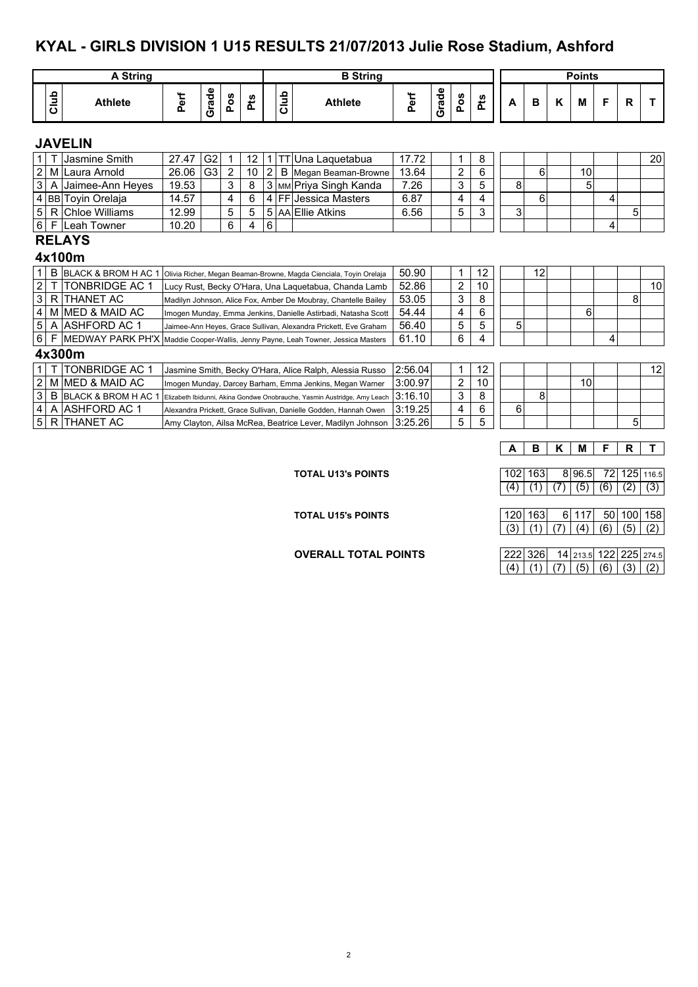#### **KYAL - GIRLS DIVISION 1 U15 RESULTS 21/07/2013 Julie Rose Stadium, Ashford**

|                         |      | <b>A String</b>                                                                  |       |                |                |     |                |         | <b>B</b> String                                                          |         |       |                |     |   |    |   | <b>Points</b> |   |   |    |
|-------------------------|------|----------------------------------------------------------------------------------|-------|----------------|----------------|-----|----------------|---------|--------------------------------------------------------------------------|---------|-------|----------------|-----|---|----|---|---------------|---|---|----|
|                         | Club | <b>Athlete</b>                                                                   | Perf  | Grade          | Pos            | Pts |                | Club    | <b>Athlete</b>                                                           | Perf    | Grade | Pos            | Pts | A | B  | K | м             | F | R |    |
|                         |      | <b>JAVELIN</b>                                                                   |       |                |                |     |                |         |                                                                          |         |       |                |     |   |    |   |               |   |   |    |
| 1                       |      | Jasmine Smith                                                                    | 27.47 | G <sub>2</sub> | 1              | 12  |                | $1$ ITT | Una Laguetabua                                                           | 17.72   |       | 1              | 8   |   |    |   |               |   |   | 20 |
| $\overline{2}$          | M    | Laura Arnold                                                                     | 26.06 | G <sub>3</sub> | $\overline{c}$ | 10  | $\overline{2}$ | B       | Megan Beaman-Browne                                                      | 13.64   |       | 2              | 6   |   | 6  |   | 10            |   |   |    |
| 3                       | A    | Jaimee-Ann Heyes                                                                 | 19.53 |                | 3              | 8   |                |         | 3 MM Priya Singh Kanda                                                   | 7.26    |       | 3              | 5   | 8 |    |   | 5             |   |   |    |
| 4                       |      | <b>BB</b> Tovin Orelaja                                                          | 14.57 |                | 4              | 6   |                |         | 4   FF   Jessica Masters                                                 | 6.87    |       | 4              | 4   |   | 6  |   |               | 4 |   |    |
| 5                       | R    | Chloe Williams                                                                   | 12.99 |                | 5              | 5   |                |         | 5 AA Ellie Atkins                                                        | 6.56    |       | 5              | 3   | 3 |    |   |               |   | 5 |    |
| 6                       | F    | Leah Towner                                                                      | 10.20 |                | 6              | 4   | 6              |         |                                                                          |         |       |                |     |   |    |   |               | 4 |   |    |
|                         |      | <b>RELAYS</b><br>4x100m                                                          |       |                |                |     |                |         |                                                                          |         |       |                |     |   |    |   |               |   |   |    |
|                         | B    | <b>BLACK &amp; BROM H AC 1</b>                                                   |       |                |                |     |                |         | Olivia Richer, Megan Beaman-Browne, Magda Cienciala, Toyin Orelaja       | 50.90   |       | 1              | 12  |   | 12 |   |               |   |   |    |
| $\overline{c}$          |      | <b>TONBRIDGE AC 1</b>                                                            |       |                |                |     |                |         | Lucy Rust, Becky O'Hara, Una Laquetabua, Chanda Lamb                     | 52.86   |       | $\overline{2}$ | 10  |   |    |   |               |   |   | 10 |
| $\mathbf{3}$            | R    | <b>THANET AC</b>                                                                 |       |                |                |     |                |         | Madilyn Johnson, Alice Fox, Amber De Moubray, Chantelle Bailey           | 53.05   |       | 3              | 8   |   |    |   |               |   | 8 |    |
| 4                       | M    | IMED & MAID AC                                                                   |       |                |                |     |                |         | Imogen Munday, Emma Jenkins, Danielle Astirbadi, Natasha Scott           | 54.44   |       | 4              | 6   |   |    |   | 6             |   |   |    |
| 5                       | A    | <b>ASHFORD AC 1</b>                                                              |       |                |                |     |                |         | Jaimee-Ann Heyes, Grace Sullivan, Alexandra Prickett, Eve Graham         | 56.40   |       | 5              | 5   | 5 |    |   |               |   |   |    |
| 6                       |      | MEDWAY PARK PH'X Maddie Cooper-Wallis, Jenny Payne, Leah Towner, Jessica Masters |       |                |                |     |                |         |                                                                          | 61.10   |       | 6              | 4   |   |    |   |               | 4 |   |    |
|                         |      | 4x300m                                                                           |       |                |                |     |                |         |                                                                          |         |       |                |     |   |    |   |               |   |   |    |
| 1.                      |      | <b>TONBRIDGE AC 1</b>                                                            |       |                |                |     |                |         | Jasmine Smith, Becky O'Hara, Alice Ralph, Alessia Russo                  | 2:56.04 |       | $\mathbf 1$    | 12  |   |    |   |               |   |   | 12 |
| $\overline{\mathbf{c}}$ | M    | IMED & MAID AC                                                                   |       |                |                |     |                |         | Imogen Munday, Darcey Barham, Emma Jenkins, Megan Warner                 | 3:00.97 |       | 2              | 10  |   |    |   | 10            |   |   |    |
| 3                       | B    | <b>BLACK &amp; BROM H AC 1</b>                                                   |       |                |                |     |                |         | Elizabeth Ibidunni, Akina Gondwe Onobrauche, Yasmin Austridge, Amy Leach | 3:16.10 |       | 3              | 8   |   | 8  |   |               |   |   |    |
| 4                       | Α    | <b>ASHFORD AC 1</b>                                                              |       |                |                |     |                |         | Alexandra Prickett, Grace Sullivan, Danielle Godden, Hannah Owen         | 3:19.25 |       | 4              | 6   | 6 |    |   |               |   |   |    |
| 5                       | R    | <b>THANET AC</b>                                                                 |       |                |                |     |                |         | Amy Clayton, Ailsa McRea, Beatrice Lever, Madilyn Johnson                | 3:25.26 |       | 5              | 5   |   |    |   |               |   | 5 |    |

#### **TOTAL U13's POINTS**

**A B K M F R T**

| 102 163                                   |  |  | 896.5 72 125 116.5 |
|-------------------------------------------|--|--|--------------------|
| $(4)$ $(1)$ $(7)$ $(5)$ $(6)$ $(2)$ $(3)$ |  |  |                    |

|       | 12011631 |                                   | 611171 5011001158 |  |  |
|-------|----------|-----------------------------------|-------------------|--|--|
| (3) L |          | (1)   (7)   (4)   (6)   (5)   (2) |                   |  |  |

**OVERALL TOTAL POINTS** 222 326 14 213.5 122 225 274.5  $(4) (1) (7) (5) (6) (3) (2)$ 

**TOTAL U15's POINTS**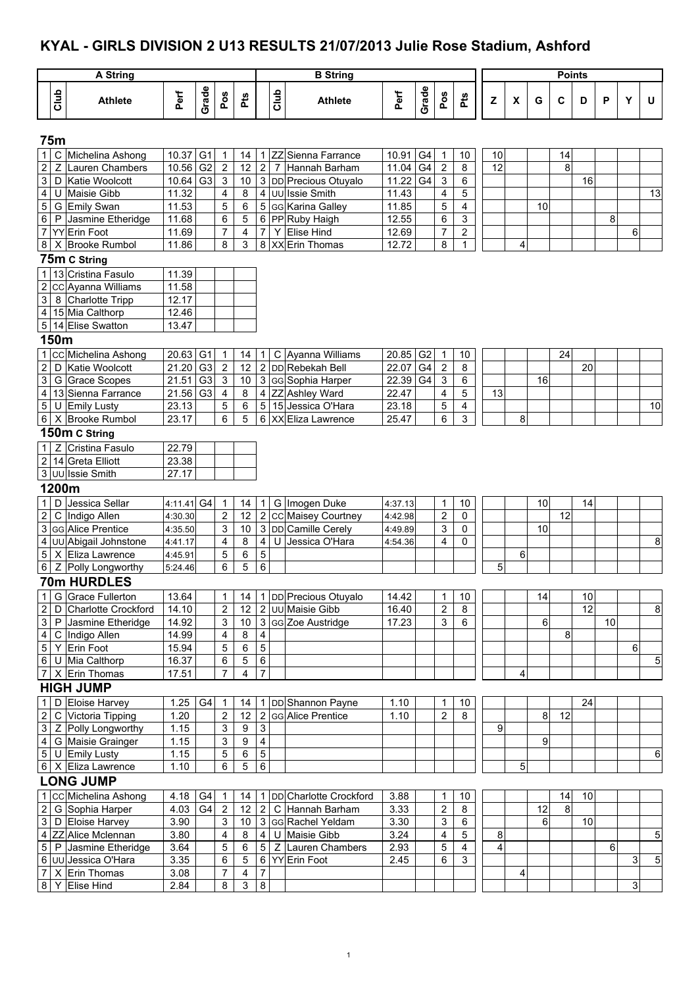## **KYAL - GIRLS DIVISION 2 U13 RESULTS 21/07/2013 Julie Rose Stadium, Ashford**

|                                        |             | <b>A String</b>                          |                |                |                                  |                              |                              |                | <b>B</b> String                     |                    |                |                         |                                |    |   |    | <b>Points</b>   |    |    |   |    |
|----------------------------------------|-------------|------------------------------------------|----------------|----------------|----------------------------------|------------------------------|------------------------------|----------------|-------------------------------------|--------------------|----------------|-------------------------|--------------------------------|----|---|----|-----------------|----|----|---|----|
|                                        | Club        | <b>Athlete</b>                           | Perf           | Grade          | Pos                              | Pts                          |                              | Club           | <b>Athlete</b>                      | Perf               | Grade          | Pos                     | Pts                            | Z  | X | G  | C               | D  | P  | Y | U  |
|                                        | <b>75m</b>  |                                          |                |                |                                  |                              |                              |                |                                     |                    |                |                         |                                |    |   |    |                 |    |    |   |    |
| 1                                      | C           | Michelina Ashong                         | 10.37          | G <sub>1</sub> | $\overline{1}$                   | 14                           |                              | $1$ ZZ         | Sienna Farrance                     | 10.91              | G <sub>4</sub> | $\mathbf{1}$            | 10                             | 10 |   |    | 14              |    |    |   |    |
| $\mathbf 2$                            | $\mathsf Z$ | Lauren Chambers                          | 10.56          | G <sub>2</sub> | $\overline{2}$                   | 12                           | 2                            | $\overline{7}$ | Hannah Barham                       | 11.04              | G4             | $\boldsymbol{2}$        | $\bf 8$                        | 12 |   |    | 8               |    |    |   |    |
| 3                                      | D           | Katie Woolcott                           | 10.64          | G <sub>3</sub> | $\sqrt{3}$                       | 10                           |                              |                | 3 DD Precious Otuyalo               | 11.22              | G4             | 3                       | 6                              |    |   |    |                 | 16 |    |   |    |
| $\overline{\mathbf{r}}$                |             | U Maisie Gibb                            | 11.32          |                | $\overline{4}$                   | 8                            |                              |                | 4 UU Issie Smith                    | 11.43              |                | $\overline{\mathbf{4}}$ | 5                              |    |   |    |                 |    |    |   | 13 |
| 5                                      |             | G Emily Swan                             | 11.53          |                | 5                                | 6                            |                              |                | 5 GG Karina Galley                  | $\overline{11.85}$ |                | 5                       | $\overline{4}$                 |    |   | 10 |                 |    |    |   |    |
| $\,6$                                  |             | P Jasmine Etheridge                      | 11.68          |                | 6                                | 5                            |                              |                | 6 PP Ruby Haigh                     | 12.55              |                | 6                       | $\mathsf 3$                    |    |   |    |                 |    | 8  |   |    |
| $\overline{7}$<br>$\bf 8$              |             | <b>YY</b> Erin Foot<br>X Brooke Rumbol   | 11.69<br>11.86 |                | $\boldsymbol{7}$<br>8            | $\overline{\mathbf{4}}$<br>3 | $\overline{7}$<br>8          | Y              | <b>Elise Hind</b><br>XX Erin Thomas | 12.69<br>12.72     |                | 7<br>8                  | $\overline{c}$<br>$\mathbf{1}$ |    | 4 |    |                 |    |    | 6 |    |
|                                        |             |                                          |                |                |                                  |                              |                              |                |                                     |                    |                |                         |                                |    |   |    |                 |    |    |   |    |
|                                        |             | 75m C String                             |                |                |                                  |                              |                              |                |                                     |                    |                |                         |                                |    |   |    |                 |    |    |   |    |
| $\mathbf{1}$<br>$\overline{2}$         |             | 13 Cristina Fasulo<br>cc Ayanna Williams | 11.39<br>11.58 |                |                                  |                              |                              |                |                                     |                    |                |                         |                                |    |   |    |                 |    |    |   |    |
| $\mathsf 3$                            |             | 8 Charlotte Tripp                        | 12.17          |                |                                  |                              |                              |                |                                     |                    |                |                         |                                |    |   |    |                 |    |    |   |    |
| $\overline{4}$                         |             | 15 Mia Calthorp                          | 12.46          |                |                                  |                              |                              |                |                                     |                    |                |                         |                                |    |   |    |                 |    |    |   |    |
|                                        |             | 5 14 Elise Swatton                       | 13.47          |                |                                  |                              |                              |                |                                     |                    |                |                         |                                |    |   |    |                 |    |    |   |    |
|                                        | 150m        |                                          |                |                |                                  |                              |                              |                |                                     |                    |                |                         |                                |    |   |    |                 |    |    |   |    |
| $\mathbf{1}$                           |             | cc Michelina Ashong                      | 20.63          | G <sub>1</sub> | $\overline{1}$                   | 14                           | 1 <sup>1</sup>               | C              | Ayanna Williams                     | 20.85              | G <sub>2</sub> | $\mathbf{1}$            | 10                             |    |   |    | 24              |    |    |   |    |
| $\overline{c}$                         |             | D Katie Woolcott                         | 21.20          | G <sub>3</sub> | $\overline{2}$                   | 12                           |                              |                | 2 DD Rebekah Bell                   | 22.07              | G <sub>4</sub> | $\overline{\mathbf{c}}$ | $\bf 8$                        |    |   |    |                 | 20 |    |   |    |
| $\ensuremath{\mathsf{3}}$              |             | G Grace Scopes                           | 21.51          | G <sub>3</sub> | 3                                | 10                           |                              |                | 3 GG Sophia Harper                  | 22.39              | G <sub>4</sub> | 3                       | 6                              |    |   | 16 |                 |    |    |   |    |
| $\overline{\mathbf{4}}$                |             | 13 Sienna Farrance                       | 21.56          | G <sub>3</sub> | $\overline{4}$                   | 8                            |                              |                | 4 ZZ Ashley Ward                    | 22.47              |                | $\overline{\mathbf{4}}$ | 5                              | 13 |   |    |                 |    |    |   |    |
| $\mathbf 5$                            |             | U Emily Lusty                            | 23.13          |                | $\mathbf 5$                      | $\,6$                        |                              |                | 5 15 Jessica O'Hara                 | 23.18              |                | 5                       | $\overline{\mathbf{4}}$        |    |   |    |                 |    |    |   | 10 |
| $\,6\,$                                |             | X Brooke Rumbol                          | 23.17          |                | 6                                | 5                            |                              |                | 6 XX Eliza Lawrence                 | 25.47              |                | 6                       | $\overline{3}$                 |    | 8 |    |                 |    |    |   |    |
|                                        |             | 150m C String                            |                |                |                                  |                              |                              |                |                                     |                    |                |                         |                                |    |   |    |                 |    |    |   |    |
| $\mathbf{1}$                           |             | Z Cristina Fasulo                        | 22.79          |                |                                  |                              |                              |                |                                     |                    |                |                         |                                |    |   |    |                 |    |    |   |    |
| $\sqrt{2}$                             |             | 14 Greta Elliott                         | 23.38          |                |                                  |                              |                              |                |                                     |                    |                |                         |                                |    |   |    |                 |    |    |   |    |
|                                        |             | 3 UU Issie Smith                         | 27.17          |                |                                  |                              |                              |                |                                     |                    |                |                         |                                |    |   |    |                 |    |    |   |    |
|                                        | 1200m       |                                          |                |                |                                  |                              |                              |                |                                     |                    |                |                         |                                |    |   |    |                 |    |    |   |    |
| $\mathbf{1}$                           |             | D Jessica Sellar                         | 4:11.41 G4     |                | $\overline{1}$                   | 14                           | 1 <sup>1</sup>               |                | G Imogen Duke                       | 4:37.13            |                | $\mathbf 1$             | $10$                           |    |   | 10 |                 | 14 |    |   |    |
| $\overline{c}$                         |             | C Indigo Allen                           | 4:30.30        |                | $\overline{2}$                   | 12                           |                              |                | 2 CC Maisey Courtney                | 4:42.98            |                | $\overline{c}$          | $\mathbf 0$                    |    |   |    | 12              |    |    |   |    |
| 3                                      |             | GG Alice Prentice                        | 4:35.50        |                | 3                                | 10                           |                              |                | 3 DD Camille Cerely                 | 4:49.89            |                | 3                       | $\mathbf 0$                    |    |   | 10 |                 |    |    |   |    |
| $\overline{\mathbf{r}}$                |             | UU Abigail Johnstone                     | 4:41.17        |                | $\overline{\mathbf{4}}$          | 8                            | $\overline{4}$               | U              | Jessica O'Hara                      | 4:54.36            |                | 4                       | 0                              |    |   |    |                 |    |    |   | 8  |
| $\mathbf 5$                            |             | X Eliza Lawrence                         | 4:45.91        |                | 5                                | 6                            | $\overline{5}$               |                |                                     |                    |                |                         |                                |    | 6 |    |                 |    |    |   |    |
| 6                                      |             | Z Polly Longworthy                       | 5:24.46        |                | 6                                | 5                            | 6                            |                |                                     |                    |                |                         |                                | 5  |   |    |                 |    |    |   |    |
|                                        |             | <b>70m HURDLES</b>                       |                |                |                                  |                              |                              |                |                                     |                    |                |                         |                                |    |   |    |                 |    |    |   |    |
| $\overline{1}$                         |             | G Grace Fullerton                        | 13.64          |                | 1                                | 14                           |                              |                | 1 DD Precious Otuyalo               | 14.42              |                | $\mathbf{1}$            | 10                             |    |   | 14 |                 | 10 |    |   |    |
| $\overline{\mathbf{c}}$                |             | D Charlotte Crockford                    | 14.10          |                | $\sqrt{2}$                       | 12                           |                              |                | 2 UU Maisie Gibb                    | 16.40              |                | $\overline{c}$          | 8                              |    |   |    |                 | 12 |    |   | 8  |
| $\ensuremath{\mathsf{3}}$              |             | P Jasmine Etheridge                      | 14.92          |                | 3                                | $10$                         |                              |                | 3 GG Zoe Austridge                  | 17.23              |                | $\overline{3}$          | 6                              |    |   | 6  |                 |    | 10 |   |    |
| $\overline{\mathbf{4}}$                |             | C Indigo Allen                           | 14.99          |                | 4                                | 8                            | $\overline{\mathbf{4}}$      |                |                                     |                    |                |                         |                                |    |   |    | 8               |    |    |   |    |
| $\overline{5}$                         |             | Y Erin Foot                              | 15.94          |                | 5                                | 6                            | 5                            |                |                                     |                    |                |                         |                                |    |   |    |                 |    |    | 6 |    |
| $\,6$                                  |             | U Mia Calthorp                           | 16.37          |                | 6                                | $\mathbf 5$                  | 6                            |                |                                     |                    |                |                         |                                |    |   |    |                 |    |    |   | 5  |
| $\boldsymbol{7}$                       |             | X Erin Thomas                            | 17.51          |                | 7                                | $\overline{4}$               | $\overline{7}$               |                |                                     |                    |                |                         |                                |    | 4 |    |                 |    |    |   |    |
|                                        |             | <b>HIGH JUMP</b>                         |                |                |                                  |                              |                              |                |                                     |                    |                |                         |                                |    |   |    |                 |    |    |   |    |
| $\mathbf{1}$                           |             | D Eloise Harvey                          | 1.25           | G4             | $\overline{1}$                   | 14                           |                              |                | 1 DD Shannon Payne                  | 1.10               |                | 1                       | 10                             |    |   |    |                 | 24 |    |   |    |
| $\overline{\mathbf{c}}$                |             | C Victoria Tipping                       | 1.20           |                | $\sqrt{2}$                       | 12<br>9                      |                              |                | 2 GG Alice Prentice                 | 1.10               |                | $\overline{2}$          | $\infty$                       |    |   | 8  | $\overline{12}$ |    |    |   |    |
| $\ensuremath{\mathsf{3}}$              |             | Z Polly Longworthy                       | 1.15           |                | 3                                | $9\,$                        | 3<br>$\overline{\mathbf{4}}$ |                |                                     |                    |                |                         |                                | 9  |   |    |                 |    |    |   |    |
| $\overline{\mathbf{r}}$<br>$\mathbf 5$ |             | G Maisie Grainger<br>U Emily Lusty       | 1.15<br>1.15   |                | 3<br>5                           | 6                            | $\overline{5}$               |                |                                     |                    |                |                         |                                |    |   | 9  |                 |    |    |   | 6  |
|                                        |             | 6 X Eliza Lawrence                       | 1.10           |                | 6                                | 5                            | 6                            |                |                                     |                    |                |                         |                                |    | 5 |    |                 |    |    |   |    |
|                                        |             | <b>LONG JUMP</b>                         |                |                |                                  |                              |                              |                |                                     |                    |                |                         |                                |    |   |    |                 |    |    |   |    |
| $\mathbf{1}$                           |             | cc Michelina Ashong                      | 4.18           | G4             |                                  |                              |                              |                | 1 DD Charlotte Crockford            | 3.88               |                | 1                       | 10                             |    |   |    | 14              | 10 |    |   |    |
| $\overline{c}$                         |             | G Sophia Harper                          | 4.03           | G4             | $\overline{1}$<br>$\overline{2}$ | 14<br>12                     | 2 <sup>1</sup>               |                | C Hannah Barham                     | 3.33               |                | $\sqrt{2}$              | 8                              |    |   | 12 | 8               |    |    |   |    |
| $\ensuremath{\mathsf{3}}$              |             | D Eloise Harvey                          | 3.90           |                | $\sqrt{3}$                       | $10$                         |                              |                | 3 GG Rachel Yeldam                  | 3.30               |                | 3                       | $\,6\,$                        |    |   | 6  |                 | 10 |    |   |    |
| $\overline{\mathbf{r}}$                |             | ZZ Alice Mclennan                        | 3.80           |                | 4                                | 8                            | $\overline{4}$               |                | U Maisie Gibb                       | 3.24               |                | $\overline{4}$          | 5                              | 8  |   |    |                 |    |    |   | 5  |
| $\mathbf 5$                            |             | P Jasmine Etheridge                      | 3.64           |                | 5                                | 6                            | 5 <sup>1</sup>               |                | Z Lauren Chambers                   | 2.93               |                | $\mathbf 5$             | $\overline{4}$                 | 4  |   |    |                 |    | 6  |   |    |
| $\,6$                                  |             | UU Jessica O'Hara                        | 3.35           |                | 6                                | $\overline{5}$               |                              |                | 6 YY Erin Foot                      | 2.45               |                | 6                       | 3                              |    |   |    |                 |    |    | 3 | 5  |
| $\overline{7}$                         |             | X Erin Thomas                            | 3.08           |                | 7                                | 4                            | 7                            |                |                                     |                    |                |                         |                                |    | 4 |    |                 |    |    |   |    |
| $\bf 8$                                | Y           | <b>Elise Hind</b>                        | 2.84           |                | 8                                | $\overline{3}$               | 8                            |                |                                     |                    |                |                         |                                |    |   |    |                 |    |    | 3 |    |
|                                        |             |                                          |                |                |                                  |                              |                              |                |                                     |                    |                |                         |                                |    |   |    |                 |    |    |   |    |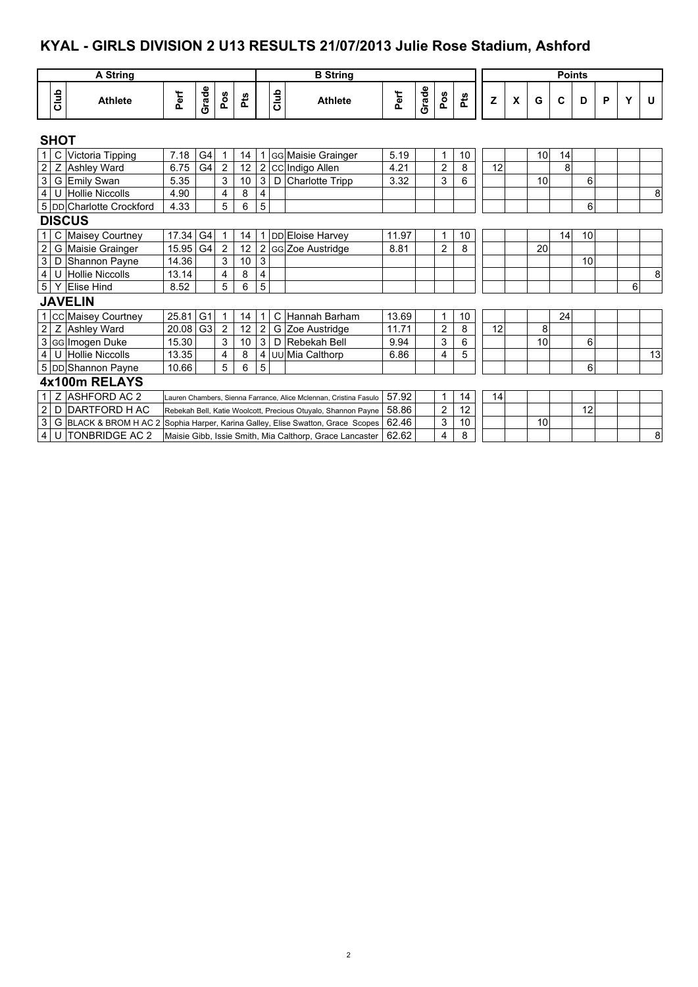## **KYAL - GIRLS DIVISION 2 U13 RESULTS 21/07/2013 Julie Rose Stadium, Ashford**

|                         |              | <b>A String</b>                                                                 |       |                |                |     |                |             | <b>B</b> String                                                   |       |       |                |     |    |   |    | <b>Points</b> |    |   |   |    |
|-------------------------|--------------|---------------------------------------------------------------------------------|-------|----------------|----------------|-----|----------------|-------------|-------------------------------------------------------------------|-------|-------|----------------|-----|----|---|----|---------------|----|---|---|----|
|                         | Club         | <b>Athlete</b>                                                                  | Perf  | Grade          | Pos            | Pts |                | <b>Club</b> | <b>Athlete</b>                                                    | Perf  | Grade | Pos            | Pts | z  | X | G  | C             | D  | P | Υ | U  |
|                         | <b>SHOT</b>  |                                                                                 |       |                |                |     |                |             |                                                                   |       |       |                |     |    |   |    |               |    |   |   |    |
| $\mathbf{1}$            | $\mathsf{C}$ | Victoria Tipping                                                                | 7.18  | G4             | 1              | 14  |                |             | <b>GG Maisie Grainger</b>                                         | 5.19  |       | 1              | 10  |    |   | 10 | 14            |    |   |   |    |
| $\overline{\mathbf{c}}$ | $\mathsf Z$  | <b>Ashley Ward</b>                                                              | 6.75  | G4             | $\overline{2}$ | 12  |                |             | 2 CC Indigo Allen                                                 | 4.21  |       | $\overline{c}$ | 8   | 12 |   |    | 8             |    |   |   |    |
| $\overline{3}$          |              | G Emily Swan                                                                    | 5.35  |                | 3              | 10  | 3              | D           | Charlotte Tripp                                                   | 3.32  |       | 3              | 6   |    |   | 10 |               | 6  |   |   |    |
| $\overline{4}$          |              | U Hollie Niccolls                                                               | 4.90  |                | 4              | 8   | 4              |             |                                                                   |       |       |                |     |    |   |    |               |    |   |   | 8  |
|                         |              | 5 DD Charlotte Crockford                                                        | 4.33  |                | 5              | 6   | 5              |             |                                                                   |       |       |                |     |    |   |    |               | 6  |   |   |    |
|                         |              | <b>DISCUS</b>                                                                   |       |                |                |     |                |             |                                                                   |       |       |                |     |    |   |    |               |    |   |   |    |
| $\mathbf{1}$            | C            | Maisey Courtney                                                                 | 17.34 | G <sub>4</sub> | 1              | 14  |                |             | <b>DD</b> Eloise Harvey                                           | 11.97 |       | 1              | 10  |    |   |    | 14            | 10 |   |   |    |
| $\overline{2}$          |              | G Maisie Grainger                                                               | 15.95 | G <sub>4</sub> | $\overline{2}$ | 12  |                |             | 2 GG Zoe Austridge                                                | 8.81  |       | $\overline{2}$ | 8   |    |   | 20 |               |    |   |   |    |
| $\overline{3}$          | D            | Shannon Payne                                                                   | 14.36 |                | 3              | 10  | 3              |             |                                                                   |       |       |                |     |    |   |    |               | 10 |   |   |    |
| $\overline{4}$          |              | U Hollie Niccolls                                                               | 13.14 |                | 4              | 8   | 4              |             |                                                                   |       |       |                |     |    |   |    |               |    |   |   | 8  |
| 5 <sup>1</sup>          | Y            | <b>Elise Hind</b>                                                               | 8.52  |                | 5              | 6   | 5              |             |                                                                   |       |       |                |     |    |   |    |               |    |   | 6 |    |
|                         |              | <b>JAVELIN</b>                                                                  |       |                |                |     |                |             |                                                                   |       |       |                |     |    |   |    |               |    |   |   |    |
|                         |              | 1 CC Maisey Courtney                                                            | 25.81 | G <sub>1</sub> | $\mathbf{1}$   | 14  |                | C           | Hannah Barham                                                     | 13.69 |       | 1              | 10  |    |   |    | 24            |    |   |   |    |
| $\overline{2}$          | Z            | Ashley Ward                                                                     | 20.08 | G <sub>3</sub> | $\overline{2}$ | 12  | $\overline{2}$ |             | G Zoe Austridge                                                   | 11.71 |       | $\overline{c}$ | 8   | 12 |   | 8  |               |    |   |   |    |
| $\overline{3}$          |              | GG Imogen Duke                                                                  | 15.30 |                | 3              | 10  | 3              | D           | Rebekah Bell                                                      | 9.94  |       | 3              | 6   |    |   | 10 |               | 6  |   |   |    |
| $\overline{4}$          |              | U Hollie Niccolls                                                               | 13.35 |                | 4              | 8   | 4              |             | UU Mia Calthorp                                                   | 6.86  |       | 4              | 5   |    |   |    |               |    |   |   | 13 |
|                         |              | 5 DD Shannon Payne                                                              | 10.66 |                | 5              | 6   | 5              |             |                                                                   |       |       |                |     |    |   |    |               | 6  |   |   |    |
|                         |              | 4x100m RELAYS                                                                   |       |                |                |     |                |             |                                                                   |       |       |                |     |    |   |    |               |    |   |   |    |
| $\mathbf{1}$            | Z            | <b>ASHFORD AC 2</b>                                                             |       |                |                |     |                |             | Lauren Chambers, Sienna Farrance, Alice Mclennan, Cristina Fasulo | 57.92 |       | 1              | 14  | 14 |   |    |               |    |   |   |    |
| $\overline{c}$          | D            | DARTFORD H AC                                                                   |       |                |                |     |                |             | Rebekah Bell, Katie Woolcott, Precious Otuyalo, Shannon Payne     | 58.86 |       | $\overline{2}$ | 12  |    |   |    |               | 12 |   |   |    |
| $\overline{3}$          |              | G BLACK & BROM H AC 2 Sophia Harper, Karina Galley, Elise Swatton, Grace Scopes |       |                |                |     |                |             |                                                                   | 62.46 |       | 3              | 10  |    |   | 10 |               |    |   |   |    |
| $\overline{4}$          |              | U TONBRIDGE AC 2                                                                |       |                |                |     |                |             | Maisie Gibb, Issie Smith, Mia Calthorp, Grace Lancaster           | 62.62 |       | 4              | 8   |    |   |    |               |    |   |   | 8  |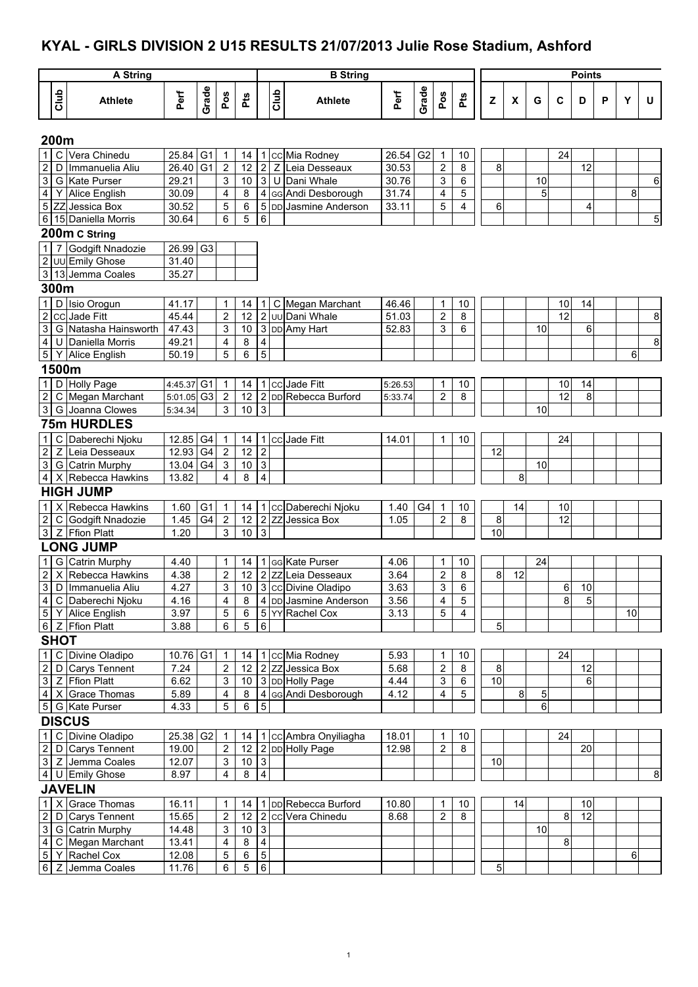## **KYAL - GIRLS DIVISION 2 U15 RESULTS 21/07/2013 Julie Rose Stadium, Ashford**

|                |             | <b>A String</b>                           |                |                |                                  |                  |                         |      | <b>B</b> String        |                    |                |                         |                         |                                                                                   |                    |    |             | <b>Points</b> |   |    |                |
|----------------|-------------|-------------------------------------------|----------------|----------------|----------------------------------|------------------|-------------------------|------|------------------------|--------------------|----------------|-------------------------|-------------------------|-----------------------------------------------------------------------------------|--------------------|----|-------------|---------------|---|----|----------------|
|                | Club        | <b>Athlete</b>                            | Perf           | Grade          | Pos                              | Pts              |                         | Club | <b>Athlete</b>         | Perf               | Grade          | Pos                     | Pts                     | $\mathsf{Z}% _{T}=\mathsf{Z}_{T}\!\left( a,b\right) ,\ \mathsf{Z}=\mathsf{Z}_{T}$ | $\pmb{\mathsf{x}}$ | G  | $\mathbf c$ | D             | P | Y  | U              |
|                | 200m        |                                           |                |                |                                  |                  |                         |      |                        |                    |                |                         |                         |                                                                                   |                    |    |             |               |   |    |                |
| $\overline{1}$ |             | C Vera Chinedu                            | 25.84          | G <sub>1</sub> | $\mathbf{1}$                     | 14               | 1                       |      | cc Mia Rodney          | 26.54              | G <sub>2</sub> | $\mathbf{1}$            | 10                      |                                                                                   |                    |    | 24          |               |   |    |                |
| $\sqrt{2}$     |             | D Immanuelia Aliu                         | 26.40 G1       |                | $\boldsymbol{2}$                 | 12               | $\overline{2}$          | Z    | Leia Desseaux          | 30.53              |                | $\overline{\mathbf{c}}$ | 8                       | 8                                                                                 |                    |    |             | 12            |   |    |                |
| c              |             | G Kate Purser                             | 29.21          |                | 3                                | 10               | $\mathbf{3}$            |      | U Dani Whale           | 30.76              |                | 3                       | 6                       |                                                                                   |                    | 10 |             |               |   |    | 6              |
|                |             | 4 Y Alice English                         | 30.09          |                | 4                                | 8                |                         |      | 4 GG Andi Desborough   | 31.74              |                | $\overline{\mathbf{4}}$ | 5                       |                                                                                   |                    | 5  |             |               |   | 8  |                |
|                |             | 5 ZZ Jessica Box                          | 30.52          |                | 5                                | 6                |                         |      | 5 DD Jasmine Anderson  | 33.11              |                | 5                       | 4                       | 6                                                                                 |                    |    |             | 4             |   |    |                |
|                |             | 6 15 Daniella Morris                      | 30.64          |                | 6                                | 5                | 6                       |      |                        |                    |                |                         |                         |                                                                                   |                    |    |             |               |   |    | $\overline{5}$ |
|                |             | 200m C String                             |                |                |                                  |                  |                         |      |                        |                    |                |                         |                         |                                                                                   |                    |    |             |               |   |    |                |
| $1 \vert 7$    |             | Godgift Nnadozie                          | 26.99 G3       |                |                                  |                  |                         |      |                        |                    |                |                         |                         |                                                                                   |                    |    |             |               |   |    |                |
|                |             | 2 UU Emily Ghose                          | 31.40          |                |                                  |                  |                         |      |                        |                    |                |                         |                         |                                                                                   |                    |    |             |               |   |    |                |
|                |             | 3 13 Jemma Coales                         | 35.27          |                |                                  |                  |                         |      |                        |                    |                |                         |                         |                                                                                   |                    |    |             |               |   |    |                |
|                | 300m        |                                           |                |                |                                  |                  |                         |      |                        |                    |                |                         |                         |                                                                                   |                    |    |             |               |   |    |                |
| $\overline{1}$ |             | D Isio Orogun                             | 41.17          |                | 1                                | 14               | 1                       |      | C Megan Marchant       | 46.46              |                | 1                       | 10                      |                                                                                   |                    |    | 10          | 14            |   |    |                |
|                |             | 2 CC Jade Fitt                            | 45.44          |                | 2                                | 12               |                         |      | 2 Juu Dani Whale       | 51.03              |                | $\overline{c}$          | 8                       |                                                                                   |                    |    | 12          |               |   |    | $\bf 8$        |
| $\mathsf 3$    |             | G Natasha Hainsworth                      | 47.43<br>49.21 |                | 3<br>4                           | 10<br>8          | $\overline{\mathbf{4}}$ |      | 3 DD Amy Hart          | 52.83              |                | 3                       | 6                       |                                                                                   |                    | 10 |             | 6             |   |    | $\bf8$         |
|                |             | 4 U Daniella Morris<br>5 Y Alice English  | 50.19          |                | 5                                | 6                | $\overline{5}$          |      |                        |                    |                |                         |                         |                                                                                   |                    |    |             |               |   | 6  |                |
|                | 1500m       |                                           |                |                |                                  |                  |                         |      |                        |                    |                |                         |                         |                                                                                   |                    |    |             |               |   |    |                |
| $\mathbf{1}$   |             | D Holly Page                              | 4:45.37 G1     |                |                                  |                  | 1                       |      | cc Jade Fitt           |                    |                |                         |                         |                                                                                   |                    |    |             |               |   |    |                |
| $\overline{2}$ |             | C Megan Marchant                          | 5:01.05 G3     |                | $\overline{1}$<br>$\overline{c}$ | 14<br>12         |                         |      | 2 DD Rebecca Burford   | 5:26.53<br>5:33.74 |                | 1<br>$\overline{c}$     | 10<br>8                 |                                                                                   |                    |    | 10<br>12    | 14<br>8       |   |    |                |
| 3              |             | G Joanna Clowes                           | 5:34.34        |                | 3                                | 10               | $\overline{3}$          |      |                        |                    |                |                         |                         |                                                                                   |                    | 10 |             |               |   |    |                |
|                |             | <b>75m HURDLES</b>                        |                |                |                                  |                  |                         |      |                        |                    |                |                         |                         |                                                                                   |                    |    |             |               |   |    |                |
| $\mathbf{1}$   |             | C Daberechi Njoku                         | 12.85 G4       |                | $\mathbf{1}$                     | 14               | 1                       |      | cc Jade Fitt           | 14.01              |                | 1                       | 10                      |                                                                                   |                    |    | 24          |               |   |    |                |
| $\overline{2}$ |             | Z Leia Desseaux                           | 12.93          | G4             | $\overline{2}$                   | 12               | $\mathbf 2$             |      |                        |                    |                |                         |                         | 12                                                                                |                    |    |             |               |   |    |                |
| $\overline{3}$ |             | G Catrin Murphy                           | 13.04          | G <sub>4</sub> | 3                                | $10\,$           | $\overline{3}$          |      |                        |                    |                |                         |                         |                                                                                   |                    | 10 |             |               |   |    |                |
| $\overline{4}$ |             | X Rebecca Hawkins                         | 13.82          |                | 4                                | 8                | $\overline{4}$          |      |                        |                    |                |                         |                         |                                                                                   | 8                  |    |             |               |   |    |                |
|                |             | <b>HIGH JUMP</b>                          |                |                |                                  |                  |                         |      |                        |                    |                |                         |                         |                                                                                   |                    |    |             |               |   |    |                |
| 1              |             | X Rebecca Hawkins                         | 1.60           | G <sub>1</sub> | $\mathbf{1}$                     | 14               |                         |      | 1 cc Daberechi Njoku   | 1.40               | G4             | 1                       | 10                      |                                                                                   | 14                 |    | 10          |               |   |    |                |
| $\overline{2}$ |             | C Godgift Nnadozie                        | 1.45           | G4             | $\overline{2}$                   | 12               |                         |      | 2 ZZ Jessica Box       | 1.05               |                | $\boldsymbol{2}$        | 8                       | 8                                                                                 |                    |    | 12          |               |   |    |                |
| 3              |             | Z Ffion Platt                             | 1.20           |                | 3                                | 10               | $\mathsf 3$             |      |                        |                    |                |                         |                         | 10                                                                                |                    |    |             |               |   |    |                |
|                |             | <b>LONG JUMP</b>                          |                |                |                                  |                  |                         |      |                        |                    |                |                         |                         |                                                                                   |                    |    |             |               |   |    |                |
| $\overline{1}$ |             | G Catrin Murphy                           | 4.40           |                | 1                                | 14               | $\mathbf{1}$            |      | <b>GG</b> Kate Purser  | 4.06               |                | 1                       | 10                      |                                                                                   |                    | 24 |             |               |   |    |                |
|                |             | X Rebecca Hawkins                         | 4.38           |                | $\overline{2}$                   | 12               | $\sqrt{2}$              |      | ZZ Leia Desseaux       | 3.64               |                | $\boldsymbol{2}$        | 8                       | 8                                                                                 | 12                 |    |             |               |   |    |                |
|                |             | 2 X Rebecca Hawkin<br>3 D Immanuelia Aliu | 4.27           |                | 3 <sup>1</sup>                   |                  |                         |      | 10 3 cc Divine Oladipo | 3.63               |                | $\overline{3}$          | $\,6\,$                 |                                                                                   |                    |    | $\,6$       | $10$          |   |    |                |
|                |             | 4 C Daberechi Njoku<br>5 Y Alice English  | 4.16           |                | 4                                | 8                |                         |      | 4 DD Jasmine Anderson  | 3.56               |                | 4                       | 5                       |                                                                                   |                    |    | 8           | 5             |   |    |                |
|                |             |                                           | 3.97           |                | 5                                | $\,6$            |                         |      | 5 YY Rachel Cox        | 3.13               |                | 5                       | $\overline{\mathbf{4}}$ |                                                                                   |                    |    |             |               |   | 10 |                |
|                |             | 6 Z Ffion Platt                           | 3.88           |                | 6                                | 5                | $\,6\,$                 |      |                        |                    |                |                         |                         | 5 <sup>1</sup>                                                                    |                    |    |             |               |   |    |                |
|                | <b>SHOT</b> |                                           |                |                |                                  |                  |                         |      |                        |                    |                |                         |                         |                                                                                   |                    |    |             |               |   |    |                |
|                |             | 1 C Divine Oladipo                        | 10.76 G1       |                | $\mathbf{1}$                     | 14               |                         |      | 1 cc Mia Rodney        | 5.93               |                | 1                       | 10                      |                                                                                   |                    |    | 24          |               |   |    |                |
|                |             | 2 D Carys Tennent                         | 7.24           |                | $\overline{c}$                   | 12               |                         |      | 2 ZZ Jessica Box       | 5.68               |                | $\boldsymbol{2}$        | 8                       | 8                                                                                 |                    |    |             | 12            |   |    |                |
|                |             | 3 Z Ffion Platt                           | 6.62           |                | 3                                | 10               |                         |      | 3 DD Holly Page        | 4.44               |                | 3                       | 6                       | 10                                                                                |                    |    |             | 6             |   |    |                |
|                |             | $4 \times$ Grace Thomas                   | 5.89           |                | 4<br>5                           | 8                |                         |      | 4 GG Andi Desborough   | 4.12               |                | 4                       | 5                       |                                                                                   | 8                  | 5  |             |               |   |    |                |
|                |             | 5 G Kate Purser                           | 4.33           |                |                                  | 6                | 5                       |      |                        |                    |                |                         |                         |                                                                                   |                    | 6  |             |               |   |    |                |
|                |             | <b>DISCUS</b>                             |                |                |                                  |                  |                         |      |                        |                    |                |                         |                         |                                                                                   |                    |    |             |               |   |    |                |
|                |             | 1 C Divine Oladipo                        | 25.38 G2       |                | $\mathbf 1$                      | 14               |                         |      | 1 cc Ambra Onyiliagha  | 18.01              |                | 1<br>$\overline{2}$     | 10<br>8                 |                                                                                   |                    |    | 24          | 20            |   |    |                |
|                |             | 2 D Carys Tennent<br>3 Z Jemma Coales     | 19.00<br>12.07 |                | $\mathbf{2}$<br>$\mathbf{3}$     | $10\overline{3}$ |                         |      | 12 2 DD Holly Page     | 12.98              |                |                         |                         | 10                                                                                |                    |    |             |               |   |    |                |
|                |             | 4 U Emily Ghose                           | 8.97           |                | 4                                | 8                | $\overline{4}$          |      |                        |                    |                |                         |                         |                                                                                   |                    |    |             |               |   |    | $\bf 8$        |
|                |             | <b>JAVELIN</b>                            |                |                |                                  |                  |                         |      |                        |                    |                |                         |                         |                                                                                   |                    |    |             |               |   |    |                |
|                |             | $1 \times$ Grace Thomas                   | 16.11          |                | $\mathbf 1$                      | 14               |                         |      | 1 DD Rebecca Burford   | 10.80              |                | $\mathbf{1}$            | 10                      |                                                                                   | 14                 |    |             | 10            |   |    |                |
|                |             | D Carys Tennent                           | 15.65          |                | $\overline{c}$                   | 12               |                         |      | 2 CC Vera Chinedu      | 8.68               |                | $\overline{c}$          | 8                       |                                                                                   |                    |    | 8           | 12            |   |    |                |
|                |             | 2 D Carys Tennent<br>3 G Catrin Murphy    | 14.48          |                | 3                                | 10               | $\overline{3}$          |      |                        |                    |                |                         |                         |                                                                                   |                    | 10 |             |               |   |    |                |
| $\overline{4}$ |             | C Megan Marchant                          | 13.41          |                | 4                                | 8                | 4                       |      |                        |                    |                |                         |                         |                                                                                   |                    |    | 8           |               |   |    |                |
|                |             | 5 Y Rachel Cox                            | 12.08          |                | 5                                | 6                | 5                       |      |                        |                    |                |                         |                         |                                                                                   |                    |    |             |               |   | 6  |                |
|                |             | 6 Z Jemma Coales                          | 11.76          |                | 6                                | 5                | $6\overline{6}$         |      |                        |                    |                |                         |                         | 5 <sup>1</sup>                                                                    |                    |    |             |               |   |    |                |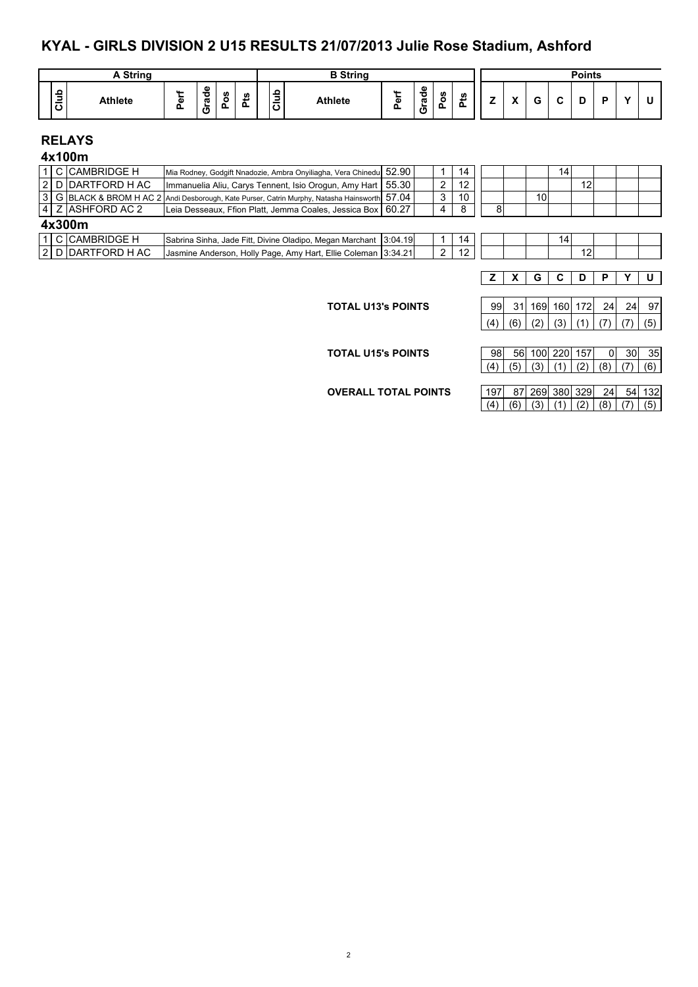#### **KYAL - GIRLS DIVISION 2 U15 RESULTS 21/07/2013 Julie Rose Stadium, Ashford**

|         | String         |   |                       |             |        |                                               | <b>B</b> String |                |                                     |                    |         |   |                                        |        |   | <b>Points</b> |   |              |  |
|---------|----------------|---|-----------------------|-------------|--------|-----------------------------------------------|-----------------|----------------|-------------------------------------|--------------------|---------|---|----------------------------------------|--------|---|---------------|---|--------------|--|
| 읔<br>್ರ | <b>Athlete</b> | - | Φ<br>о<br>ᢐ<br>-<br>ပ | n<br>o<br>௳ | n<br>n | ء<br>-<br>-<br>-<br>$\ddot{\phantom{1}}$<br>ັ | <b>Athlete</b>  | ω<br>. .<br>-- | $\mathbf{\Phi}$<br>P<br>ത<br>-<br>ပ | <b>S</b><br>o<br>௨ | w<br>سد | - | $\mathbf{v}$<br>$\mathbf{\mathcal{L}}$ | ∽<br>u | - |               | - | $\mathbf{v}$ |  |

## **RELAYS**

|        |  | 4x100m              |                                                                                               |  |  |   |    |  |    |     |    |  |  |
|--------|--|---------------------|-----------------------------------------------------------------------------------------------|--|--|---|----|--|----|-----|----|--|--|
|        |  | 1 C CAMBRIDGE H     | Mia Rodney, Godgift Nnadozie, Ambra Onyiliagha, Vera Chinedul 52.90                           |  |  |   | 14 |  |    | 141 |    |  |  |
|        |  | 2 D DARTFORD H AC   | Immanuelia Aliu, Carys Tennent, Isio Orogun, Amy Hart   55.30                                 |  |  |   | 12 |  |    |     | 12 |  |  |
|        |  |                     | S G BLACK & BROM H AC 2 Andi Desborough, Kate Purser, Catrin Murphy, Natasha Hainsworth 57.04 |  |  | ર | 10 |  | 10 |     |    |  |  |
|        |  | 4   Z  ASHFORD AC 2 | Leia Desseaux, Ffion Platt, Jemma Coales, Jessica Box   60.27                                 |  |  | 4 | -8 |  |    |     |    |  |  |
| 4x300m |  |                     |                                                                                               |  |  |   |    |  |    |     |    |  |  |
|        |  | 1 C CAMBRIDGE H     | Sabrina Sinha, Jade Fitt, Divine Oladipo, Megan Marchant   3:04.19                            |  |  |   | 14 |  |    | 14  |    |  |  |

|  | <u>U IUAIVIDRILUUE N</u> | TSabrina Sinna. Jage Fitt. Divine Olagibo. Medan Marchant             | 13.04.191 |  |  |  | $\cdots$ |  |
|--|--------------------------|-----------------------------------------------------------------------|-----------|--|--|--|----------|--|
|  | I 2 I D IDARTFORD H AC   | Holly Page, Amy Hart, Ellie Coleman   5.<br><b>IJasmine Anderson.</b> | 3:34.21   |  |  |  |          |  |
|  |                          |                                                                       |           |  |  |  |          |  |

#### **Z X G C D P Y U**

|  | 99 31 169 160 172 24 24 97      |  |  |  |
|--|---------------------------------|--|--|--|
|  | (4) (6) (2) (3) (1) (7) (7) (5) |  |  |  |

**TOTAL U15's POINTS** 

**TOTAL U13's POINTS** 

|  |  |  |  | $(4)$ (5) (3) (1) (2) (8) (7) (6) |
|--|--|--|--|-----------------------------------|
|  |  |  |  |                                   |

**OVERALL TOTAL POINTS** 197 87 269 380 329 24 54 132

 $(4) (6) (3) (1) (2) (8) (7) (5)$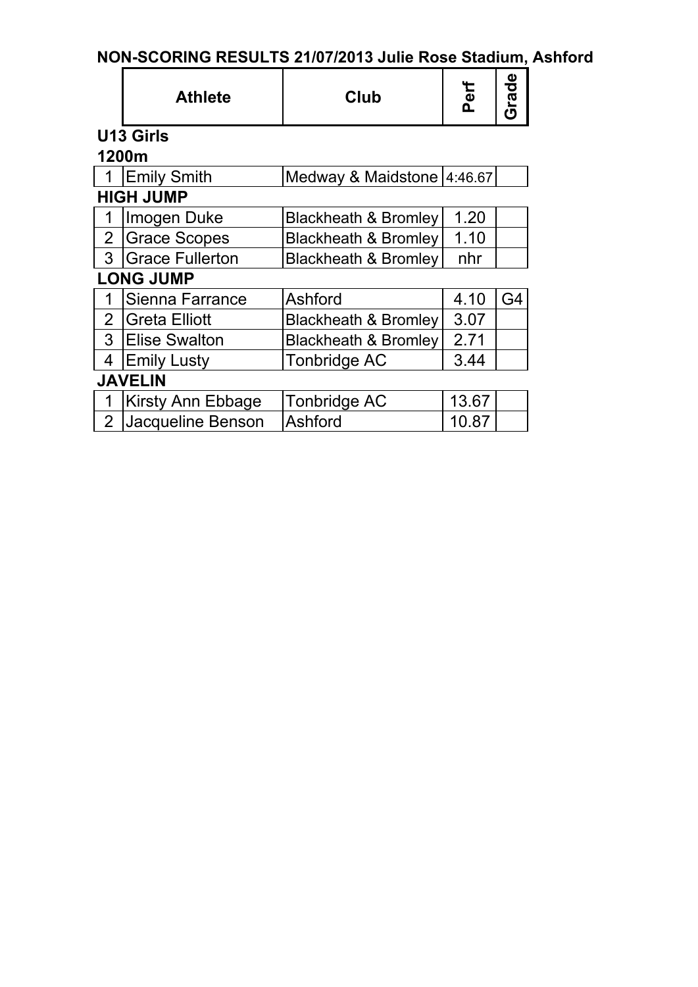# **NON-SCORING RESULTS 21/07/2013 Julie Rose Stadium, Ashford**

|                  | Club<br><b>Athlete</b>   |                                 | Perf  | Grade          |  |  |  |  |  |  |
|------------------|--------------------------|---------------------------------|-------|----------------|--|--|--|--|--|--|
|                  | U13 Girls                |                                 |       |                |  |  |  |  |  |  |
| 1200m            |                          |                                 |       |                |  |  |  |  |  |  |
|                  | <b>Emily Smith</b>       | Medway & Maidstone   4:46.67    |       |                |  |  |  |  |  |  |
| <b>HIGH JUMP</b> |                          |                                 |       |                |  |  |  |  |  |  |
|                  | Imogen Duke              | <b>Blackheath &amp; Bromley</b> | 1.20  |                |  |  |  |  |  |  |
| $\overline{2}$   | <b>Grace Scopes</b>      | Blackheath & Bromley            | 1.10  |                |  |  |  |  |  |  |
| 3                | <b>Grace Fullerton</b>   | <b>Blackheath &amp; Bromley</b> | nhr   |                |  |  |  |  |  |  |
|                  | <b>LONG JUMP</b>         |                                 |       |                |  |  |  |  |  |  |
|                  | Sienna Farrance          | Ashford                         | 4.10  | G <sub>4</sub> |  |  |  |  |  |  |
| $\overline{2}$   | Greta Elliott            | <b>Blackheath &amp; Bromley</b> | 3.07  |                |  |  |  |  |  |  |
| 3                | <b>Elise Swalton</b>     | <b>Blackheath &amp; Bromley</b> | 2.71  |                |  |  |  |  |  |  |
| 4                | <b>Emily Lusty</b>       | Tonbridge AC                    | 3.44  |                |  |  |  |  |  |  |
|                  | <b>JAVELIN</b>           |                                 |       |                |  |  |  |  |  |  |
| 1                | <b>Kirsty Ann Ebbage</b> | <b>Tonbridge AC</b>             | 13.67 |                |  |  |  |  |  |  |
| $\overline{2}$   | Jacqueline Benson        | Ashford                         | 10.87 |                |  |  |  |  |  |  |